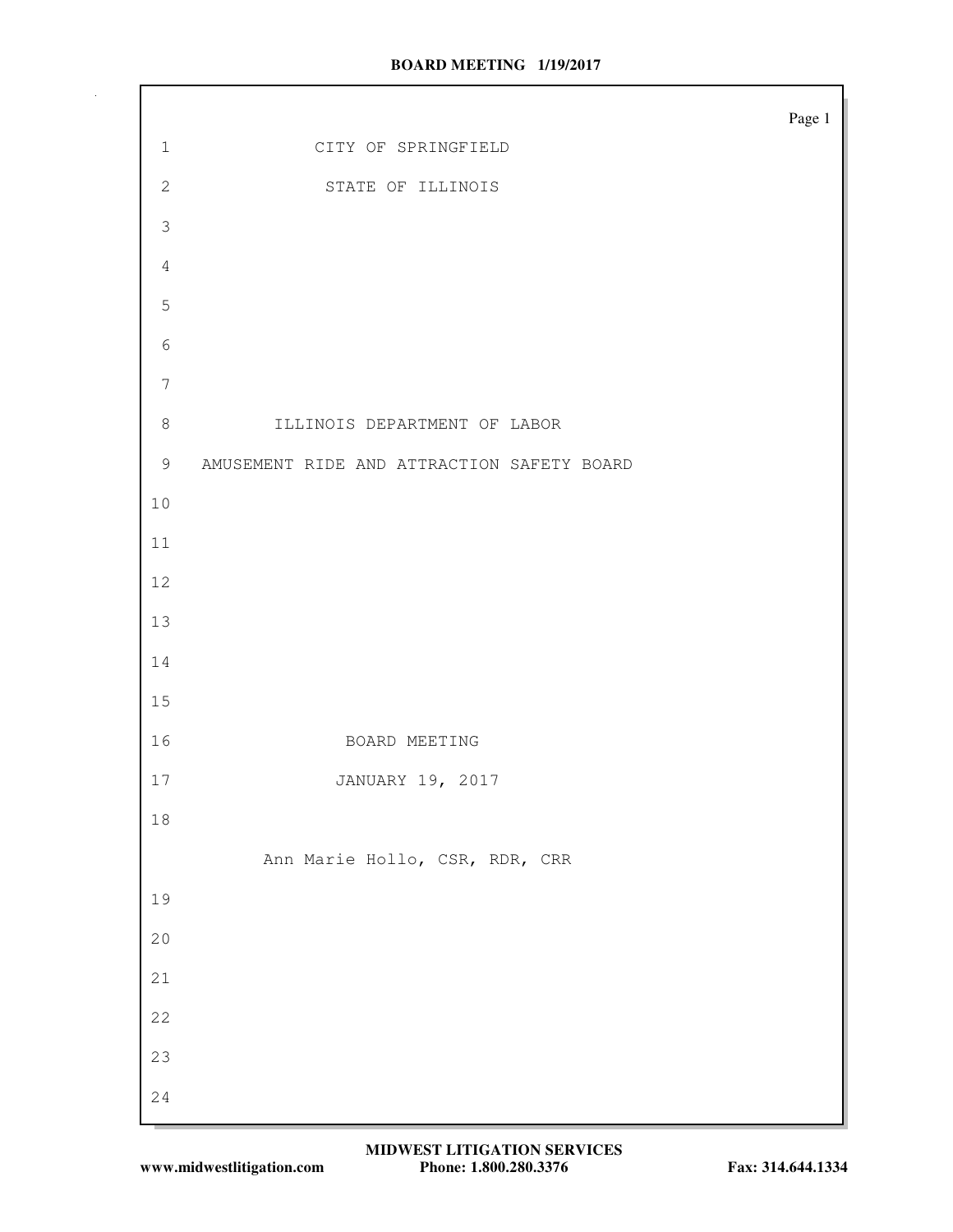|                  | Page 1                                     |
|------------------|--------------------------------------------|
| $\,1\,$          | CITY OF SPRINGFIELD                        |
| $\sqrt{2}$       | STATE OF ILLINOIS                          |
| $\mathfrak{Z}$   |                                            |
| $\overline{4}$   |                                            |
| $\mathsf S$      |                                            |
| $\epsilon$       |                                            |
| $\boldsymbol{7}$ |                                            |
| $\,8\,$          | ILLINOIS DEPARTMENT OF LABOR               |
| $\mathcal{G}$    | AMUSEMENT RIDE AND ATTRACTION SAFETY BOARD |
| 10               |                                            |
| $11\,$           |                                            |
| 12               |                                            |
| 13               |                                            |
| 14               |                                            |
| 15               |                                            |
| 16               | BOARD MEETING                              |
| 17               | JANUARY 19, 2017                           |
| $18\,$           |                                            |
|                  | Ann Marie Hollo, CSR, RDR, CRR             |
| 19               |                                            |
| $20$             |                                            |
| $2\sqrt{1}$      |                                            |
| 22               |                                            |
| 23               |                                            |
| 24               |                                            |

 $\Gamma$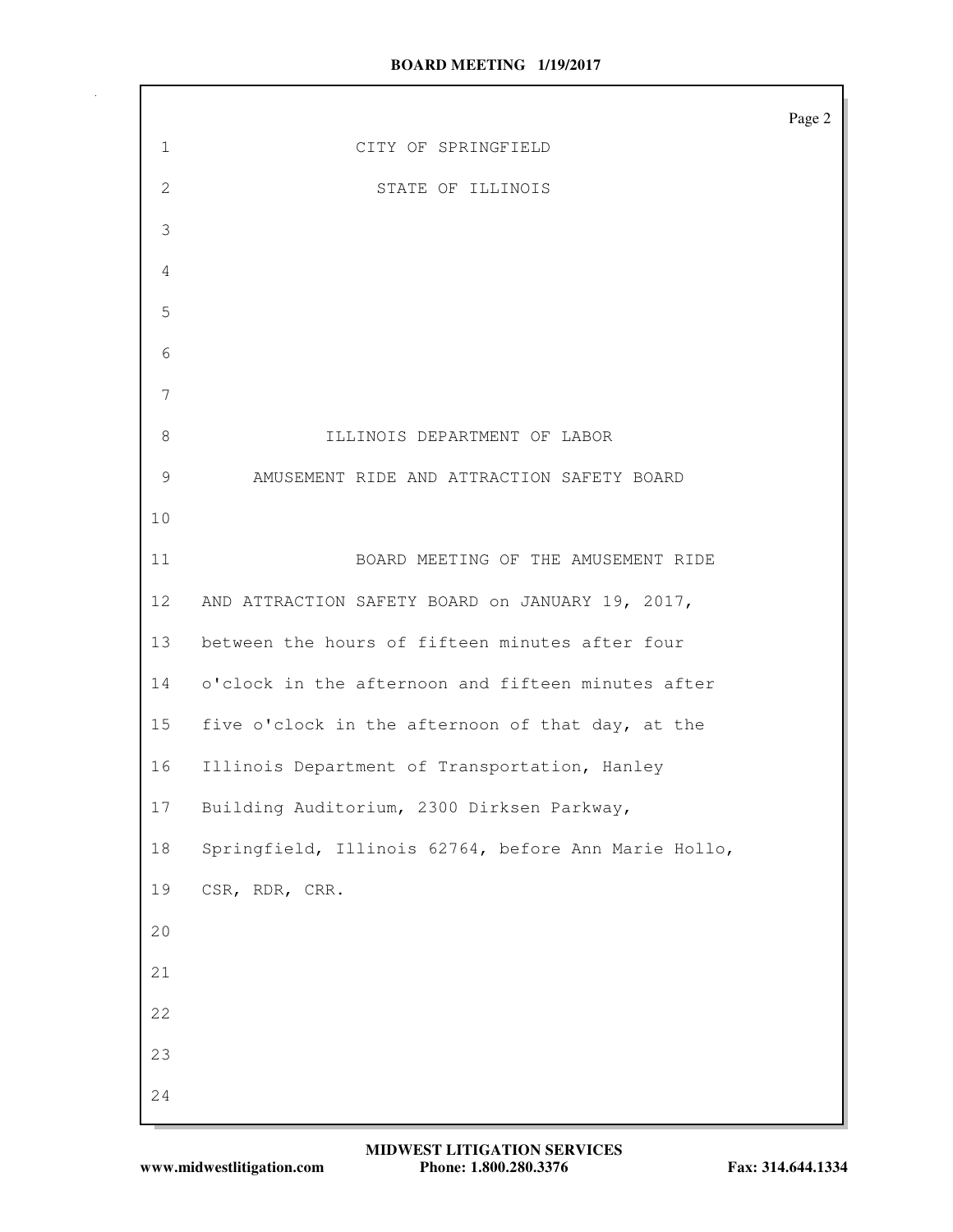|              |                                                      | Page 2 |
|--------------|------------------------------------------------------|--------|
| $\mathbf{1}$ | CITY OF SPRINGFIELD                                  |        |
| 2            | STATE OF ILLINOIS                                    |        |
| 3            |                                                      |        |
| 4            |                                                      |        |
| 5            |                                                      |        |
| 6            |                                                      |        |
| 7            |                                                      |        |
| 8            | ILLINOIS DEPARTMENT OF LABOR                         |        |
| 9            | AMUSEMENT RIDE AND ATTRACTION SAFETY BOARD           |        |
| 10           |                                                      |        |
| 11           | BOARD MEETING OF THE AMUSEMENT RIDE                  |        |
| 12           | AND ATTRACTION SAFETY BOARD on JANUARY 19, 2017,     |        |
| 13           | between the hours of fifteen minutes after four      |        |
| 14           | o'clock in the afternoon and fifteen minutes after   |        |
| 15           | five o'clock in the afternoon of that day, at the    |        |
| 16           | Illinois Department of Transportation, Hanley        |        |
| 17           | Building Auditorium, 2300 Dirksen Parkway,           |        |
| 18           | Springfield, Illinois 62764, before Ann Marie Hollo, |        |
| 19           | CSR, RDR, CRR.                                       |        |
| 20           |                                                      |        |
| 21           |                                                      |        |
| 22           |                                                      |        |
| 23           |                                                      |        |
| 24           |                                                      |        |
|              |                                                      |        |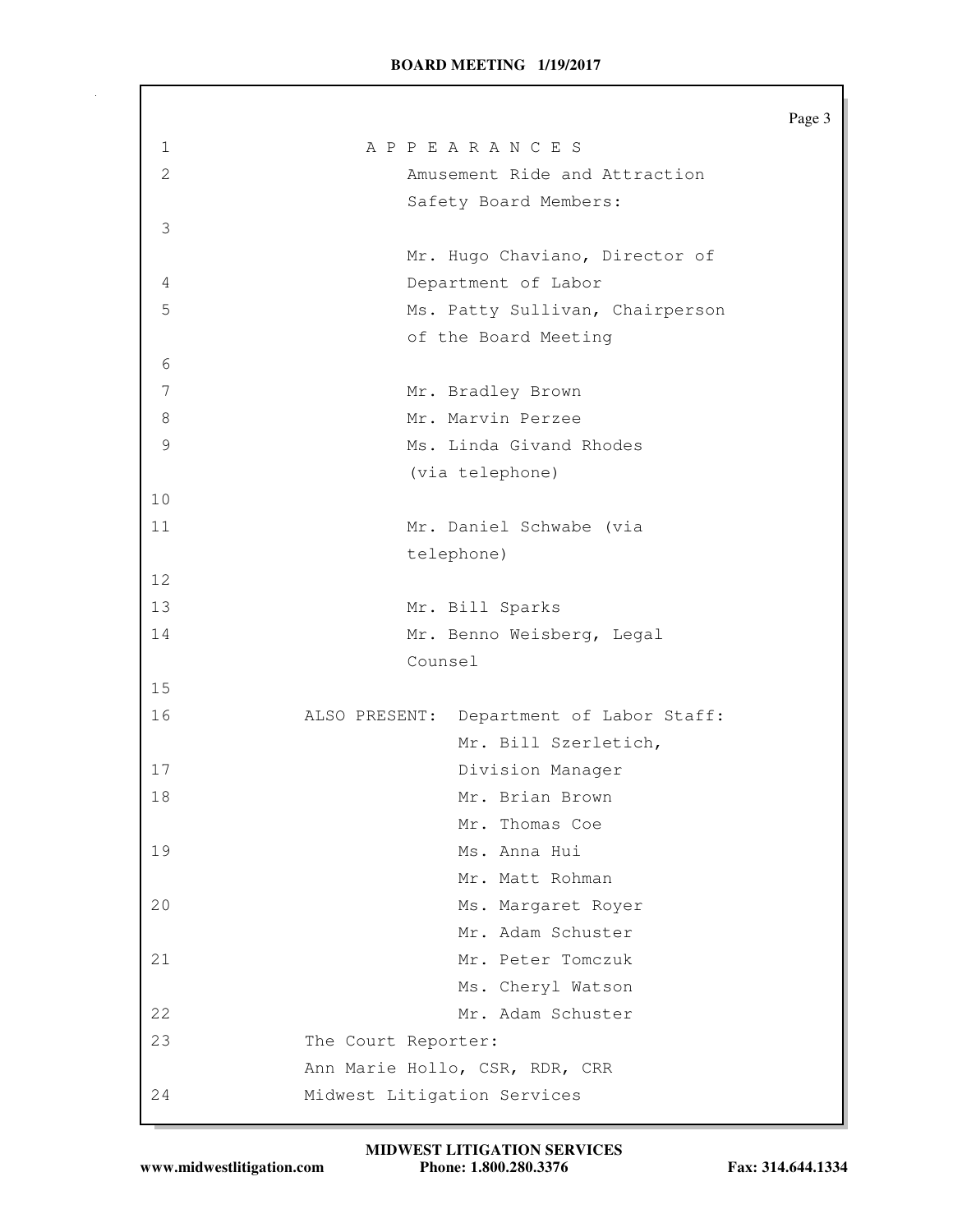|    |                                             | Page 3 |
|----|---------------------------------------------|--------|
| 1  | A P P E A R A N C E S                       |        |
| 2  | Amusement Ride and Attraction               |        |
|    | Safety Board Members:                       |        |
| 3  |                                             |        |
|    | Mr. Hugo Chaviano, Director of              |        |
| 4  | Department of Labor                         |        |
| 5  | Ms. Patty Sullivan, Chairperson             |        |
|    | of the Board Meeting                        |        |
| 6  |                                             |        |
| 7  | Mr. Bradley Brown                           |        |
| 8  | Mr. Marvin Perzee                           |        |
| 9  | Ms. Linda Givand Rhodes                     |        |
|    | (via telephone)                             |        |
| 10 |                                             |        |
| 11 | Mr. Daniel Schwabe (via                     |        |
|    | telephone)                                  |        |
| 12 |                                             |        |
| 13 | Mr. Bill Sparks                             |        |
| 14 | Mr. Benno Weisberg, Legal                   |        |
|    | Counsel                                     |        |
| 15 |                                             |        |
| 16 | ALSO PRESENT:<br>Department of Labor Staff: |        |
|    | Mr. Bill Szerletich,                        |        |
| 17 | Division Manager                            |        |
| 18 | Mr. Brian Brown                             |        |
|    | Mr. Thomas Coe                              |        |
| 19 | Ms. Anna Hui                                |        |
|    | Mr. Matt Rohman                             |        |
| 20 | Ms. Margaret Royer                          |        |
|    | Mr. Adam Schuster                           |        |
| 21 | Mr. Peter Tomczuk                           |        |
|    | Ms. Cheryl Watson                           |        |
| 22 | Mr. Adam Schuster                           |        |
| 23 | The Court Reporter:                         |        |
|    | Ann Marie Hollo, CSR, RDR, CRR              |        |
| 24 | Midwest Litigation Services                 |        |
|    |                                             |        |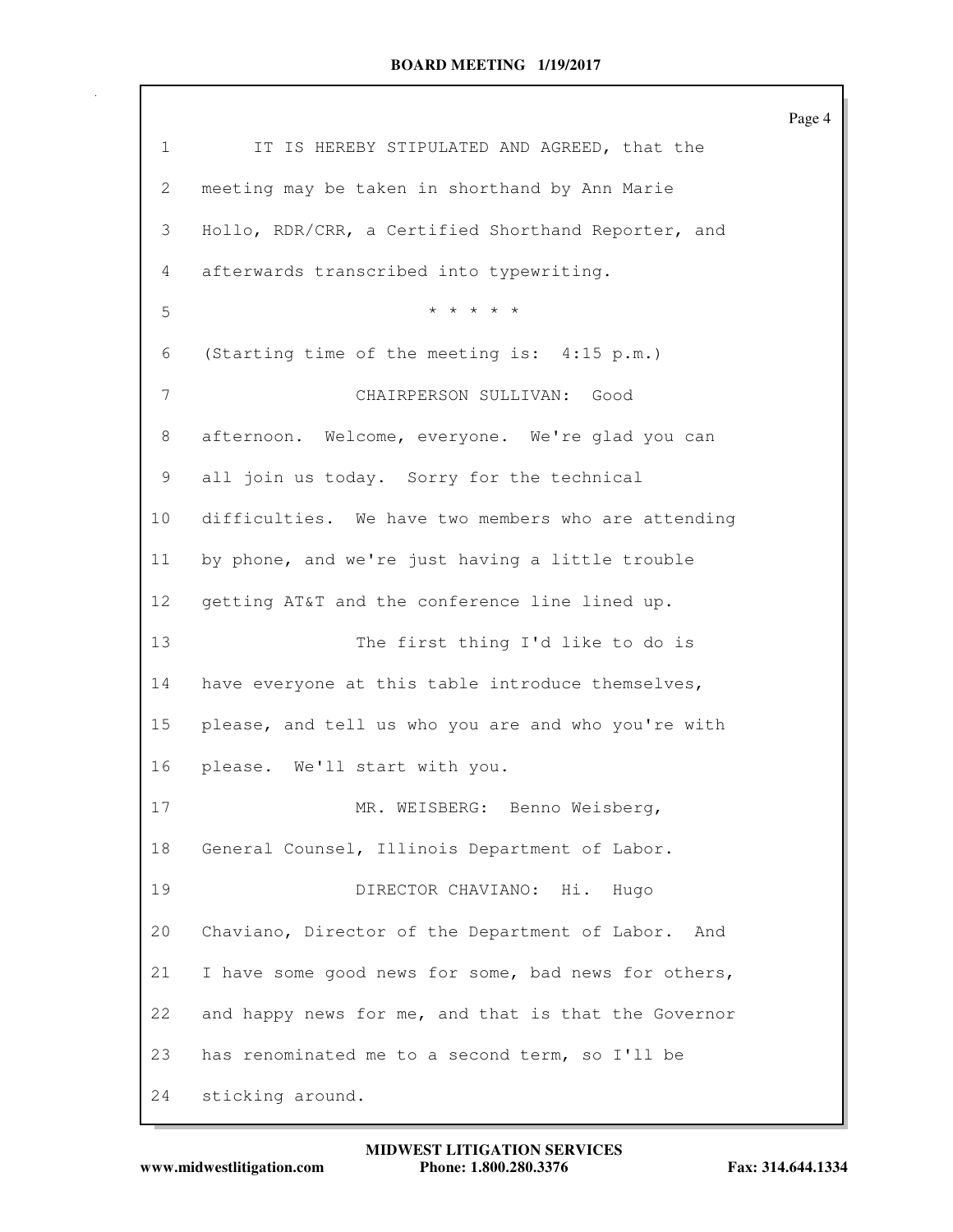|                |                                                      | Page 4 |
|----------------|------------------------------------------------------|--------|
| $\mathbf{1}$   | IT IS HEREBY STIPULATED AND AGREED, that the         |        |
| 2              | meeting may be taken in shorthand by Ann Marie       |        |
| 3              | Hollo, RDR/CRR, a Certified Shorthand Reporter, and  |        |
| 4              | afterwards transcribed into typewriting.             |        |
| 5              | * * * * *                                            |        |
| 6              | (Starting time of the meeting is: 4:15 p.m.)         |        |
| $\overline{7}$ | CHAIRPERSON SULLIVAN:<br>Good                        |        |
| 8              | afternoon. Welcome, everyone. We're glad you can     |        |
| 9              | all join us today. Sorry for the technical           |        |
| 10             | difficulties. We have two members who are attending  |        |
| 11             | by phone, and we're just having a little trouble     |        |
| $12 \,$        | getting AT&T and the conference line lined up.       |        |
| 13             | The first thing I'd like to do is                    |        |
| 14             | have everyone at this table introduce themselves,    |        |
| 15             | please, and tell us who you are and who you're with  |        |
| 16             | please. We'll start with you.                        |        |
| 17             | MR. WEISBERG: Benno Weisberg,                        |        |
| 18             | General Counsel, Illinois Department of Labor.       |        |
| 19             | DIRECTOR CHAVIANO: Hi.<br>Hugo                       |        |
| 20             | Chaviano, Director of the Department of Labor. And   |        |
| 21             | I have some good news for some, bad news for others, |        |
| 22             | and happy news for me, and that is that the Governor |        |
| 23             | has renominated me to a second term, so I'll be      |        |
| 24             | sticking around.                                     |        |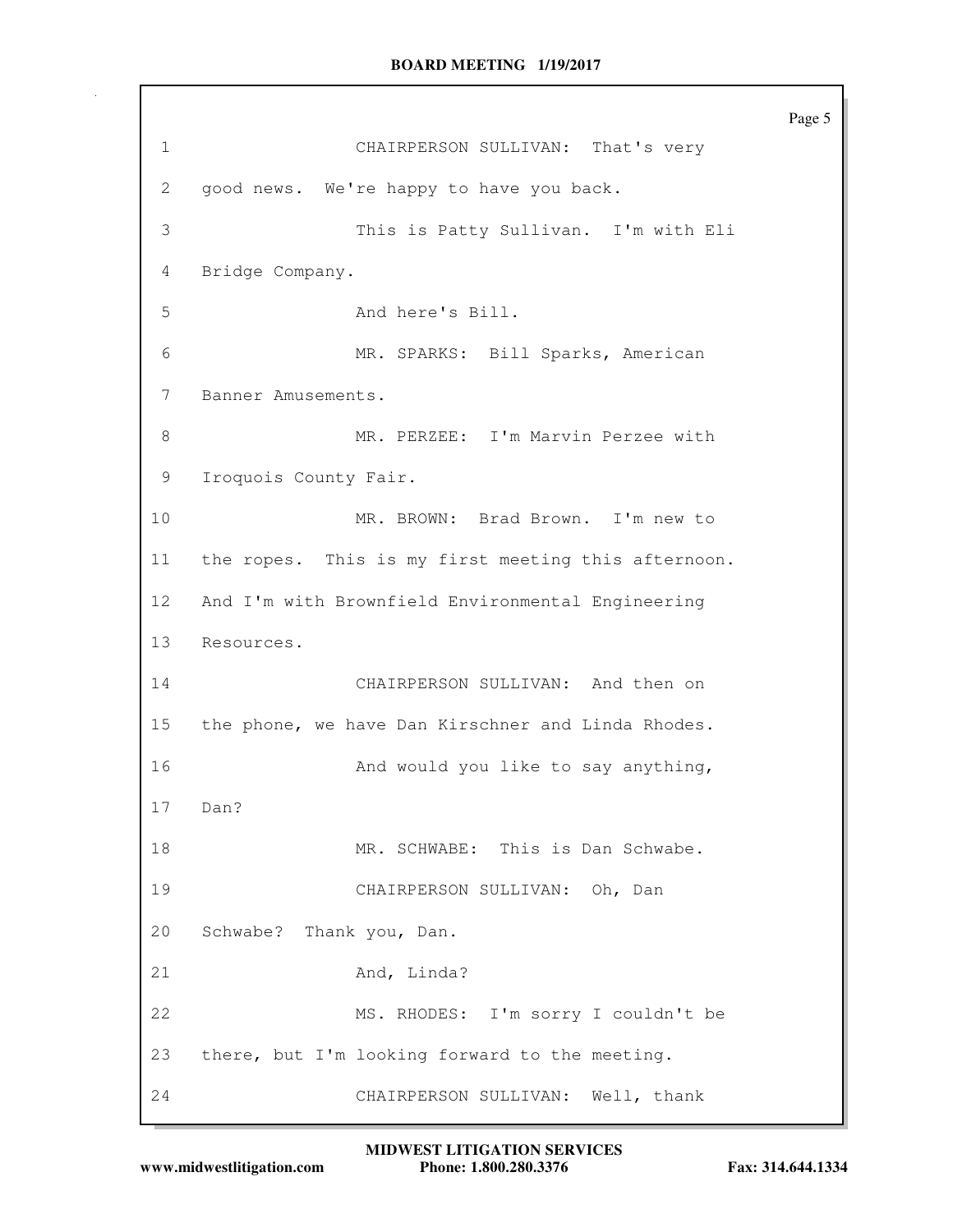Page 5 1 CHAIRPERSON SULLIVAN: That's very 2 good news. We're happy to have you back. 3 This is Patty Sullivan. I'm with Eli 4 Bridge Company. 5 And here's Bill. 6 MR. SPARKS: Bill Sparks, American 7 Banner Amusements. 8 MR. PERZEE: I'm Marvin Perzee with 9 Iroquois County Fair. 10 MR. BROWN: Brad Brown. I'm new to 11 the ropes. This is my first meeting this afternoon. 12 And I'm with Brownfield Environmental Engineering 13 Resources. 14 CHAIRPERSON SULLIVAN: And then on 15 the phone, we have Dan Kirschner and Linda Rhodes. 16 And would you like to say anything, 17 Dan? 18 MR. SCHWABE: This is Dan Schwabe. 19 CHAIRPERSON SULLIVAN: Oh, Dan 20 Schwabe? Thank you, Dan. 21 And, Linda? 22 MS. RHODES: I'm sorry I couldn't be 23 there, but I'm looking forward to the meeting. 24 CHAIRPERSON SULLIVAN: Well, thank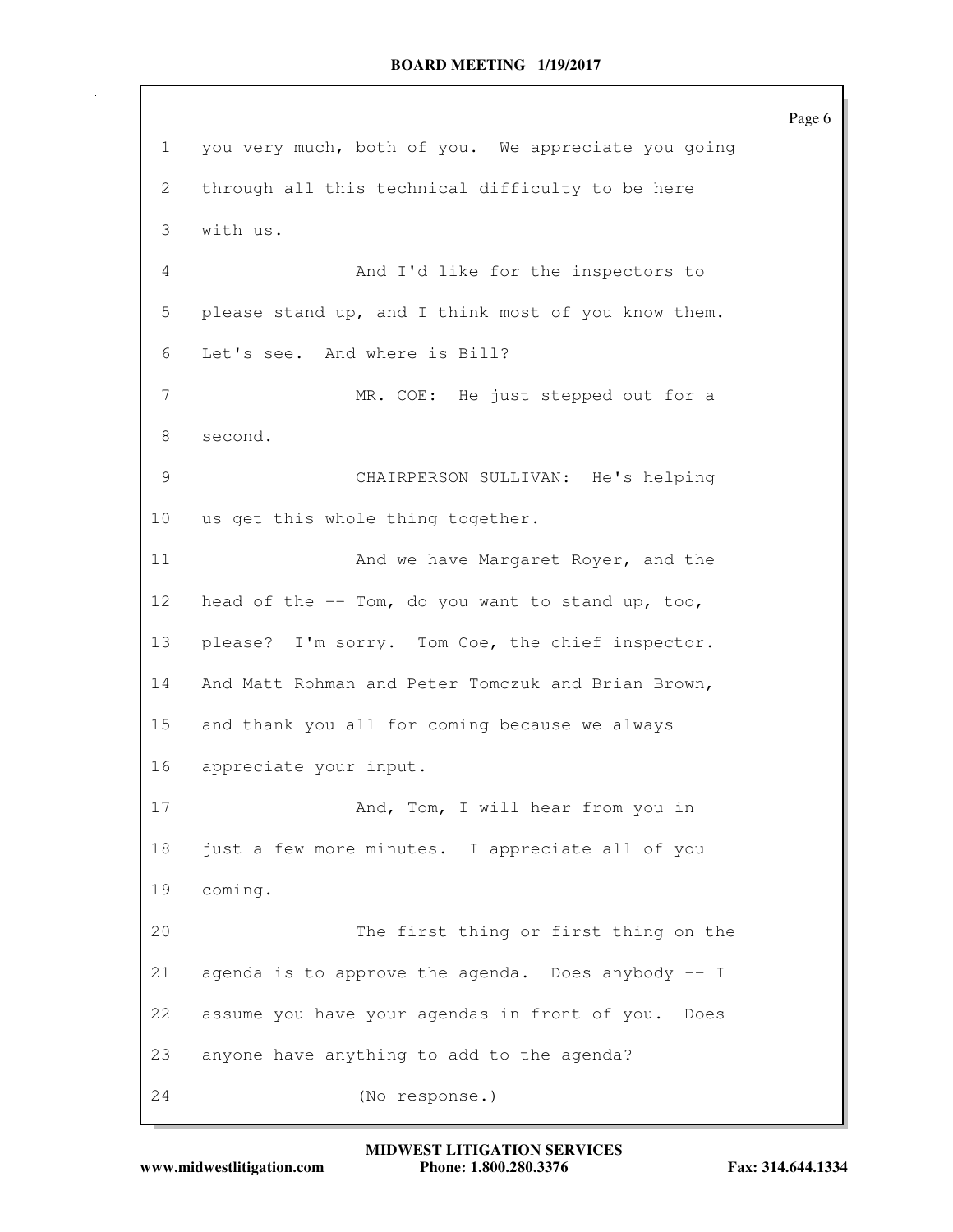Page 6 1 you very much, both of you. We appreciate you going 2 through all this technical difficulty to be here 3 with us. 4 And I'd like for the inspectors to 5 please stand up, and I think most of you know them. 6 Let's see. And where is Bill? 7 MR. COE: He just stepped out for a 8 second. 9 CHAIRPERSON SULLIVAN: He's helping 10 us get this whole thing together. 11 And we have Margaret Royer, and the 12 head of the -- Tom, do you want to stand up, too, 13 please? I'm sorry. Tom Coe, the chief inspector. 14 And Matt Rohman and Peter Tomczuk and Brian Brown, 15 and thank you all for coming because we always 16 appreciate your input. 17 And, Tom, I will hear from you in 18 just a few more minutes. I appreciate all of you 19 coming. 20 The first thing or first thing on the 21 agenda is to approve the agenda. Does anybody -- I 22 assume you have your agendas in front of you. Does 23 anyone have anything to add to the agenda? 24 (No response.)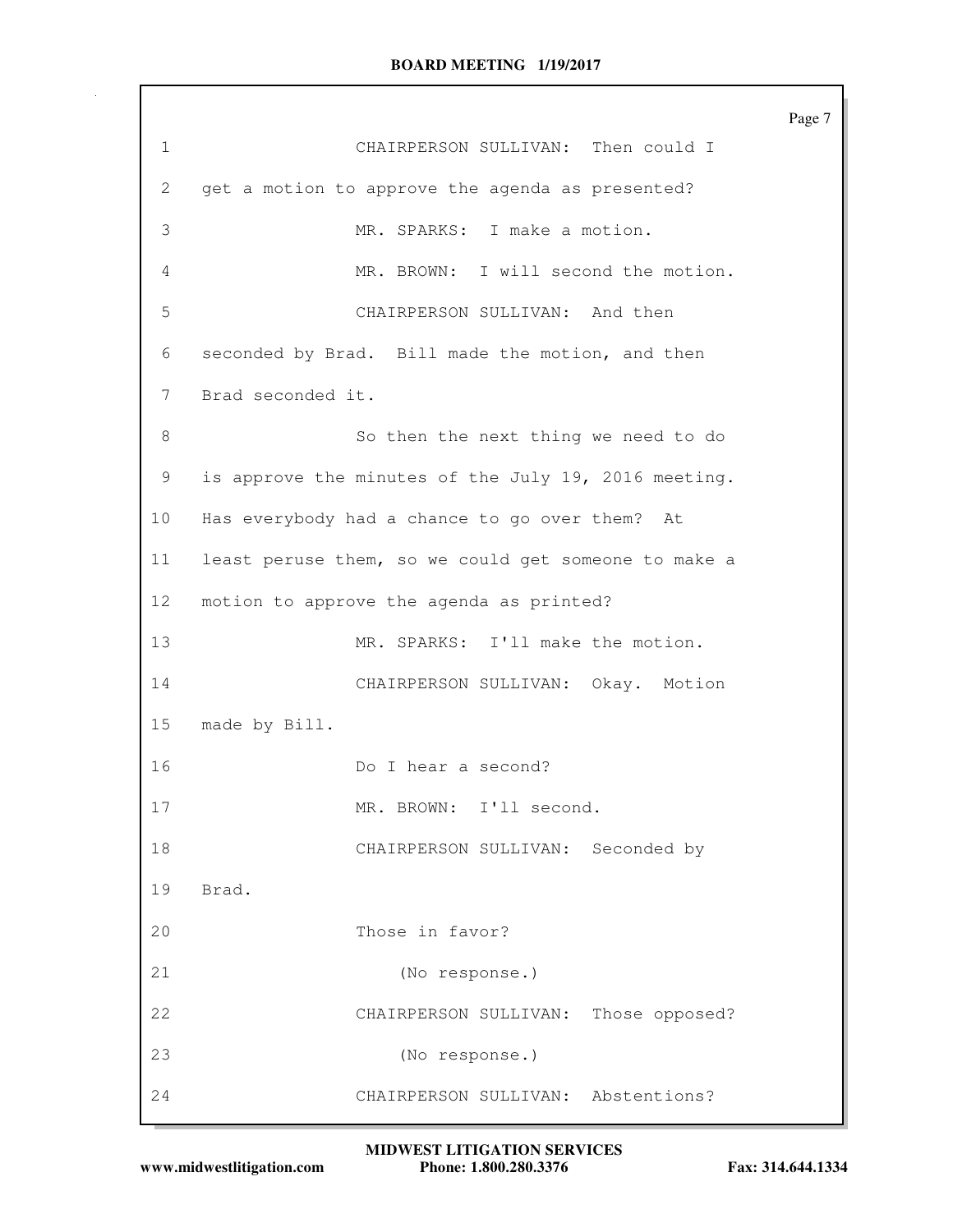Page 7 1 CHAIRPERSON SULLIVAN: Then could I 2 get a motion to approve the agenda as presented? 3 MR. SPARKS: I make a motion. 4 MR. BROWN: I will second the motion. 5 CHAIRPERSON SULLIVAN: And then 6 seconded by Brad. Bill made the motion, and then 7 Brad seconded it. 8 So then the next thing we need to do 9 is approve the minutes of the July 19, 2016 meeting. 10 Has everybody had a chance to go over them? At 11 least peruse them, so we could get someone to make a 12 motion to approve the agenda as printed? 13 MR. SPARKS: I'll make the motion. 14 CHAIRPERSON SULLIVAN: Okay. Motion 15 made by Bill. 16 Do I hear a second? 17 MR. BROWN: I'll second. 18 CHAIRPERSON SULLIVAN: Seconded by 19 Brad. 20 Those in favor? 21 (No response.) 22 CHAIRPERSON SULLIVAN: Those opposed? 23 (No response.) 24 CHAIRPERSON SULLIVAN: Abstentions?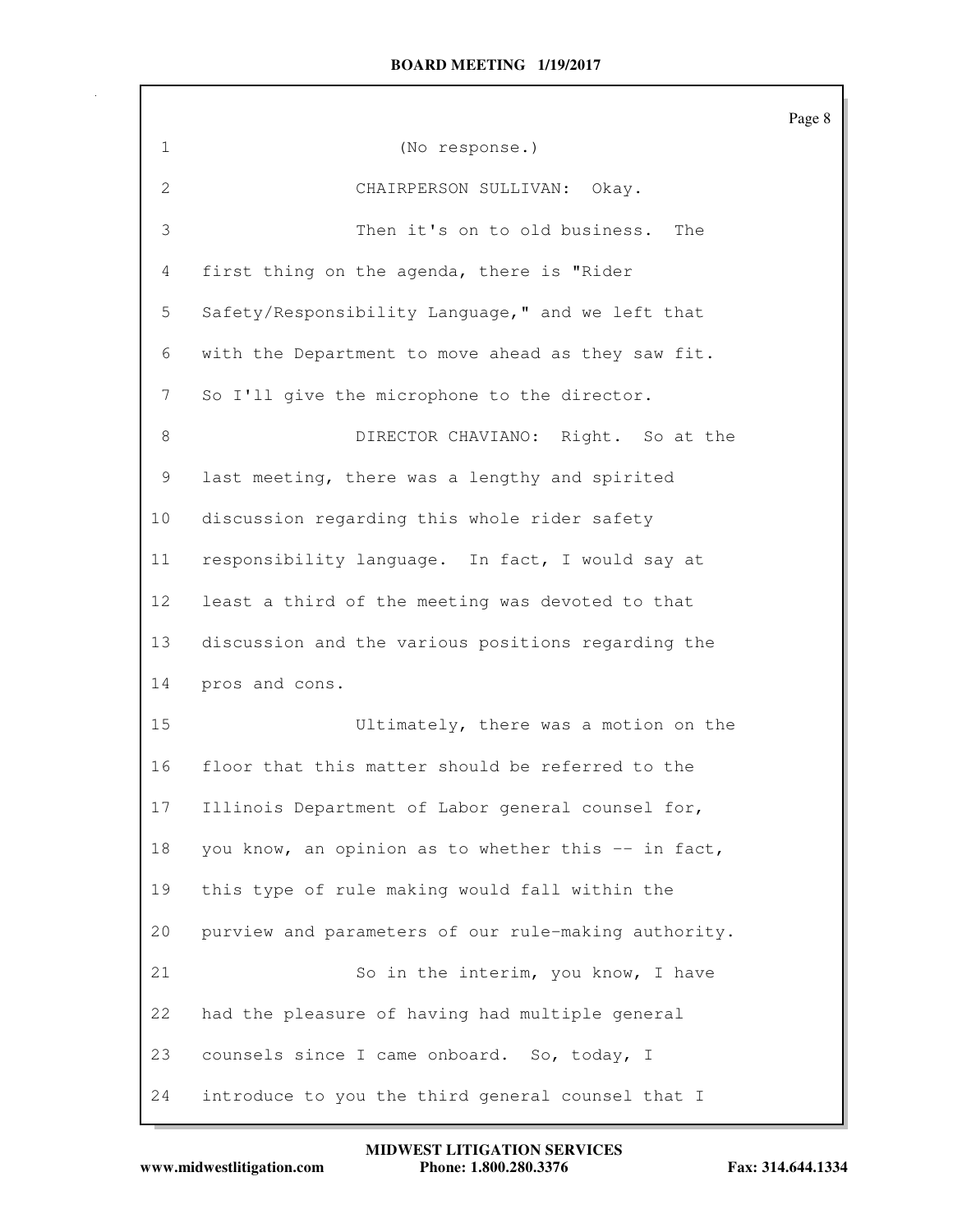|              |                                                      | Page 8 |
|--------------|------------------------------------------------------|--------|
| $\mathbf{1}$ | (No response.)                                       |        |
| 2            | CHAIRPERSON SULLIVAN: Okay.                          |        |
| 3            | Then it's on to old business.<br>The                 |        |
| 4            | first thing on the agenda, there is "Rider           |        |
| 5            | Safety/Responsibility Language," and we left that    |        |
| 6            | with the Department to move ahead as they saw fit.   |        |
| 7            | So I'll give the microphone to the director.         |        |
| 8            | DIRECTOR CHAVIANO: Right. So at the                  |        |
| 9            | last meeting, there was a lengthy and spirited       |        |
| 10           | discussion regarding this whole rider safety         |        |
| 11           | responsibility language. In fact, I would say at     |        |
| 12           | least a third of the meeting was devoted to that     |        |
| 13           | discussion and the various positions regarding the   |        |
| 14           | pros and cons.                                       |        |
| 15           | Ultimately, there was a motion on the                |        |
| 16           | floor that this matter should be referred to the     |        |
| 17           | Illinois Department of Labor general counsel for,    |        |
| 18           | you know, an opinion as to whether this -- in fact,  |        |
| 19           | this type of rule making would fall within the       |        |
| 20           | purview and parameters of our rule-making authority. |        |
| 21           | So in the interim, you know, I have                  |        |
| 22           | had the pleasure of having had multiple general      |        |
| 23           | counsels since I came onboard. So, today, I          |        |
| 24           | introduce to you the third general counsel that I    |        |

**www.midwestlitigation.com Phone: 1.800.280.3376 Fax: 314.644.1334 MIDWEST LITIGATION SERVICES**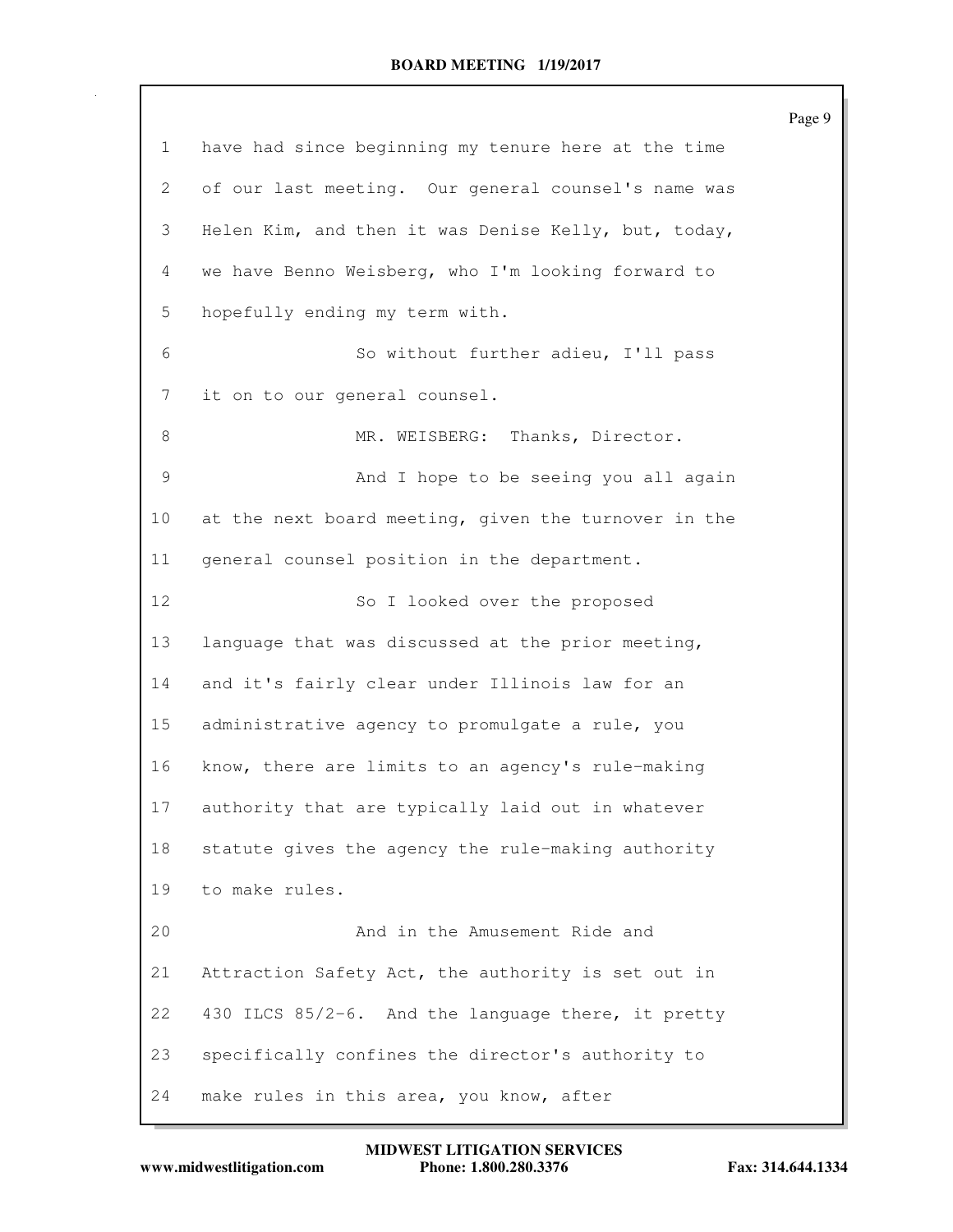|                 |                                                      | Page 9 |
|-----------------|------------------------------------------------------|--------|
| $\mathbf{1}$    | have had since beginning my tenure here at the time  |        |
| 2               | of our last meeting. Our general counsel's name was  |        |
| 3               | Helen Kim, and then it was Denise Kelly, but, today, |        |
| 4               | we have Benno Weisberg, who I'm looking forward to   |        |
| 5               | hopefully ending my term with.                       |        |
| 6               | So without further adieu, I'll pass                  |        |
| 7               | it on to our general counsel.                        |        |
| 8               | MR. WEISBERG: Thanks, Director.                      |        |
| 9               | And I hope to be seeing you all again                |        |
| 10 <sub>o</sub> | at the next board meeting, given the turnover in the |        |
| 11              | general counsel position in the department.          |        |
| 12              | So I looked over the proposed                        |        |
| 13              | language that was discussed at the prior meeting,    |        |
| 14              | and it's fairly clear under Illinois law for an      |        |
| 15              | administrative agency to promulgate a rule, you      |        |
| 16              | know, there are limits to an agency's rule-making    |        |
| 17              | authority that are typically laid out in whatever    |        |
| 18              | statute gives the agency the rule-making authority   |        |
| 19              | to make rules.                                       |        |
| 20              | And in the Amusement Ride and                        |        |
| 21              | Attraction Safety Act, the authority is set out in   |        |
| 22              | 430 ILCS 85/2-6. And the language there, it pretty   |        |
| 23              | specifically confines the director's authority to    |        |
| 24              | make rules in this area, you know, after             |        |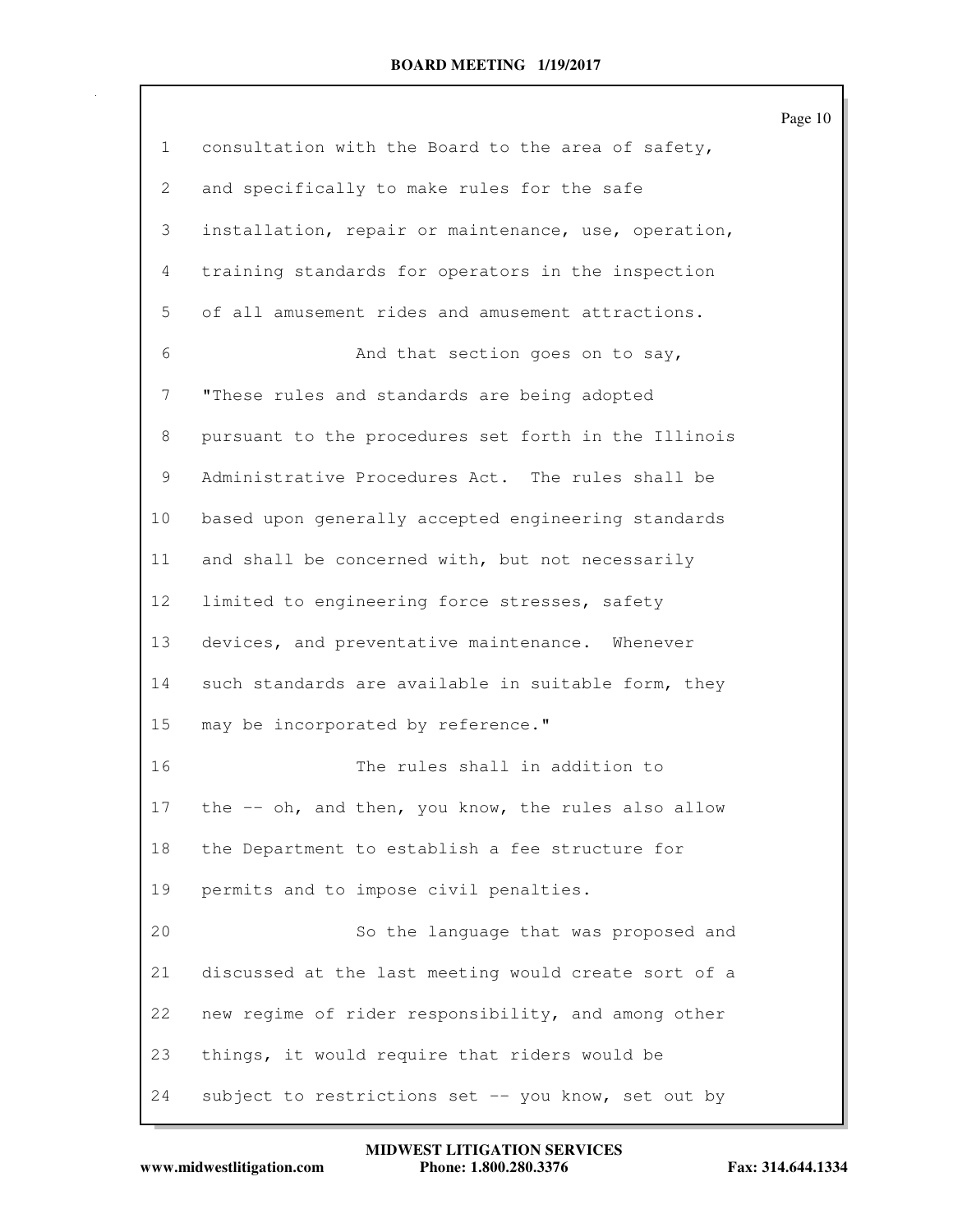|              |                                                      | Page 10 |
|--------------|------------------------------------------------------|---------|
| $\mathbf{1}$ | consultation with the Board to the area of safety,   |         |
| 2            | and specifically to make rules for the safe          |         |
| 3            | installation, repair or maintenance, use, operation, |         |
| 4            | training standards for operators in the inspection   |         |
| 5            | of all amusement rides and amusement attractions.    |         |
| 6            | And that section goes on to say,                     |         |
| 7            | "These rules and standards are being adopted         |         |
| 8            | pursuant to the procedures set forth in the Illinois |         |
| 9            | Administrative Procedures Act. The rules shall be    |         |
| 10           | based upon generally accepted engineering standards  |         |
| 11           | and shall be concerned with, but not necessarily     |         |
| 12           | limited to engineering force stresses, safety        |         |
| 13           | devices, and preventative maintenance. Whenever      |         |
| 14           | such standards are available in suitable form, they  |         |
| 15           | may be incorporated by reference."                   |         |
| 16           | The rules shall in addition to                       |         |
| 17           | the -- oh, and then, you know, the rules also allow  |         |
| 18           | the Department to establish a fee structure for      |         |
| 19           | permits and to impose civil penalties.               |         |
| 20           | So the language that was proposed and                |         |
| 21           | discussed at the last meeting would create sort of a |         |
| 22           | new regime of rider responsibility, and among other  |         |
| 23           | things, it would require that riders would be        |         |
| 24           | subject to restrictions set -- you know, set out by  |         |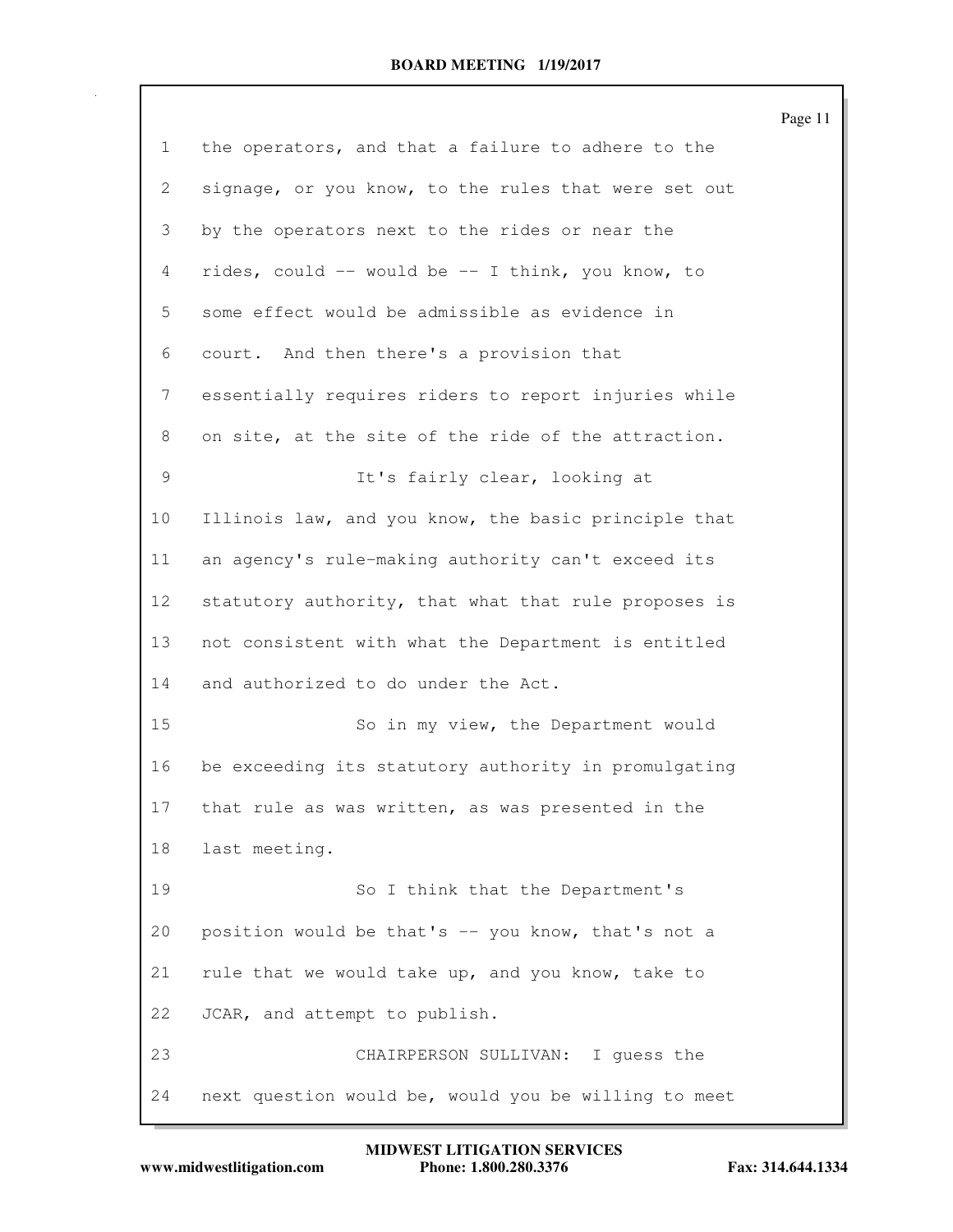|                 |                                                      | Page 11 |
|-----------------|------------------------------------------------------|---------|
| 1               | the operators, and that a failure to adhere to the   |         |
| 2               | signage, or you know, to the rules that were set out |         |
| 3               | by the operators next to the rides or near the       |         |
| 4               | rides, could -- would be -- I think, you know, to    |         |
| 5               | some effect would be admissible as evidence in       |         |
| 6               | court. And then there's a provision that             |         |
| 7               | essentially requires riders to report injuries while |         |
| 8               | on site, at the site of the ride of the attraction.  |         |
| 9               | It's fairly clear, looking at                        |         |
| 10              | Illinois law, and you know, the basic principle that |         |
| 11              | an agency's rule-making authority can't exceed its   |         |
| 12 <sup>°</sup> | statutory authority, that what that rule proposes is |         |
| 13              | not consistent with what the Department is entitled  |         |
| 14              | and authorized to do under the Act.                  |         |
| 15              | So in my view, the Department would                  |         |
| 16              | be exceeding its statutory authority in promulgating |         |
| 17              | that rule as was written, as was presented in the    |         |
| 18              | last meeting.                                        |         |
| 19              | So I think that the Department's                     |         |
| 20              | position would be that's -- you know, that's not a   |         |
| 21              | rule that we would take up, and you know, take to    |         |
| 22              | JCAR, and attempt to publish.                        |         |
| 23              | CHAIRPERSON SULLIVAN: I guess the                    |         |
| 24              | next question would be, would you be willing to meet |         |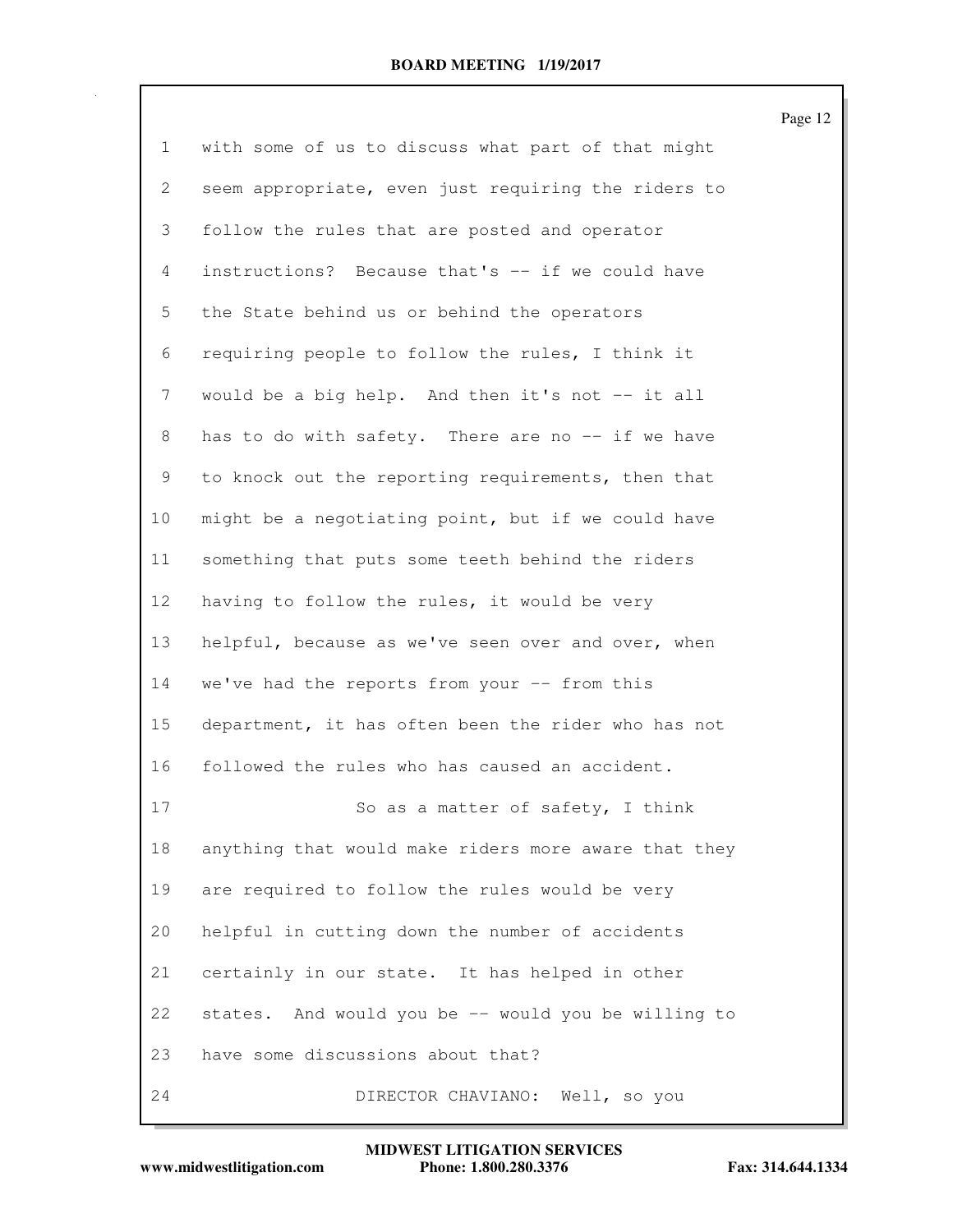|                 |                                                      | Page 12 |
|-----------------|------------------------------------------------------|---------|
| $\mathbf{1}$    | with some of us to discuss what part of that might   |         |
| 2               | seem appropriate, even just requiring the riders to  |         |
| 3               | follow the rules that are posted and operator        |         |
| 4               | instructions? Because that's -- if we could have     |         |
| 5               | the State behind us or behind the operators          |         |
| 6               | requiring people to follow the rules, I think it     |         |
| 7               | would be a big help. And then it's not -- it all     |         |
| 8               | has to do with safety. There are no -- if we have    |         |
| 9               | to knock out the reporting requirements, then that   |         |
| 10              | might be a negotiating point, but if we could have   |         |
| 11              | something that puts some teeth behind the riders     |         |
| 12 <sup>°</sup> | having to follow the rules, it would be very         |         |
| 13              | helpful, because as we've seen over and over, when   |         |
| 14              | we've had the reports from your -- from this         |         |
| 15              | department, it has often been the rider who has not  |         |
| 16              | followed the rules who has caused an accident.       |         |
| 17              | So as a matter of safety, I think                    |         |
| 18              | anything that would make riders more aware that they |         |
| 19              | are required to follow the rules would be very       |         |
| 20              | helpful in cutting down the number of accidents      |         |
| 21              | certainly in our state. It has helped in other       |         |
| 22              | states. And would you be -- would you be willing to  |         |
| 23              | have some discussions about that?                    |         |
| 24              | DIRECTOR CHAVIANO: Well, so you                      |         |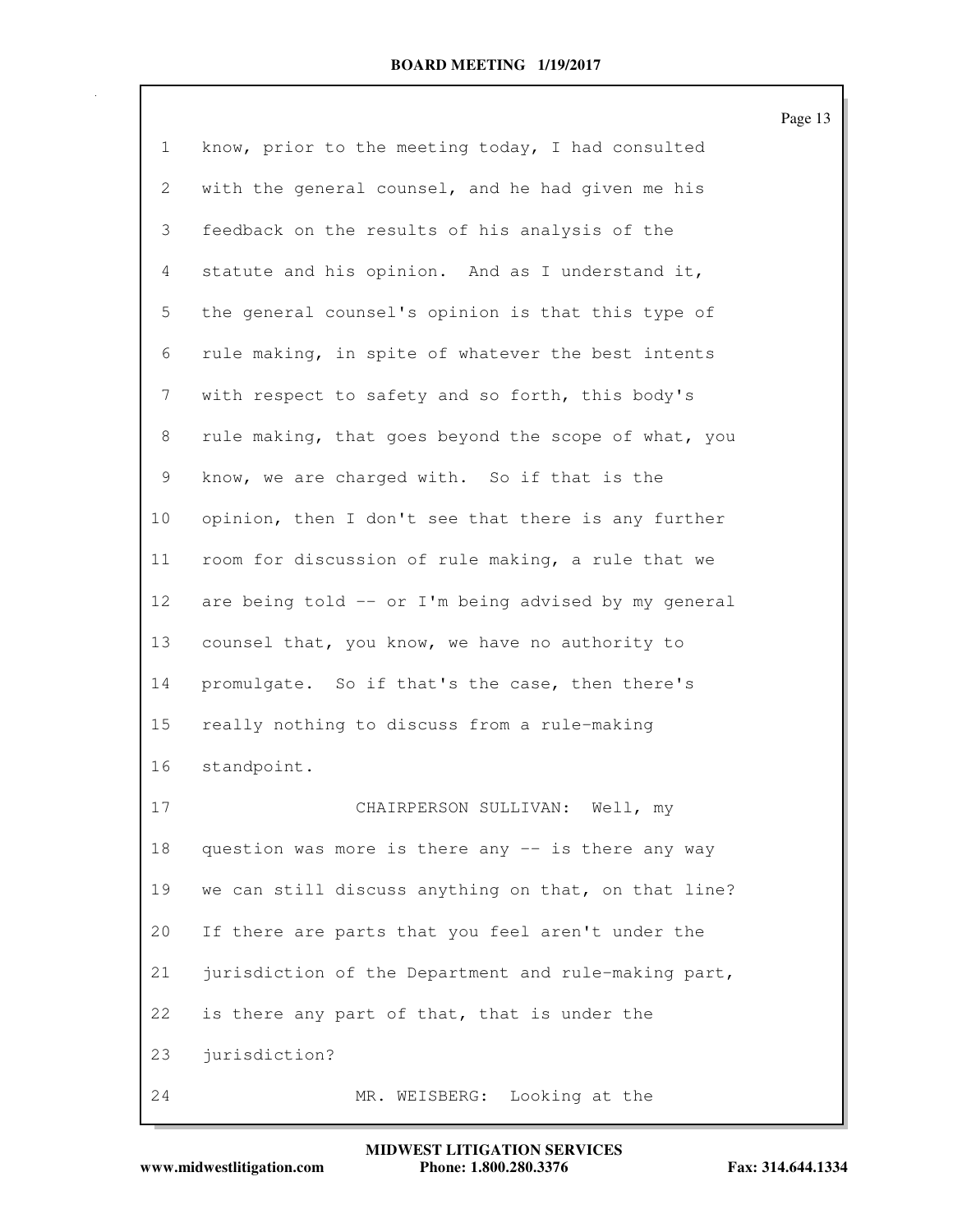|                 |                                                      | Page 13 |
|-----------------|------------------------------------------------------|---------|
| $\mathbf{1}$    | know, prior to the meeting today, I had consulted    |         |
| 2               | with the general counsel, and he had given me his    |         |
| 3               | feedback on the results of his analysis of the       |         |
| 4               | statute and his opinion. And as I understand it,     |         |
| 5               | the general counsel's opinion is that this type of   |         |
| 6               | rule making, in spite of whatever the best intents   |         |
| 7               | with respect to safety and so forth, this body's     |         |
| 8               | rule making, that goes beyond the scope of what, you |         |
| 9               | know, we are charged with. So if that is the         |         |
| 10              | opinion, then I don't see that there is any further  |         |
| 11              | room for discussion of rule making, a rule that we   |         |
| 12 <sup>°</sup> | are being told -- or I'm being advised by my general |         |
| 13              | counsel that, you know, we have no authority to      |         |
| 14              | promulgate. So if that's the case, then there's      |         |
| 15              | really nothing to discuss from a rule-making         |         |
| 16              | standpoint.                                          |         |
| 17              | CHAIRPERSON SULLIVAN: Well, my                       |         |
| 18              | question was more is there any -- is there any way   |         |
| 19              | we can still discuss anything on that, on that line? |         |
| 20              | If there are parts that you feel aren't under the    |         |
| 21              | jurisdiction of the Department and rule-making part, |         |
| 22              | is there any part of that, that is under the         |         |
| 23              | jurisdiction?                                        |         |
| 24              | MR. WEISBERG: Looking at the                         |         |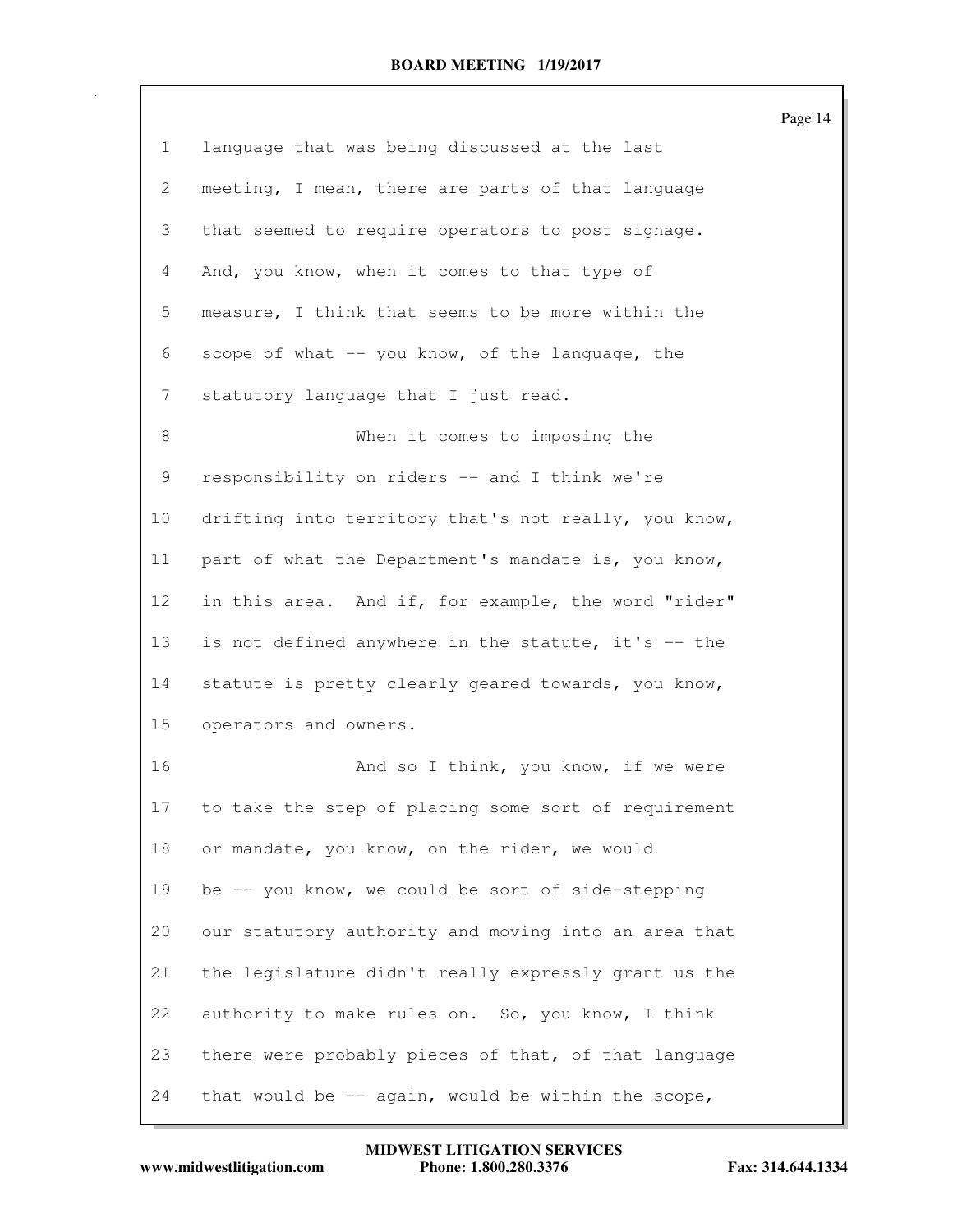|         |                                                      | Page 14 |
|---------|------------------------------------------------------|---------|
| 1       | language that was being discussed at the last        |         |
| 2       | meeting, I mean, there are parts of that language    |         |
| 3       | that seemed to require operators to post signage.    |         |
| 4       | And, you know, when it comes to that type of         |         |
| 5       | measure, I think that seems to be more within the    |         |
| 6       | scope of what -- you know, of the language, the      |         |
| 7       | statutory language that I just read.                 |         |
| 8       | When it comes to imposing the                        |         |
| 9       | responsibility on riders -- and I think we're        |         |
| 10      | drifting into territory that's not really, you know, |         |
| 11      | part of what the Department's mandate is, you know,  |         |
| $12 \,$ | in this area. And if, for example, the word "rider"  |         |
| 13      | is not defined anywhere in the statute, it's -- the  |         |
| 14      | statute is pretty clearly geared towards, you know,  |         |
| 15      | operators and owners.                                |         |
| 16      | And so I think, you know, if we were                 |         |
| 17      | to take the step of placing some sort of requirement |         |
| 18      | or mandate, you know, on the rider, we would         |         |
| 19      | be -- you know, we could be sort of side-stepping    |         |
| 20      | our statutory authority and moving into an area that |         |
| 21      | the legislature didn't really expressly grant us the |         |
| 22      | authority to make rules on. So, you know, I think    |         |
| 23      | there were probably pieces of that, of that language |         |
| 24      | that would be $-$ again, would be within the scope,  |         |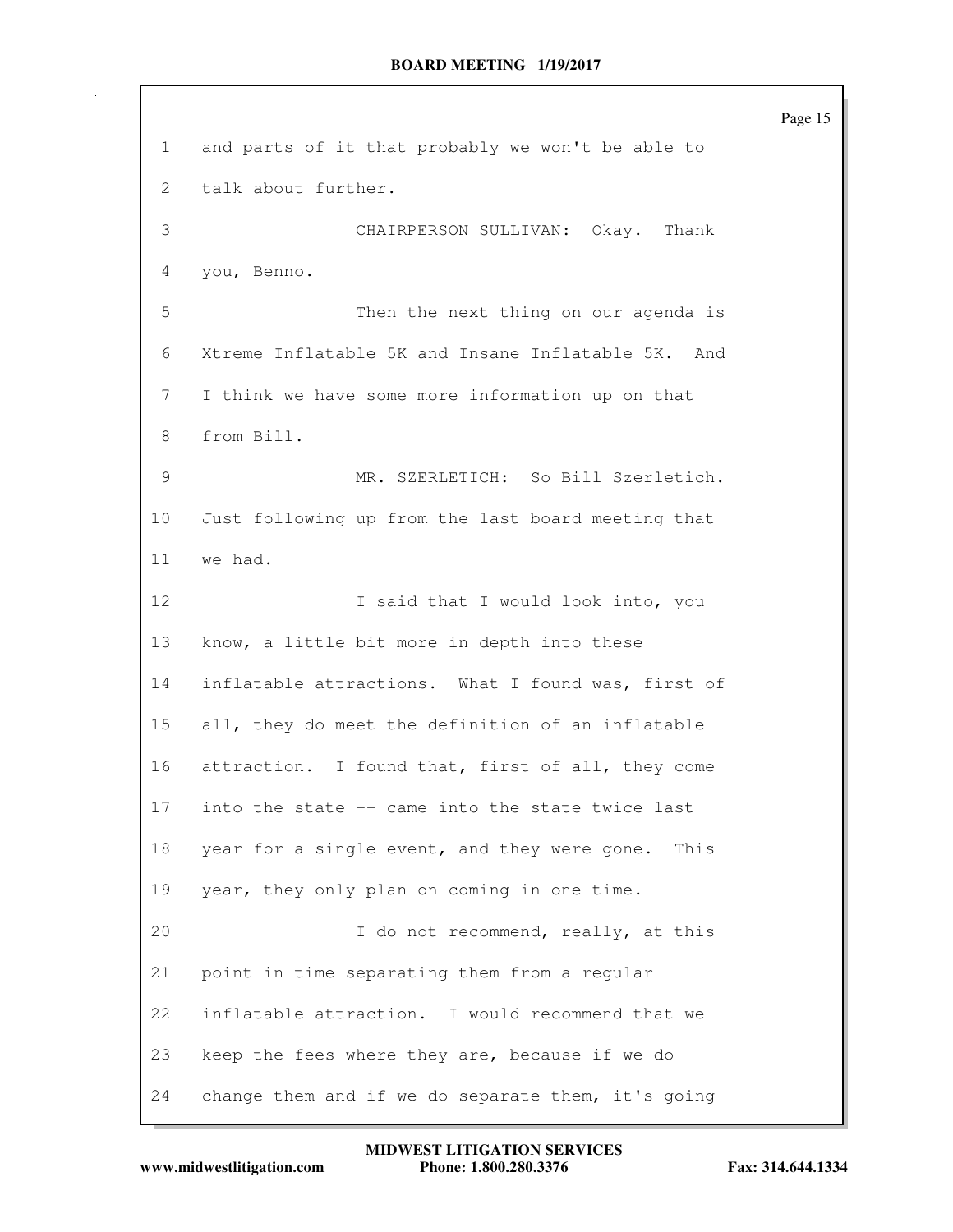Page 15 1 and parts of it that probably we won't be able to 2 talk about further. 3 CHAIRPERSON SULLIVAN: Okay. Thank 4 you, Benno. 5 Then the next thing on our agenda is 6 Xtreme Inflatable 5K and Insane Inflatable 5K. And 7 I think we have some more information up on that 8 from Bill. 9 MR. SZERLETICH: So Bill Szerletich. 10 Just following up from the last board meeting that 11 we had. 12 I said that I would look into, you 13 know, a little bit more in depth into these 14 inflatable attractions. What I found was, first of 15 all, they do meet the definition of an inflatable 16 attraction. I found that, first of all, they come 17 into the state -- came into the state twice last 18 year for a single event, and they were gone. This 19 year, they only plan on coming in one time. 20 I do not recommend, really, at this 21 point in time separating them from a regular 22 inflatable attraction. I would recommend that we 23 keep the fees where they are, because if we do 24 change them and if we do separate them, it's going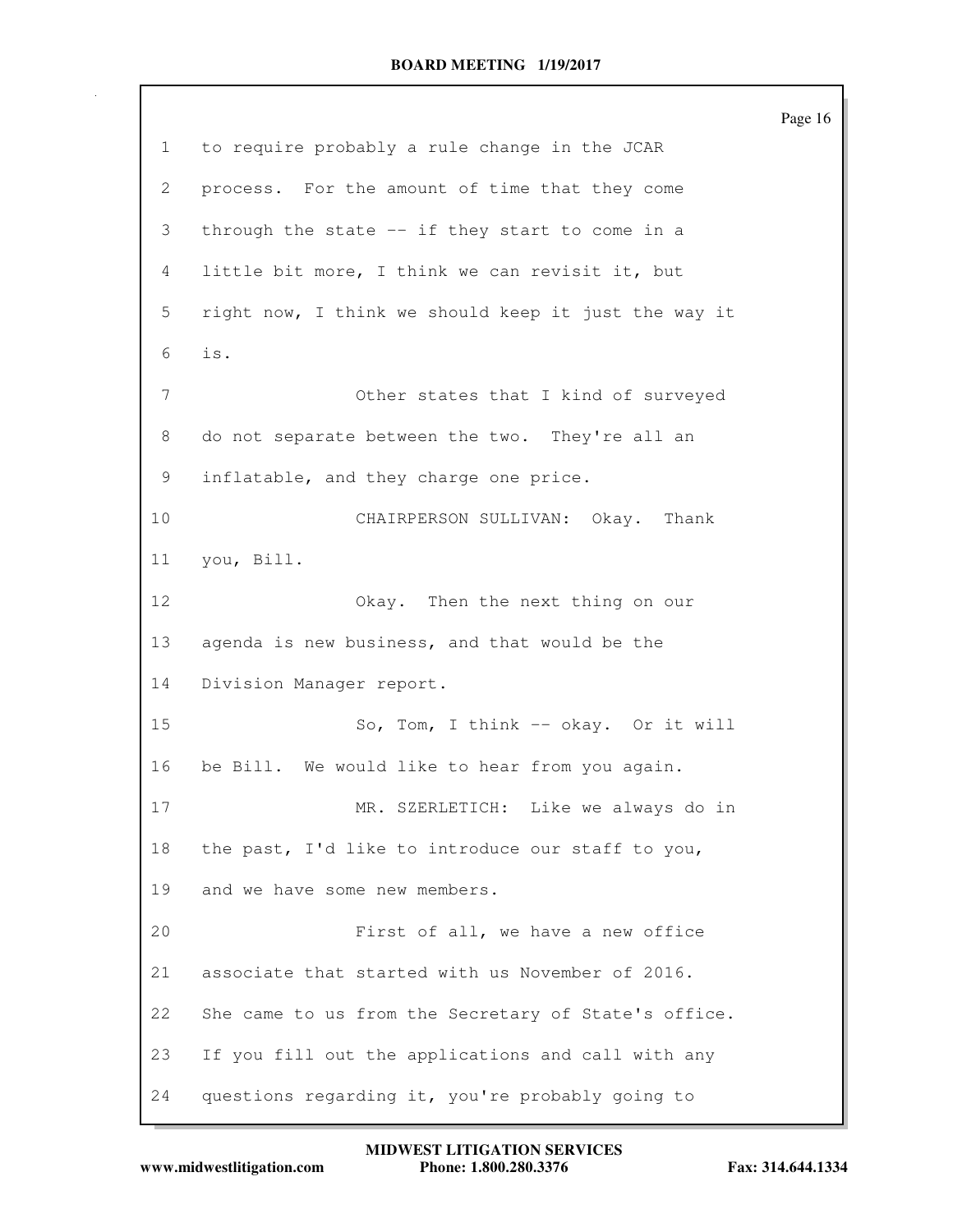|                |                                                      | Page 16 |
|----------------|------------------------------------------------------|---------|
| $\mathbf{1}$   | to require probably a rule change in the JCAR        |         |
| 2              | process. For the amount of time that they come       |         |
| 3              | through the state -- if they start to come in a      |         |
| 4              | little bit more, I think we can revisit it, but      |         |
| 5              | right now, I think we should keep it just the way it |         |
| 6              | is.                                                  |         |
| $\overline{7}$ | Other states that I kind of surveyed                 |         |
| 8              | do not separate between the two. They're all an      |         |
| 9              | inflatable, and they charge one price.               |         |
| 10             | CHAIRPERSON SULLIVAN: Okay. Thank                    |         |
| 11             | you, Bill.                                           |         |
| 12             | Okay. Then the next thing on our                     |         |
| 13             | agenda is new business, and that would be the        |         |
| 14             | Division Manager report.                             |         |
| 15             | So, Tom, I think -- okay. Or it will                 |         |
| 16             | be Bill. We would like to hear from you again.       |         |
| 17             | MR. SZERLETICH: Like we always do in                 |         |
| 18             | the past, I'd like to introduce our staff to you,    |         |
| 19             | and we have some new members.                        |         |
| 20             | First of all, we have a new office                   |         |
| 21             | associate that started with us November of 2016.     |         |
| 22             | She came to us from the Secretary of State's office. |         |
| 23             | If you fill out the applications and call with any   |         |
| 24             | questions regarding it, you're probably going to     |         |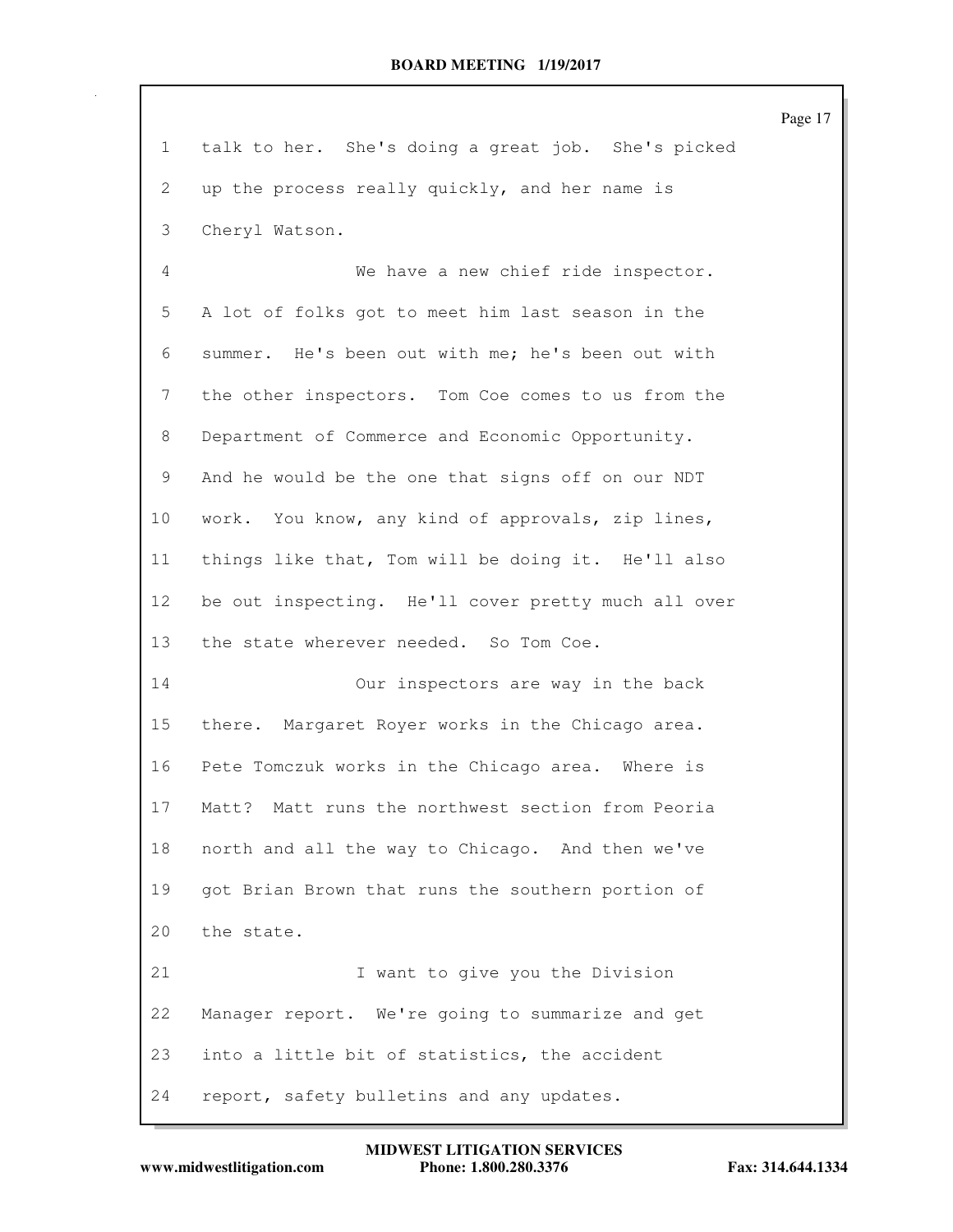|              |                                                     | Page 17 |
|--------------|-----------------------------------------------------|---------|
| $\mathbf{1}$ | talk to her. She's doing a great job. She's picked  |         |
| 2            | up the process really quickly, and her name is      |         |
| 3            | Cheryl Watson.                                      |         |
| 4            | We have a new chief ride inspector.                 |         |
| 5            | A lot of folks got to meet him last season in the   |         |
| 6            | summer. He's been out with me; he's been out with   |         |
| 7            | the other inspectors. Tom Coe comes to us from the  |         |
| 8            | Department of Commerce and Economic Opportunity.    |         |
| 9            | And he would be the one that signs off on our NDT   |         |
| 10           | work. You know, any kind of approvals, zip lines,   |         |
| 11           | things like that, Tom will be doing it. He'll also  |         |
| 12           | be out inspecting. He'll cover pretty much all over |         |
| 13           | the state wherever needed. So Tom Coe.              |         |
| 14           | Our inspectors are way in the back                  |         |
| 15           | there. Margaret Royer works in the Chicago area.    |         |
| 16           | Pete Tomczuk works in the Chicago area. Where is    |         |
| 17           | Matt? Matt runs the northwest section from Peoria   |         |
| 18           | north and all the way to Chicago. And then we've    |         |
| 19           | got Brian Brown that runs the southern portion of   |         |
| 20           | the state.                                          |         |
| 21           | I want to give you the Division                     |         |
| 22           | Manager report. We're going to summarize and get    |         |
| 23           | into a little bit of statistics, the accident       |         |
| 24           | report, safety bulletins and any updates.           |         |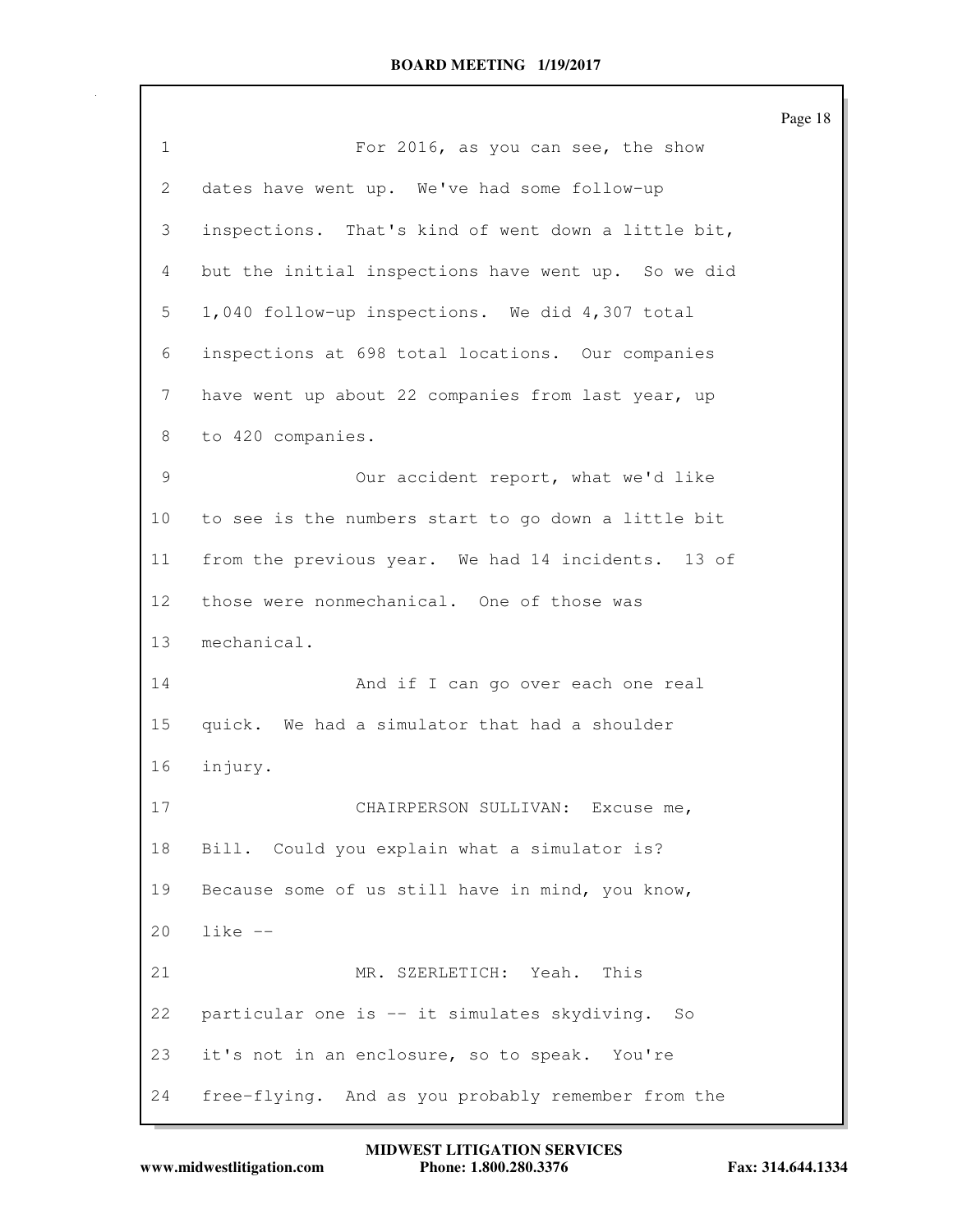|                 |                                                     | Page 18 |
|-----------------|-----------------------------------------------------|---------|
| $\mathbf{1}$    | For 2016, as you can see, the show                  |         |
| 2               | dates have went up. We've had some follow-up        |         |
| 3               | inspections. That's kind of went down a little bit, |         |
| 4               | but the initial inspections have went up. So we did |         |
| 5               | 1,040 follow-up inspections. We did 4,307 total     |         |
| 6               | inspections at 698 total locations. Our companies   |         |
| 7               | have went up about 22 companies from last year, up  |         |
| 8               | to 420 companies.                                   |         |
| 9               | Our accident report, what we'd like                 |         |
| 10              | to see is the numbers start to go down a little bit |         |
| 11              | from the previous year. We had 14 incidents. 13 of  |         |
| 12 <sup>°</sup> | those were nonmechanical. One of those was          |         |
| 13              | mechanical.                                         |         |
| 14              | And if I can go over each one real                  |         |
| 15              | quick. We had a simulator that had a shoulder       |         |
| 16              | injury.                                             |         |
| 17              | CHAIRPERSON SULLIVAN: Excuse me,                    |         |
| 18              | Bill. Could you explain what a simulator is?        |         |
| 19              | Because some of us still have in mind, you know,    |         |
| 20              | $like$ $-$                                          |         |
| 21              | MR. SZERLETICH: Yeah.<br>This                       |         |
| 22              | particular one is -- it simulates skydiving. So     |         |
| 23              | it's not in an enclosure, so to speak. You're       |         |
| 24              | free-flying. And as you probably remember from the  |         |

**www.midwestlitigation.com Phone: 1.800.280.3376 Fax: 314.644.1334 MIDWEST LITIGATION SERVICES**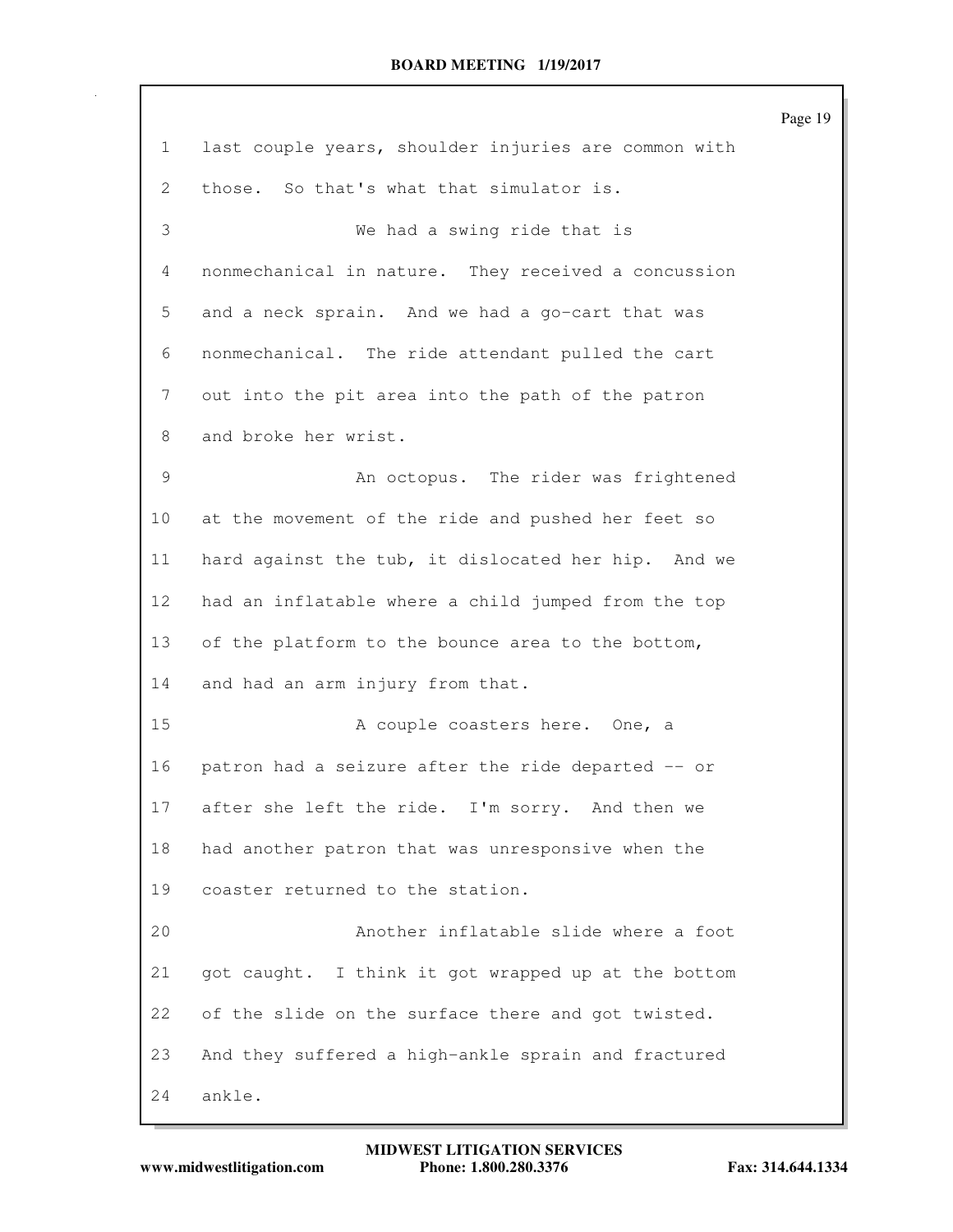|         |                                                      | Page 19 |
|---------|------------------------------------------------------|---------|
| 1       | last couple years, shoulder injuries are common with |         |
| 2       | those. So that's what that simulator is.             |         |
| 3       | We had a swing ride that is                          |         |
| 4       | nonmechanical in nature. They received a concussion  |         |
| 5       | and a neck sprain. And we had a go-cart that was     |         |
| 6       | nonmechanical. The ride attendant pulled the cart    |         |
| 7       | out into the pit area into the path of the patron    |         |
| 8       | and broke her wrist.                                 |         |
| 9       | An octopus. The rider was frightened                 |         |
| 10      | at the movement of the ride and pushed her feet so   |         |
| 11      | hard against the tub, it dislocated her hip. And we  |         |
| $12 \,$ | had an inflatable where a child jumped from the top  |         |
| 13      | of the platform to the bounce area to the bottom,    |         |
| 14      | and had an arm injury from that.                     |         |
| 15      | A couple coasters here. One, a                       |         |
| 16      | patron had a seizure after the ride departed -- or   |         |
| 17      | after she left the ride. I'm sorry. And then we      |         |
| 18      | had another patron that was unresponsive when the    |         |
| 19      | coaster returned to the station.                     |         |
| 20      | Another inflatable slide where a foot                |         |
| 21      | got caught. I think it got wrapped up at the bottom  |         |
| 22      | of the slide on the surface there and got twisted.   |         |
| 23      | And they suffered a high-ankle sprain and fractured  |         |
| 24      | ankle.                                               |         |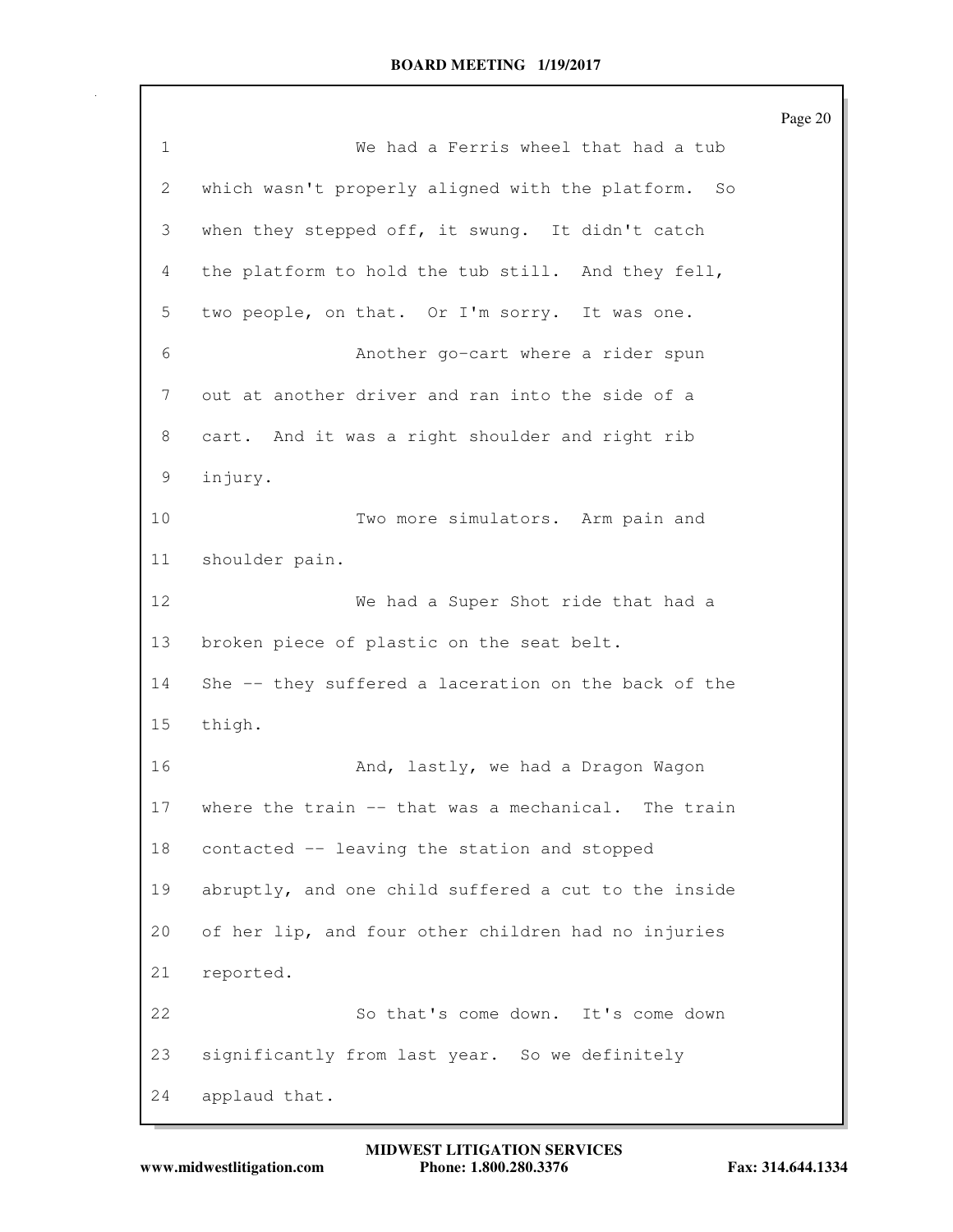|              |                                                      | Page 20 |
|--------------|------------------------------------------------------|---------|
| $\mathbf{1}$ | We had a Ferris wheel that had a tub                 |         |
| 2            | which wasn't properly aligned with the platform. So  |         |
| 3            | when they stepped off, it swung. It didn't catch     |         |
| 4            | the platform to hold the tub still. And they fell,   |         |
| 5            | two people, on that. Or I'm sorry. It was one.       |         |
| 6            | Another go-cart where a rider spun                   |         |
| 7            | out at another driver and ran into the side of a     |         |
| 8            | cart. And it was a right shoulder and right rib      |         |
| 9            | injury.                                              |         |
| 10           | Two more simulators. Arm pain and                    |         |
| 11           | shoulder pain.                                       |         |
| 12           | We had a Super Shot ride that had a                  |         |
| 13           | broken piece of plastic on the seat belt.            |         |
| 14           | She -- they suffered a laceration on the back of the |         |
| 15           | thigh.                                               |         |
| 16           | And, lastly, we had a Dragon Wagon                   |         |
| 17           | where the train -- that was a mechanical. The train  |         |
| 18           | contacted -- leaving the station and stopped         |         |
| 19           | abruptly, and one child suffered a cut to the inside |         |
| 20           | of her lip, and four other children had no injuries  |         |
| 21           | reported.                                            |         |
| 22           | So that's come down. It's come down                  |         |
| 23           | significantly from last year. So we definitely       |         |
| 24           | applaud that.                                        |         |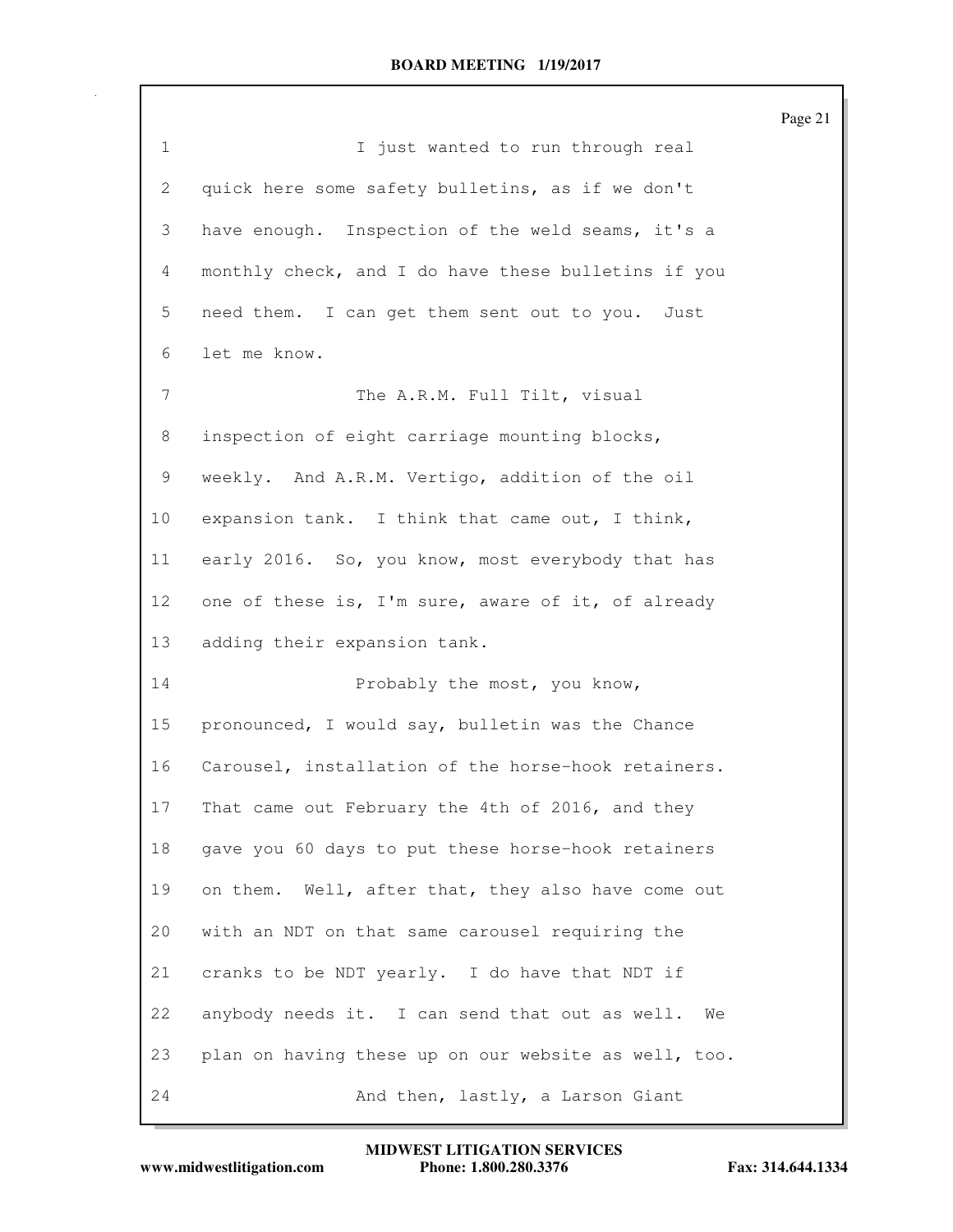|              |                                                      | Page 21 |
|--------------|------------------------------------------------------|---------|
| $\mathbf{1}$ | I just wanted to run through real                    |         |
| 2            | quick here some safety bulletins, as if we don't     |         |
| 3            | have enough. Inspection of the weld seams, it's a    |         |
| 4            | monthly check, and I do have these bulletins if you  |         |
| 5            | need them. I can get them sent out to you. Just      |         |
| 6            | let me know.                                         |         |
| 7            | The A.R.M. Full Tilt, visual                         |         |
| 8            | inspection of eight carriage mounting blocks,        |         |
| 9            | weekly. And A.R.M. Vertigo, addition of the oil      |         |
| 10           | expansion tank. I think that came out, I think,      |         |
| 11           | early 2016. So, you know, most everybody that has    |         |
| 12           | one of these is, I'm sure, aware of it, of already   |         |
| 13           | adding their expansion tank.                         |         |
| 14           | Probably the most, you know,                         |         |
| 15           | pronounced, I would say, bulletin was the Chance     |         |
| 16           | Carousel, installation of the horse-hook retainers.  |         |
| 17           | That came out February the 4th of 2016, and they     |         |
| 18           | gave you 60 days to put these horse-hook retainers   |         |
| 19           | on them. Well, after that, they also have come out   |         |
| 20           | with an NDT on that same carousel requiring the      |         |
| 21           | cranks to be NDT yearly. I do have that NDT if       |         |
| 22           | anybody needs it. I can send that out as well.<br>We |         |
| 23           | plan on having these up on our website as well, too. |         |
| 24           | And then, lastly, a Larson Giant                     |         |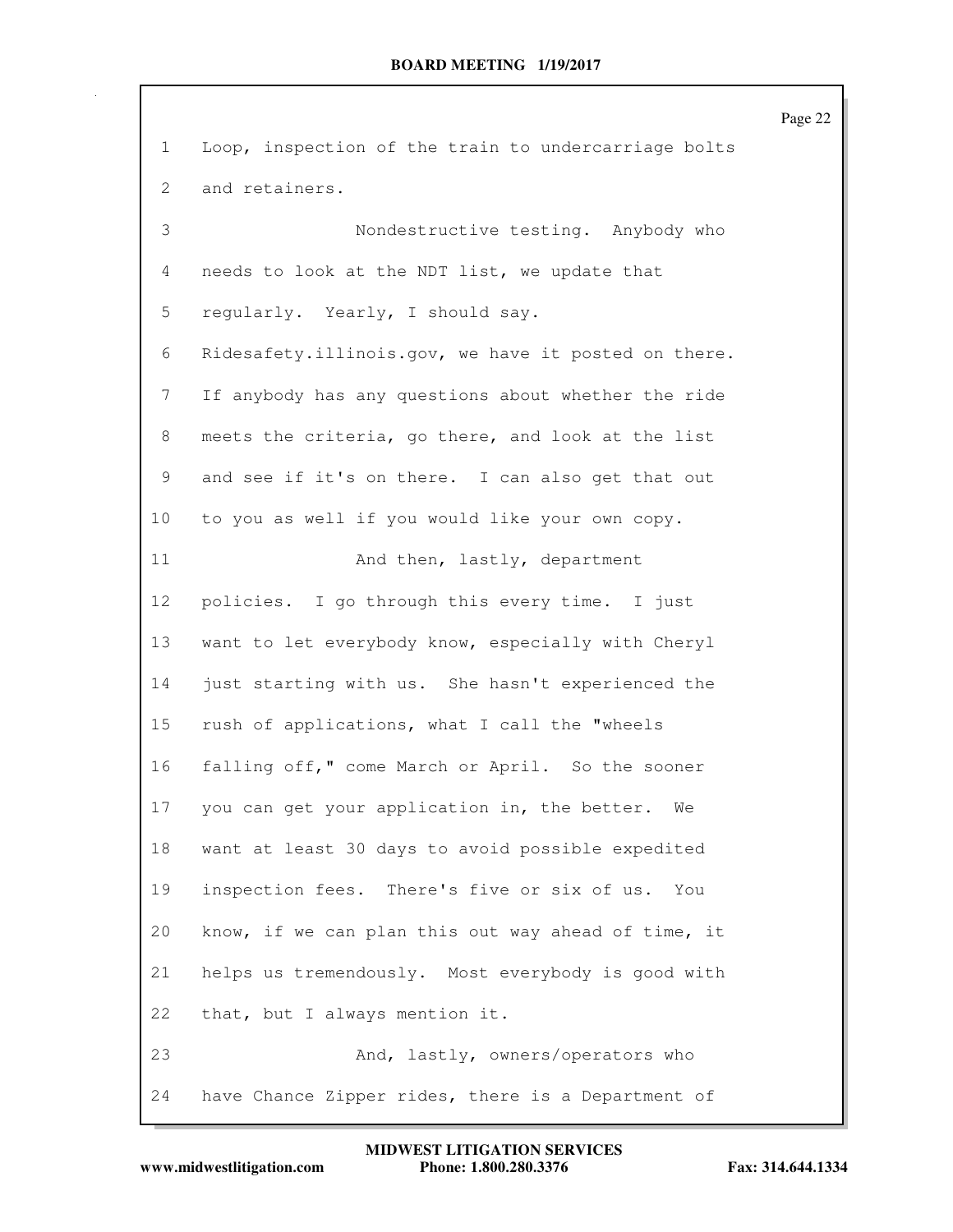|                 |                                                      | Page |
|-----------------|------------------------------------------------------|------|
| $\mathbf{1}$    | Loop, inspection of the train to undercarriage bolts |      |
| 2               | and retainers.                                       |      |
| 3               | Nondestructive testing. Anybody who                  |      |
| $\overline{4}$  | needs to look at the NDT list, we update that        |      |
| 5               | regularly. Yearly, I should say.                     |      |
| 6               | Ridesafety.illinois.gov, we have it posted on there. |      |
| 7               | If anybody has any questions about whether the ride  |      |
| 8               | meets the criteria, go there, and look at the list   |      |
| 9               | and see if it's on there. I can also get that out    |      |
| 10 <sub>o</sub> | to you as well if you would like your own copy.      |      |
| 11              | And then, lastly, department                         |      |
| 12              | policies. I go through this every time. I just       |      |
| 13              | want to let everybody know, especially with Cheryl   |      |
| 14              | just starting with us. She hasn't experienced the    |      |
| 15              | rush of applications, what I call the "wheels        |      |
| 16              | falling off," come March or April. So the sooner     |      |
| 17              | you can get your application in, the better. We      |      |
| 18              | want at least 30 days to avoid possible expedited    |      |
| 19              | inspection fees. There's five or six of us. You      |      |
| 20              | know, if we can plan this out way ahead of time, it  |      |
| 21              | helps us tremendously. Most everybody is good with   |      |
| 22              | that, but I always mention it.                       |      |
| 23              | And, lastly, owners/operators who                    |      |
| 24              | have Chance Zipper rides, there is a Department of   |      |

22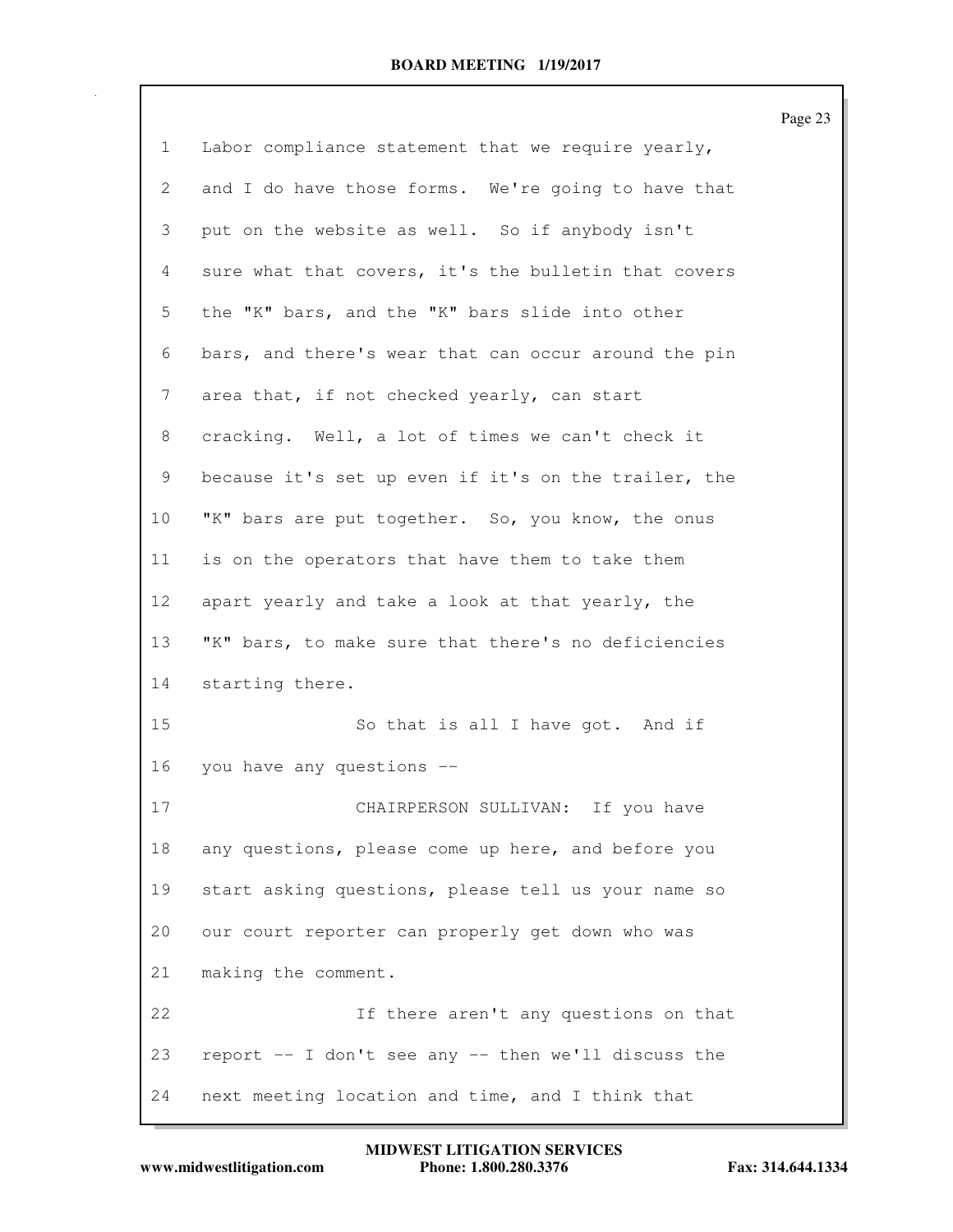|                 |                                                      | Page 23 |
|-----------------|------------------------------------------------------|---------|
| 1               | Labor compliance statement that we require yearly,   |         |
| 2               | and I do have those forms. We're going to have that  |         |
| 3               | put on the website as well. So if anybody isn't      |         |
| 4               | sure what that covers, it's the bulletin that covers |         |
| 5               | the "K" bars, and the "K" bars slide into other      |         |
| 6               | bars, and there's wear that can occur around the pin |         |
| 7               | area that, if not checked yearly, can start          |         |
| 8               | cracking. Well, a lot of times we can't check it     |         |
| 9               | because it's set up even if it's on the trailer, the |         |
| 10              | "K" bars are put together. So, you know, the onus    |         |
| 11              | is on the operators that have them to take them      |         |
| 12 <sup>°</sup> | apart yearly and take a look at that yearly, the     |         |
| 13              | "K" bars, to make sure that there's no deficiencies  |         |
| 14              | starting there.                                      |         |
| 15              | So that is all I have got. And if                    |         |
| 16              | you have any questions --                            |         |
| 17              | CHAIRPERSON SULLIVAN: If you have                    |         |
| 18              | any questions, please come up here, and before you   |         |
| 19              | start asking questions, please tell us your name so  |         |
| 20              | our court reporter can properly get down who was     |         |
| 21              | making the comment.                                  |         |
| 22              | If there aren't any questions on that                |         |
| 23              | report -- I don't see any -- then we'll discuss the  |         |
| 24              | next meeting location and time, and I think that     |         |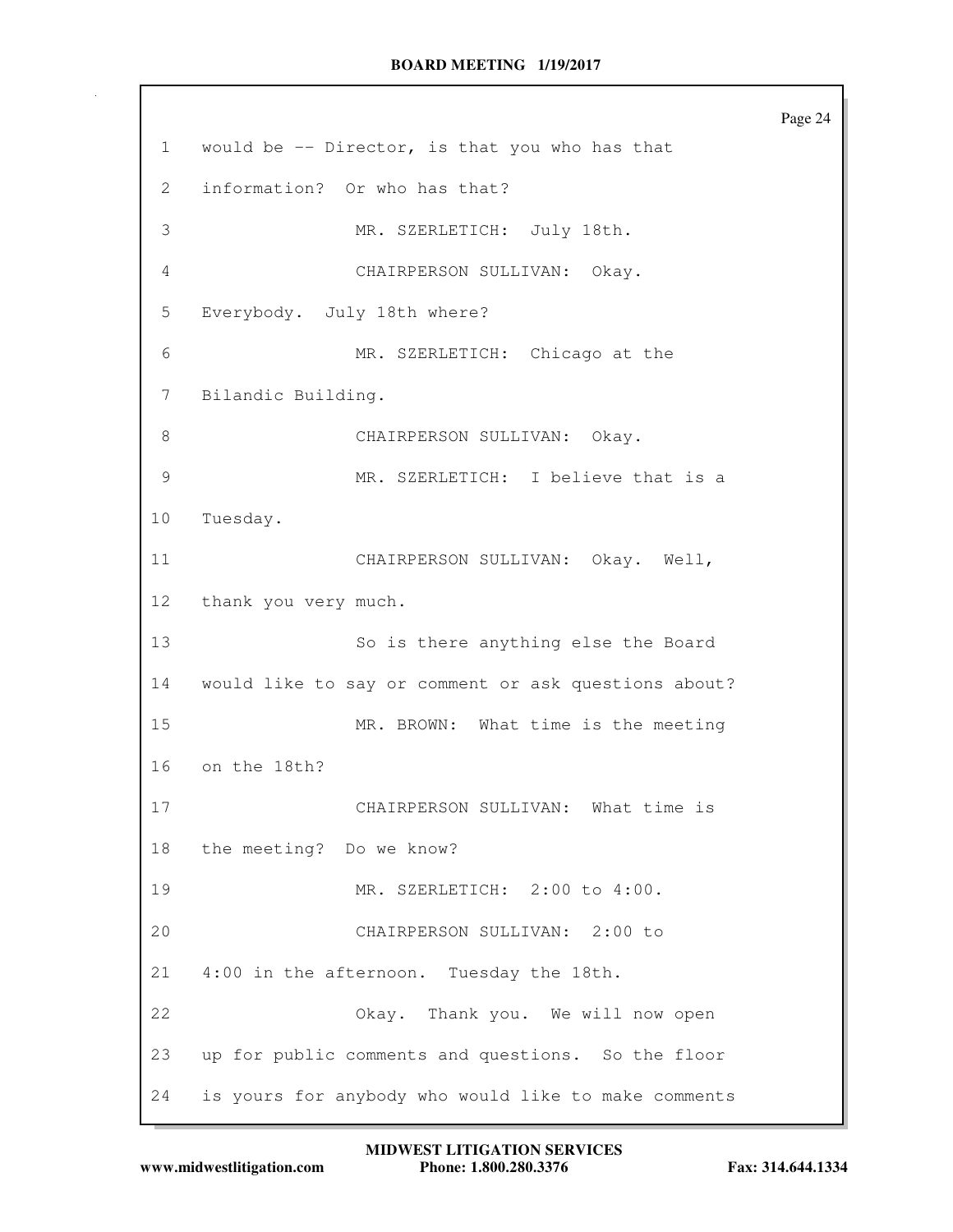Page 24 1 would be -- Director, is that you who has that 2 information? Or who has that? 3 MR. SZERLETICH: July 18th. 4 CHAIRPERSON SULLIVAN: Okay. 5 Everybody. July 18th where? 6 MR. SZERLETICH: Chicago at the 7 Bilandic Building. 8 CHAIRPERSON SULLIVAN: Okay. 9 MR. SZERLETICH: I believe that is a 10 Tuesday. 11 CHAIRPERSON SULLIVAN: Okay. Well, 12 thank you very much. 13 So is there anything else the Board 14 would like to say or comment or ask questions about? 15 MR. BROWN: What time is the meeting 16 on the 18th? 17 CHAIRPERSON SULLIVAN: What time is 18 the meeting? Do we know? 19 MR. SZERLETICH: 2:00 to 4:00. 20 CHAIRPERSON SULLIVAN: 2:00 to 21 4:00 in the afternoon. Tuesday the 18th. 22 Okay. Thank you. We will now open 23 up for public comments and questions. So the floor 24 is yours for anybody who would like to make comments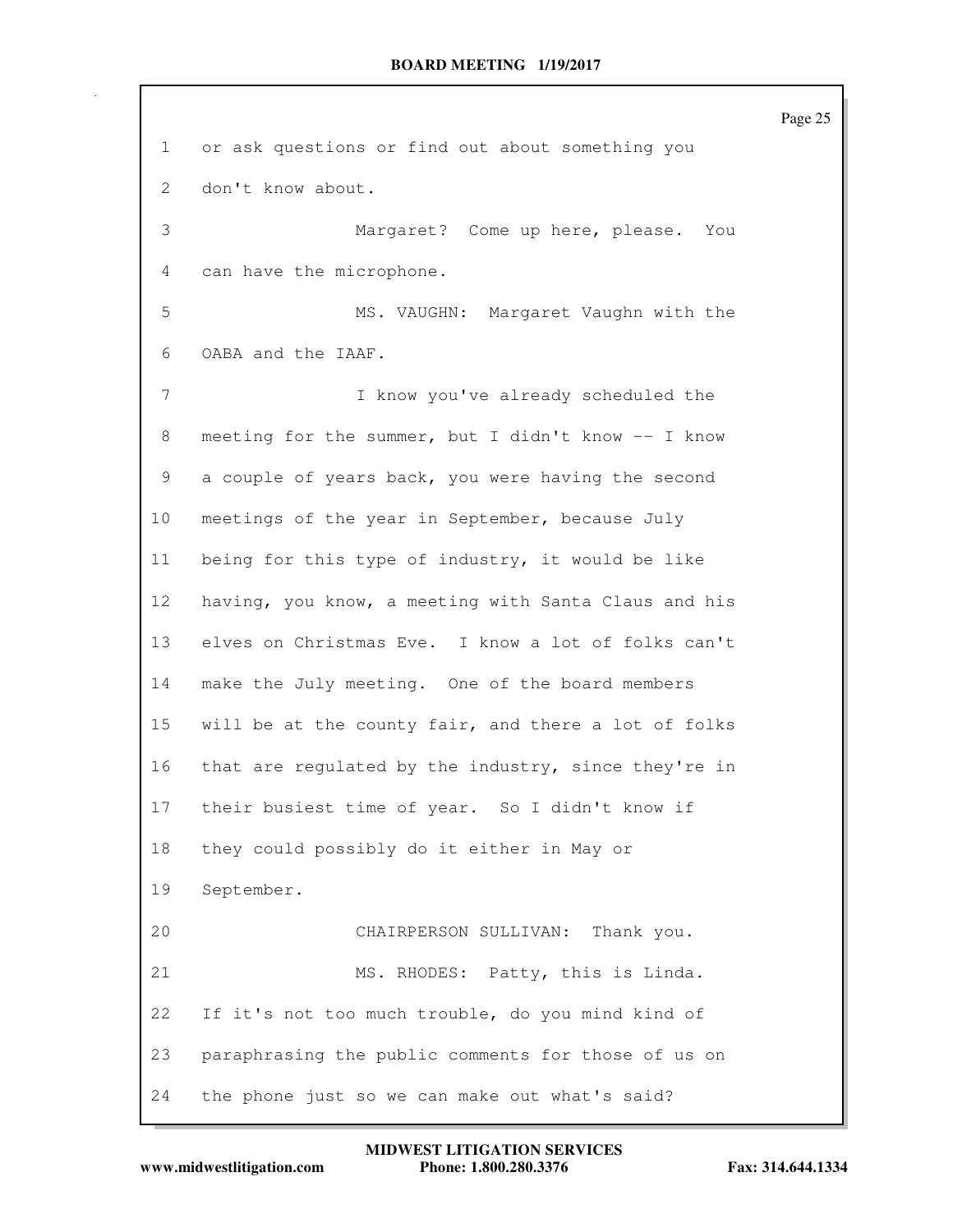Page 25 1 or ask questions or find out about something you 2 don't know about. 3 Margaret? Come up here, please. You 4 can have the microphone. 5 MS. VAUGHN: Margaret Vaughn with the 6 OABA and the IAAF. 7 I know you've already scheduled the 8 meeting for the summer, but I didn't know -- I know 9 a couple of years back, you were having the second 10 meetings of the year in September, because July 11 being for this type of industry, it would be like 12 having, you know, a meeting with Santa Claus and his 13 elves on Christmas Eve. I know a lot of folks can't 14 make the July meeting. One of the board members 15 will be at the county fair, and there a lot of folks 16 that are regulated by the industry, since they're in 17 their busiest time of year. So I didn't know if 18 they could possibly do it either in May or 19 September. 20 CHAIRPERSON SULLIVAN: Thank you. 21 MS. RHODES: Patty, this is Linda. 22 If it's not too much trouble, do you mind kind of 23 paraphrasing the public comments for those of us on 24 the phone just so we can make out what's said?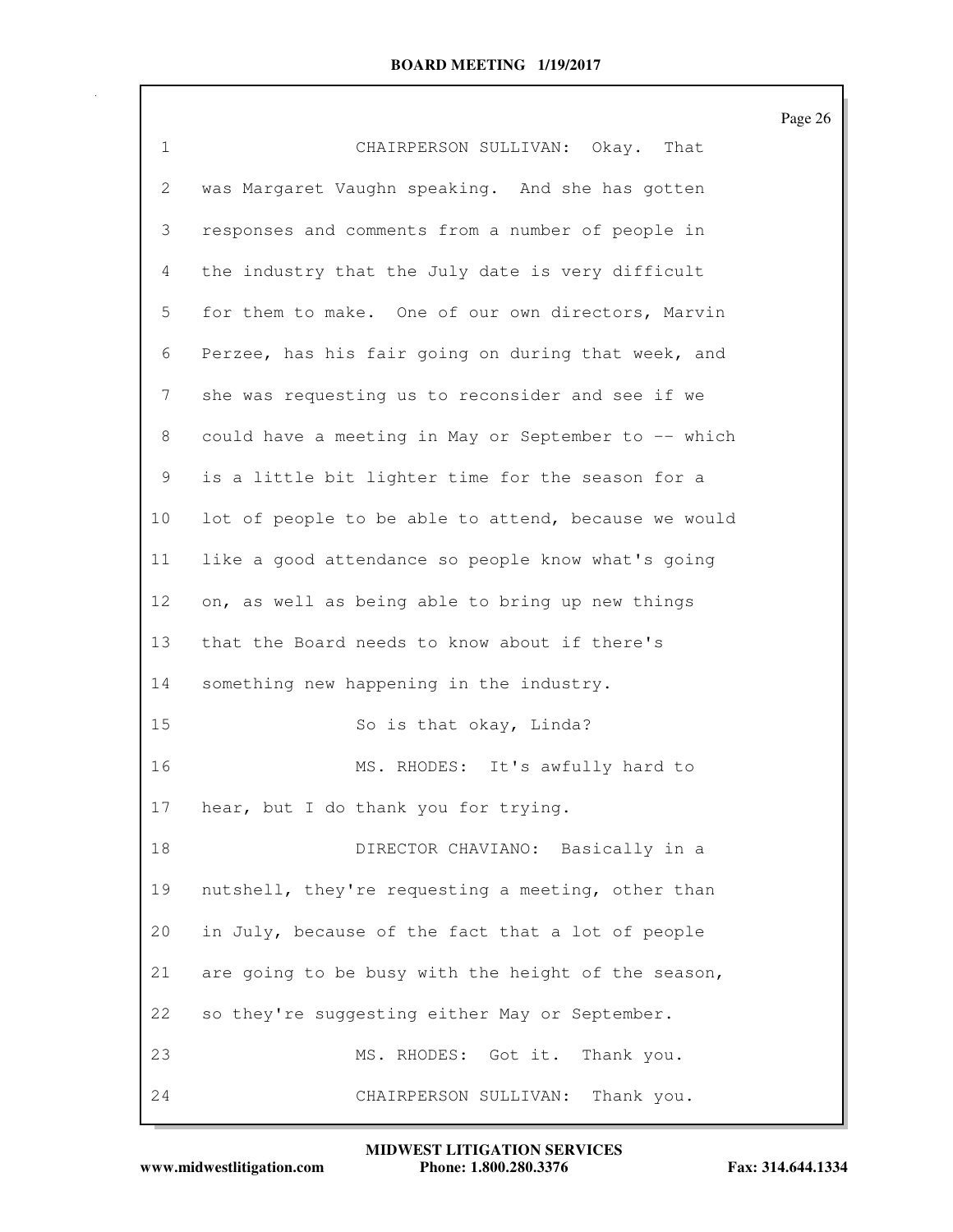|              |                                                      | Page 26 |
|--------------|------------------------------------------------------|---------|
| $\mathbf{1}$ | CHAIRPERSON SULLIVAN: Okay. That                     |         |
| 2            | was Margaret Vaughn speaking. And she has gotten     |         |
| 3            | responses and comments from a number of people in    |         |
| 4            | the industry that the July date is very difficult    |         |
| 5            | for them to make. One of our own directors, Marvin   |         |
| 6            | Perzee, has his fair going on during that week, and  |         |
| 7            | she was requesting us to reconsider and see if we    |         |
| 8            | could have a meeting in May or September to -- which |         |
| 9            | is a little bit lighter time for the season for a    |         |
| 10           | lot of people to be able to attend, because we would |         |
| 11           | like a good attendance so people know what's going   |         |
| 12           | on, as well as being able to bring up new things     |         |
| 13           | that the Board needs to know about if there's        |         |
| 14           | something new happening in the industry.             |         |
| 15           | So is that okay, Linda?                              |         |
| 16           | MS. RHODES: It's awfully hard to                     |         |
| 17           | hear, but I do thank you for trying.                 |         |
| 18           | DIRECTOR CHAVIANO: Basically in a                    |         |
| 19           | nutshell, they're requesting a meeting, other than   |         |
| 20           | in July, because of the fact that a lot of people    |         |
| 21           | are going to be busy with the height of the season,  |         |
| 22           | so they're suggesting either May or September.       |         |
| 23           | MS. RHODES: Got it.<br>Thank you.                    |         |
| 24           | CHAIRPERSON SULLIVAN:<br>Thank you.                  |         |

**www.midwestlitigation.com Phone: 1.800.280.3376 Fax: 314.644.1334 MIDWEST LITIGATION SERVICES**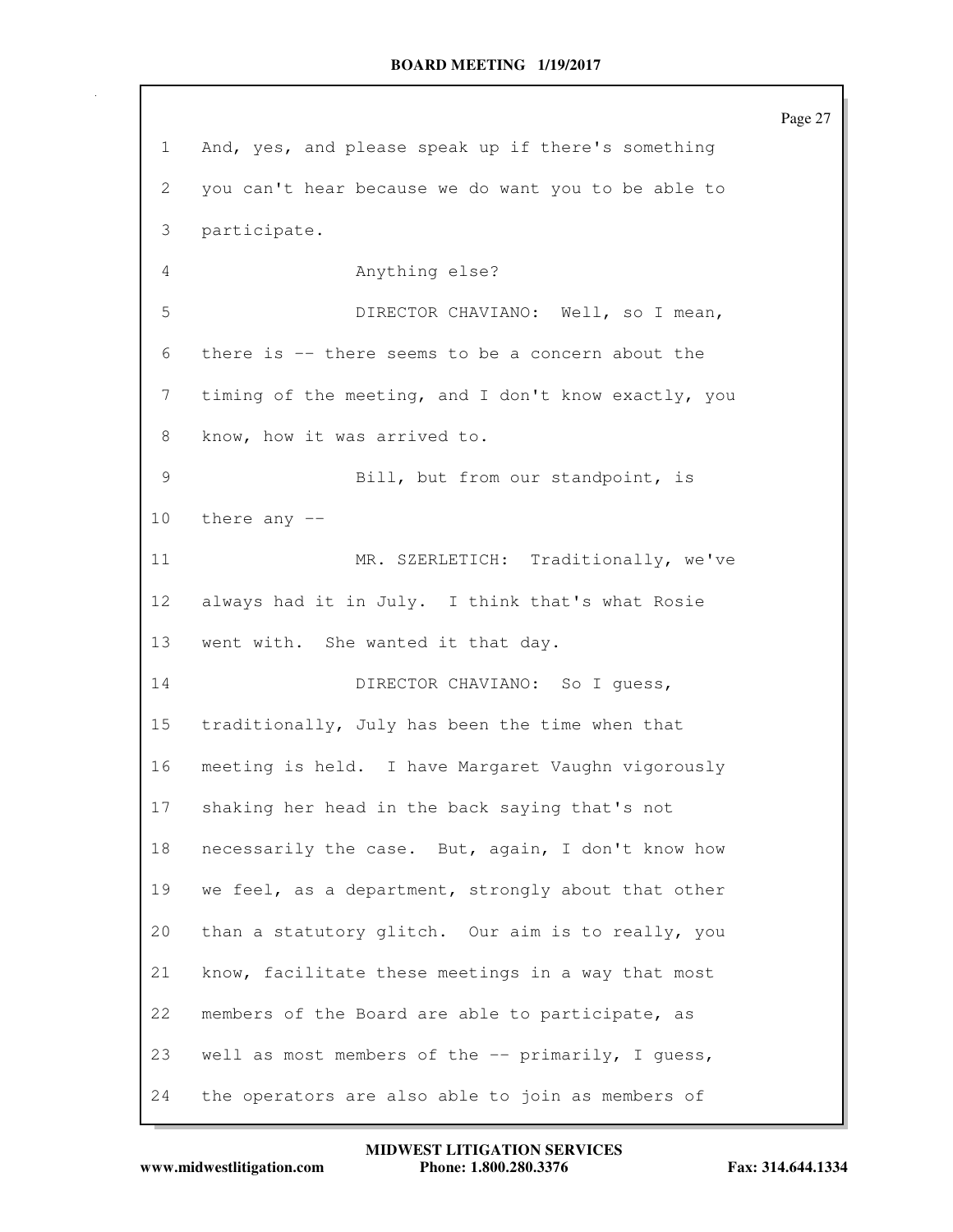Page 27 1 And, yes, and please speak up if there's something 2 you can't hear because we do want you to be able to 3 participate. 4 Anything else? 5 DIRECTOR CHAVIANO: Well, so I mean, 6 there is -- there seems to be a concern about the 7 timing of the meeting, and I don't know exactly, you 8 know, how it was arrived to. 9 Bill, but from our standpoint, is 10 there any -- 11 MR. SZERLETICH: Traditionally, we've 12 always had it in July. I think that's what Rosie 13 went with. She wanted it that day. 14 DIRECTOR CHAVIANO: So I quess, 15 traditionally, July has been the time when that 16 meeting is held. I have Margaret Vaughn vigorously 17 shaking her head in the back saying that's not 18 necessarily the case. But, again, I don't know how 19 we feel, as a department, strongly about that other 20 than a statutory glitch. Our aim is to really, you 21 know, facilitate these meetings in a way that most 22 members of the Board are able to participate, as 23 well as most members of the -- primarily, I quess, 24 the operators are also able to join as members of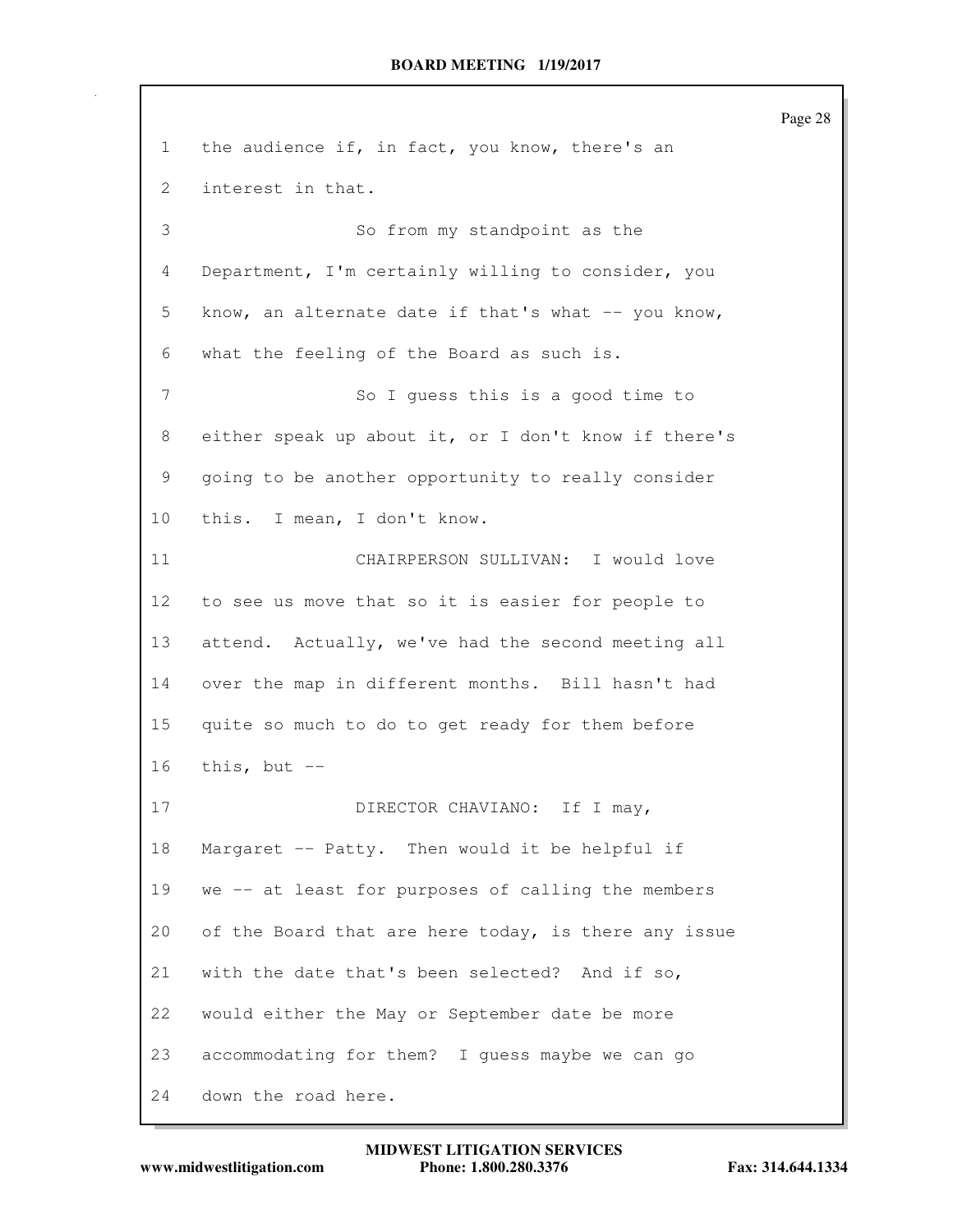Page 28 1 the audience if, in fact, you know, there's an 2 interest in that. 3 So from my standpoint as the 4 Department, I'm certainly willing to consider, you 5 know, an alternate date if that's what -- you know, 6 what the feeling of the Board as such is. 7 So I guess this is a good time to 8 either speak up about it, or I don't know if there's 9 going to be another opportunity to really consider 10 this. I mean, I don't know. 11 CHAIRPERSON SULLIVAN: I would love 12 to see us move that so it is easier for people to 13 attend. Actually, we've had the second meeting all 14 over the map in different months. Bill hasn't had 15 quite so much to do to get ready for them before  $16$  this, but  $-$ 17 DIRECTOR CHAVIANO: If I may, 18 Margaret -- Patty. Then would it be helpful if 19 we -- at least for purposes of calling the members 20 of the Board that are here today, is there any issue 21 with the date that's been selected? And if so, 22 would either the May or September date be more 23 accommodating for them? I guess maybe we can go 24 down the road here.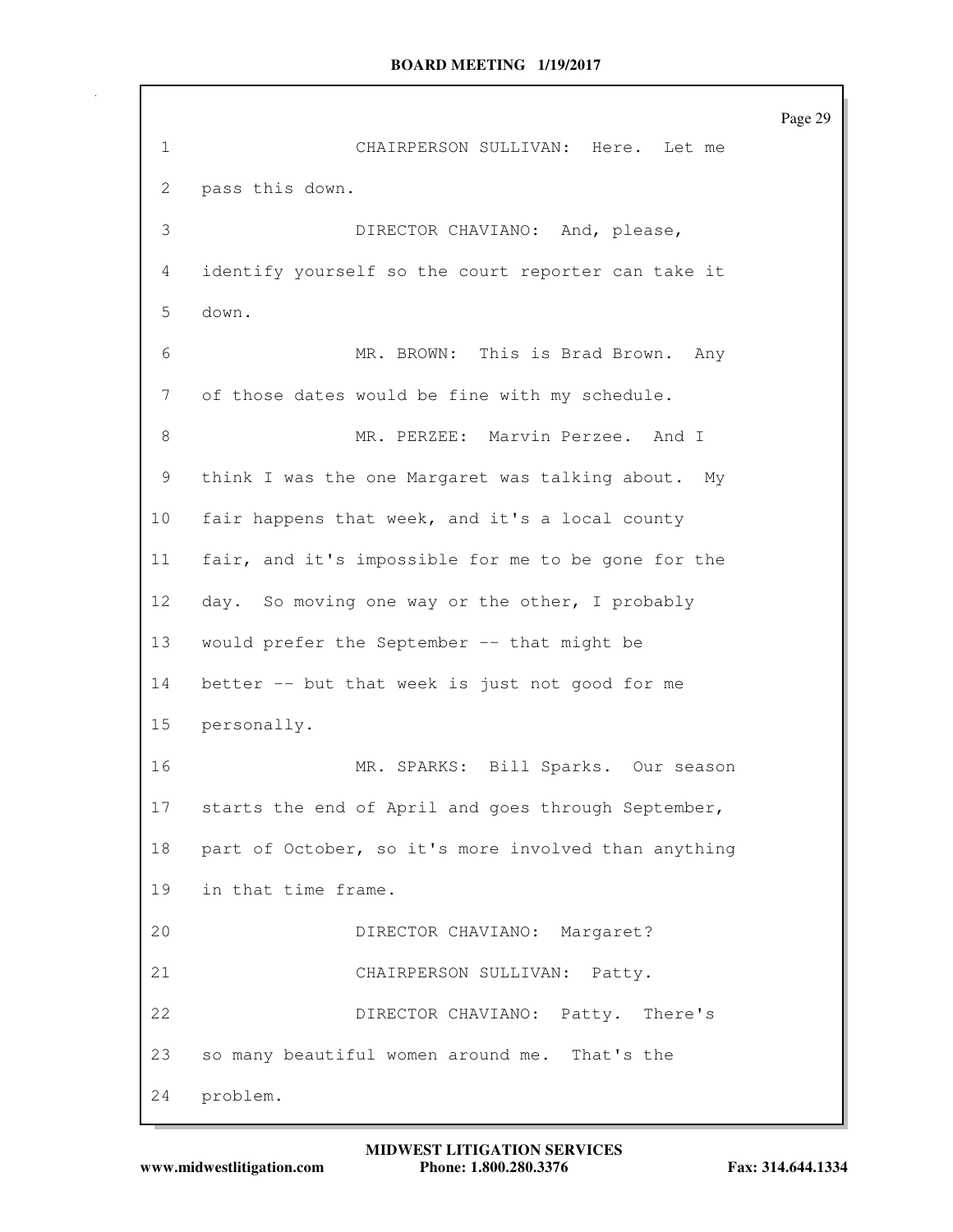Page 29 1 CHAIRPERSON SULLIVAN: Here. Let me 2 pass this down. 3 DIRECTOR CHAVIANO: And, please, 4 identify yourself so the court reporter can take it 5 down. 6 MR. BROWN: This is Brad Brown. Any 7 of those dates would be fine with my schedule. 8 MR. PERZEE: Marvin Perzee. And I 9 think I was the one Margaret was talking about. My 10 fair happens that week, and it's a local county 11 fair, and it's impossible for me to be gone for the 12 day. So moving one way or the other, I probably 13 would prefer the September -- that might be 14 better -- but that week is just not good for me 15 personally. 16 MR. SPARKS: Bill Sparks. Our season 17 starts the end of April and goes through September, 18 part of October, so it's more involved than anything 19 in that time frame. 20 DIRECTOR CHAVIANO: Margaret? 21 CHAIRPERSON SULLIVAN: Patty. 22 DIRECTOR CHAVIANO: Patty. There's 23 so many beautiful women around me. That's the 24 problem.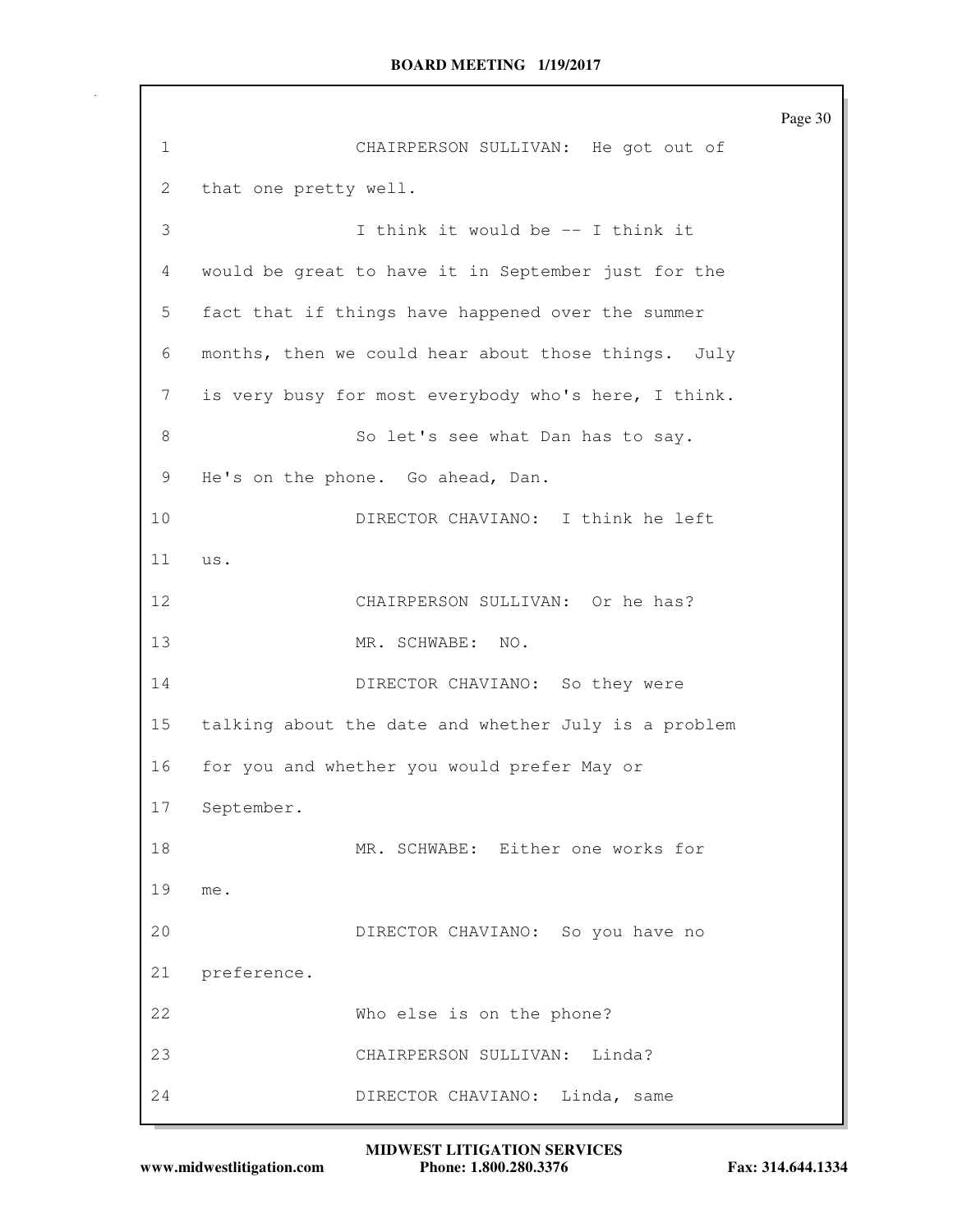Page 30 1 CHAIRPERSON SULLIVAN: He got out of 2 that one pretty well. 3 I think it would be -- I think it 4 would be great to have it in September just for the 5 fact that if things have happened over the summer 6 months, then we could hear about those things. July 7 is very busy for most everybody who's here, I think. 8 So let's see what Dan has to say. 9 He's on the phone. Go ahead, Dan. 10 DIRECTOR CHAVIANO: I think he left 11 us. 12 CHAIRPERSON SULLIVAN: Or he has? 13 MR. SCHWABE: NO. 14 DIRECTOR CHAVIANO: So they were 15 talking about the date and whether July is a problem 16 for you and whether you would prefer May or 17 September. 18 MR. SCHWABE: Either one works for 19 me. 20 DIRECTOR CHAVIANO: So you have no 21 preference. 22 Who else is on the phone? 23 CHAIRPERSON SULLIVAN: Linda? 24 DIRECTOR CHAVIANO: Linda, same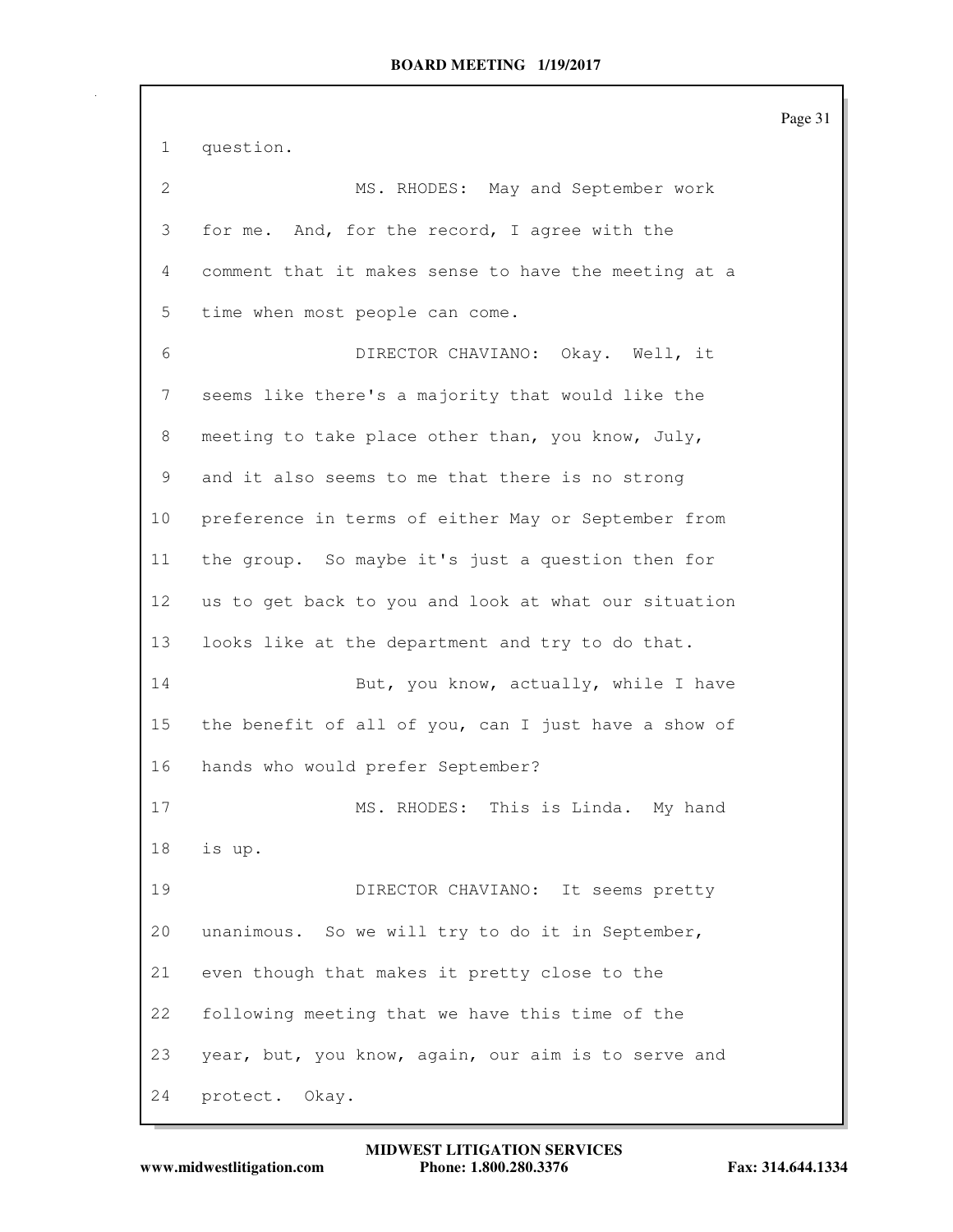1 question. 2 MS. RHODES: May and September work 3 for me. And, for the record, I agree with the 4 comment that it makes sense to have the meeting at a 5 time when most people can come. 6 DIRECTOR CHAVIANO: Okay. Well, it 7 seems like there's a majority that would like the 8 meeting to take place other than, you know, July, 9 and it also seems to me that there is no strong 10 preference in terms of either May or September from 11 the group. So maybe it's just a question then for 12 us to get back to you and look at what our situation 13 looks like at the department and try to do that. 14 But, you know, actually, while I have 15 the benefit of all of you, can I just have a show of 16 hands who would prefer September? 17 MS. RHODES: This is Linda. My hand 18 is up. 19 DIRECTOR CHAVIANO: It seems pretty 20 unanimous. So we will try to do it in September, 21 even though that makes it pretty close to the 22 following meeting that we have this time of the 23 year, but, you know, again, our aim is to serve and 24 protect. Okay.

Page 31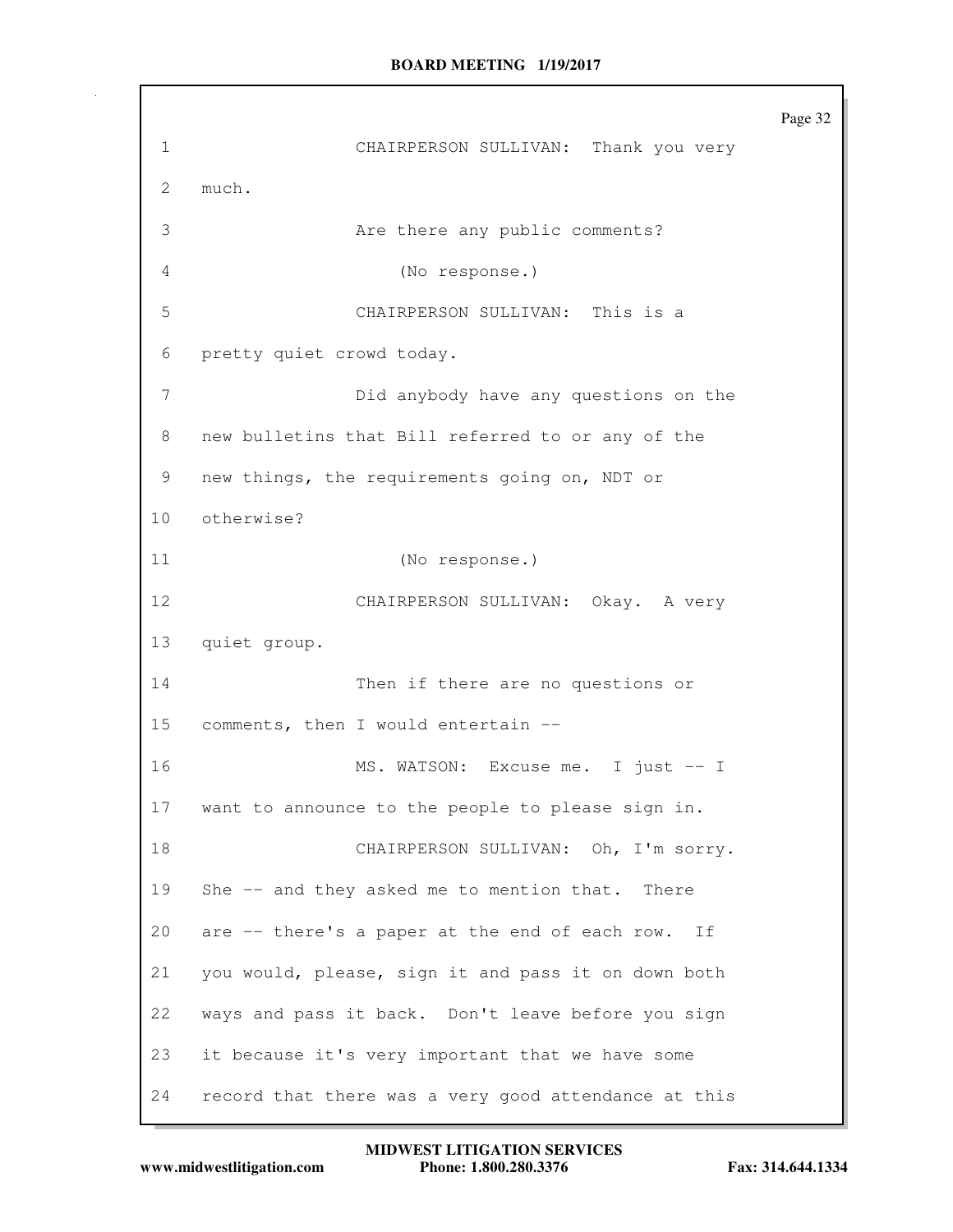Page 32 1 CHAIRPERSON SULLIVAN: Thank you very 2 much. 3 Are there any public comments? 4 (No response.) 5 CHAIRPERSON SULLIVAN: This is a 6 pretty quiet crowd today. 7 Did anybody have any questions on the 8 new bulletins that Bill referred to or any of the 9 new things, the requirements going on, NDT or 10 otherwise? 11 (No response.) 12 CHAIRPERSON SULLIVAN: Okay. A very 13 quiet group. 14 Then if there are no questions or 15 comments, then I would entertain -- 16 MS. WATSON: Excuse me. I just -- I 17 want to announce to the people to please sign in. 18 CHAIRPERSON SULLIVAN: Oh, I'm sorry. 19 She -- and they asked me to mention that. There 20 are -- there's a paper at the end of each row. If 21 you would, please, sign it and pass it on down both 22 ways and pass it back. Don't leave before you sign 23 it because it's very important that we have some 24 record that there was a very good attendance at this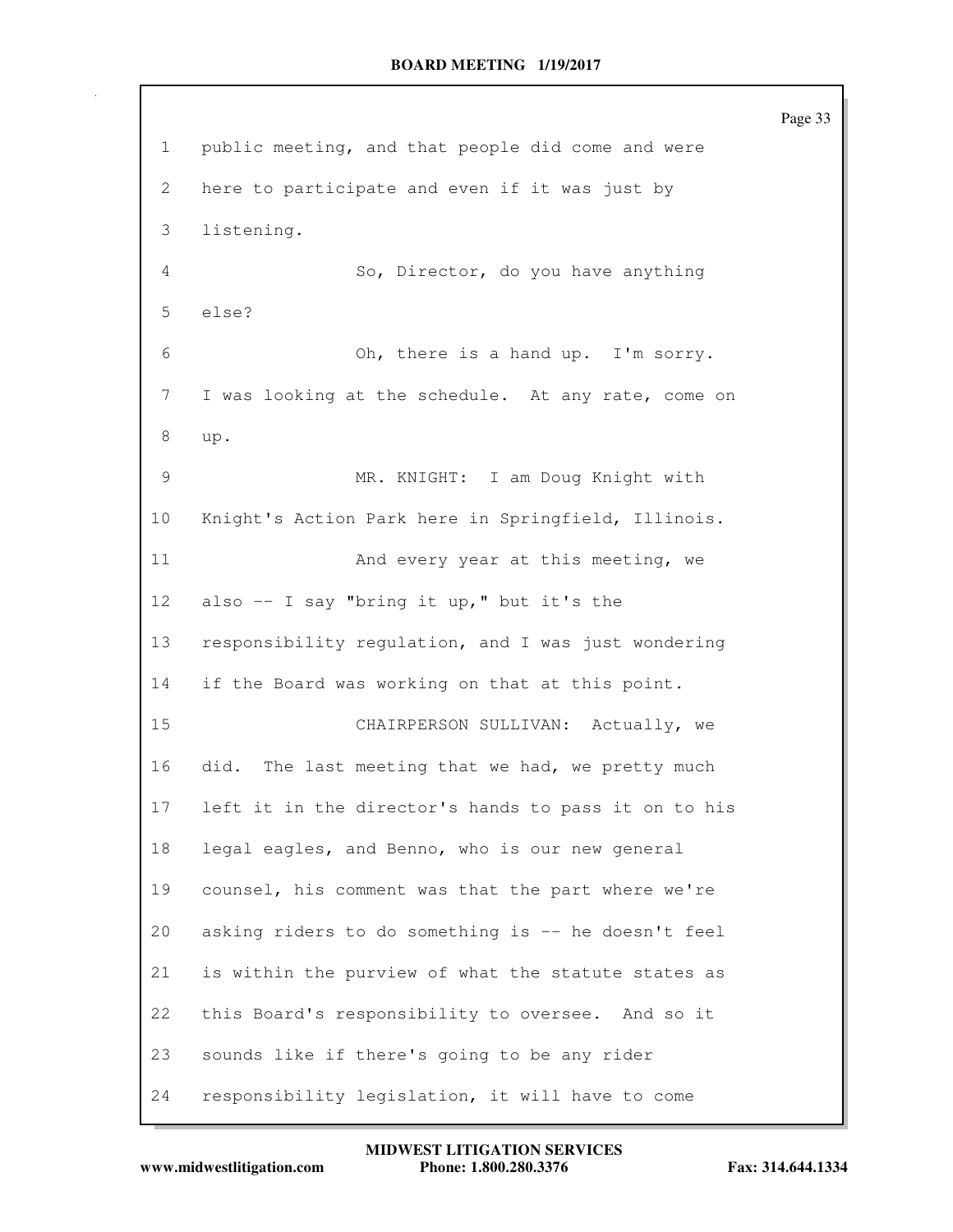Page 33 1 public meeting, and that people did come and were 2 here to participate and even if it was just by 3 listening. 4 So, Director, do you have anything 5 else? 6 Oh, there is a hand up. I'm sorry. 7 I was looking at the schedule. At any rate, come on 8 up. 9 MR. KNIGHT: I am Doug Knight with 10 Knight's Action Park here in Springfield, Illinois. 11 And every year at this meeting, we 12 also -- I say "bring it up," but it's the 13 responsibility regulation, and I was just wondering 14 if the Board was working on that at this point. 15 CHAIRPERSON SULLIVAN: Actually, we 16 did. The last meeting that we had, we pretty much 17 left it in the director's hands to pass it on to his 18 legal eagles, and Benno, who is our new general 19 counsel, his comment was that the part where we're 20 asking riders to do something is -- he doesn't feel 21 is within the purview of what the statute states as 22 this Board's responsibility to oversee. And so it 23 sounds like if there's going to be any rider 24 responsibility legislation, it will have to come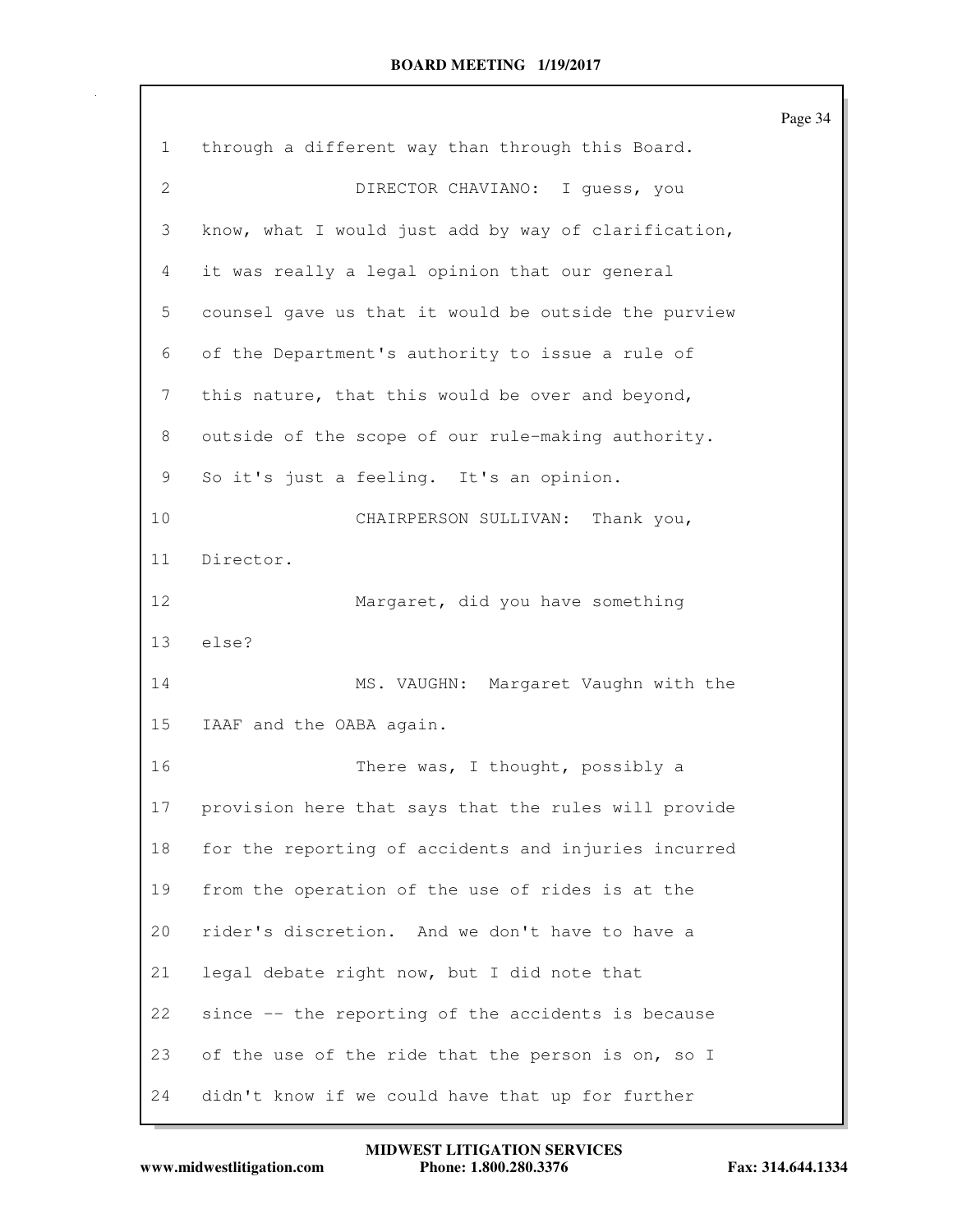|              |                                                      | Page 34 |
|--------------|------------------------------------------------------|---------|
| 1            | through a different way than through this Board.     |         |
| $\mathbf{2}$ | DIRECTOR CHAVIANO: I guess, you                      |         |
| 3            | know, what I would just add by way of clarification, |         |
| 4            | it was really a legal opinion that our general       |         |
| 5            | counsel gave us that it would be outside the purview |         |
| 6            | of the Department's authority to issue a rule of     |         |
| 7            | this nature, that this would be over and beyond,     |         |
| 8            | outside of the scope of our rule-making authority.   |         |
| 9            | So it's just a feeling. It's an opinion.             |         |
| 10           | CHAIRPERSON SULLIVAN:<br>Thank you,                  |         |
| 11           | Director.                                            |         |
| 12           | Margaret, did you have something                     |         |
| 13           | else?                                                |         |
| 14           | MS. VAUGHN: Margaret Vaughn with the                 |         |
| 15           | IAAF and the OABA again.                             |         |
| 16           | There was, I thought, possibly a                     |         |
| 17           | provision here that says that the rules will provide |         |
| 18           | for the reporting of accidents and injuries incurred |         |
| 19           | from the operation of the use of rides is at the     |         |
| 20           | rider's discretion. And we don't have to have a      |         |
| 21           | legal debate right now, but I did note that          |         |
| 22           | since -- the reporting of the accidents is because   |         |
| 23           | of the use of the ride that the person is on, so I   |         |
| 24           | didn't know if we could have that up for further     |         |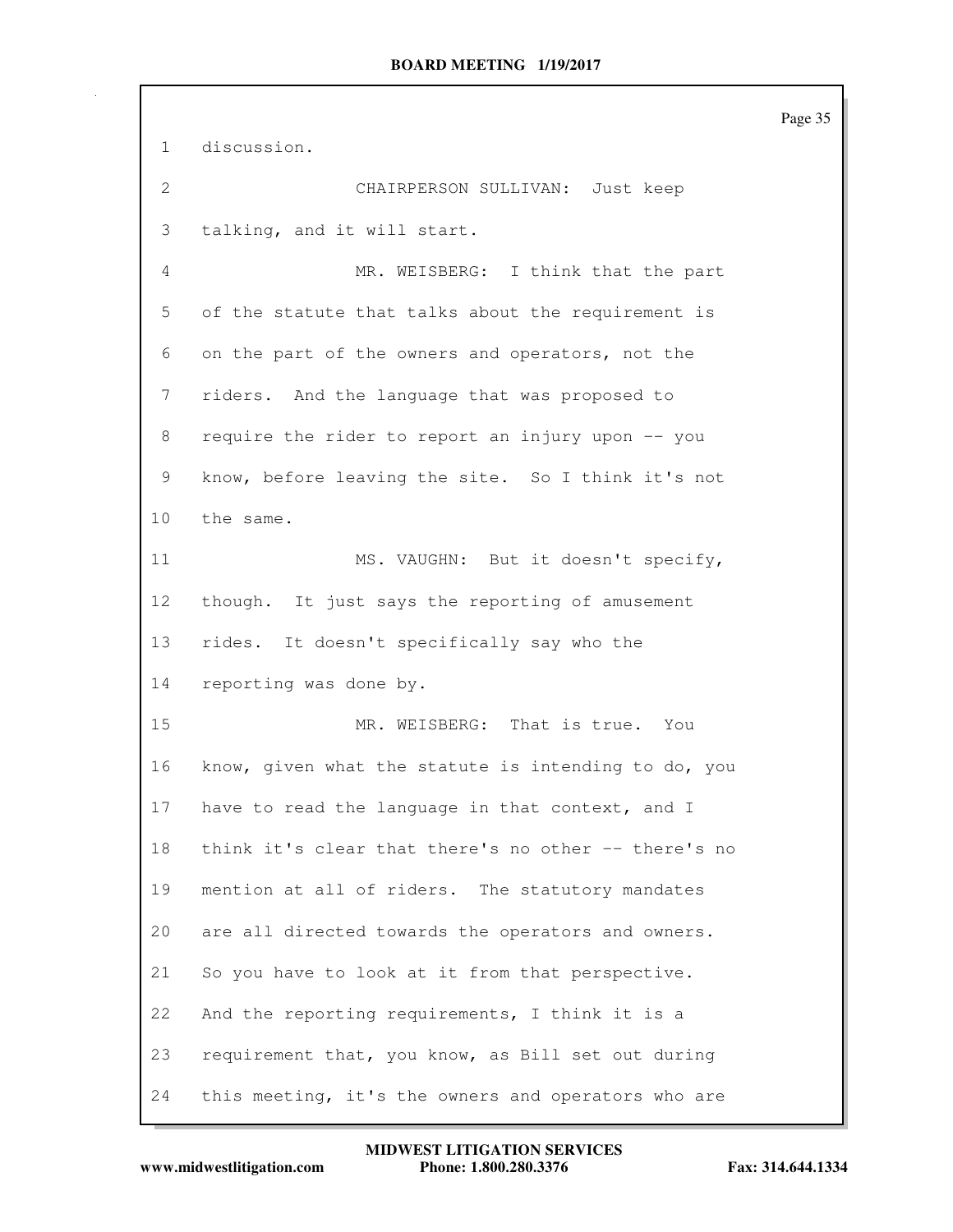Page 35 1 discussion. 2 CHAIRPERSON SULLIVAN: Just keep 3 talking, and it will start. 4 MR. WEISBERG: I think that the part 5 of the statute that talks about the requirement is 6 on the part of the owners and operators, not the 7 riders. And the language that was proposed to 8 require the rider to report an injury upon -- you 9 know, before leaving the site. So I think it's not 10 the same. 11 MS. VAUGHN: But it doesn't specify, 12 though. It just says the reporting of amusement 13 rides. It doesn't specifically say who the 14 reporting was done by. 15 MR. WEISBERG: That is true. You 16 know, given what the statute is intending to do, you 17 have to read the language in that context, and I 18 think it's clear that there's no other -- there's no 19 mention at all of riders. The statutory mandates 20 are all directed towards the operators and owners. 21 So you have to look at it from that perspective. 22 And the reporting requirements, I think it is a 23 requirement that, you know, as Bill set out during 24 this meeting, it's the owners and operators who are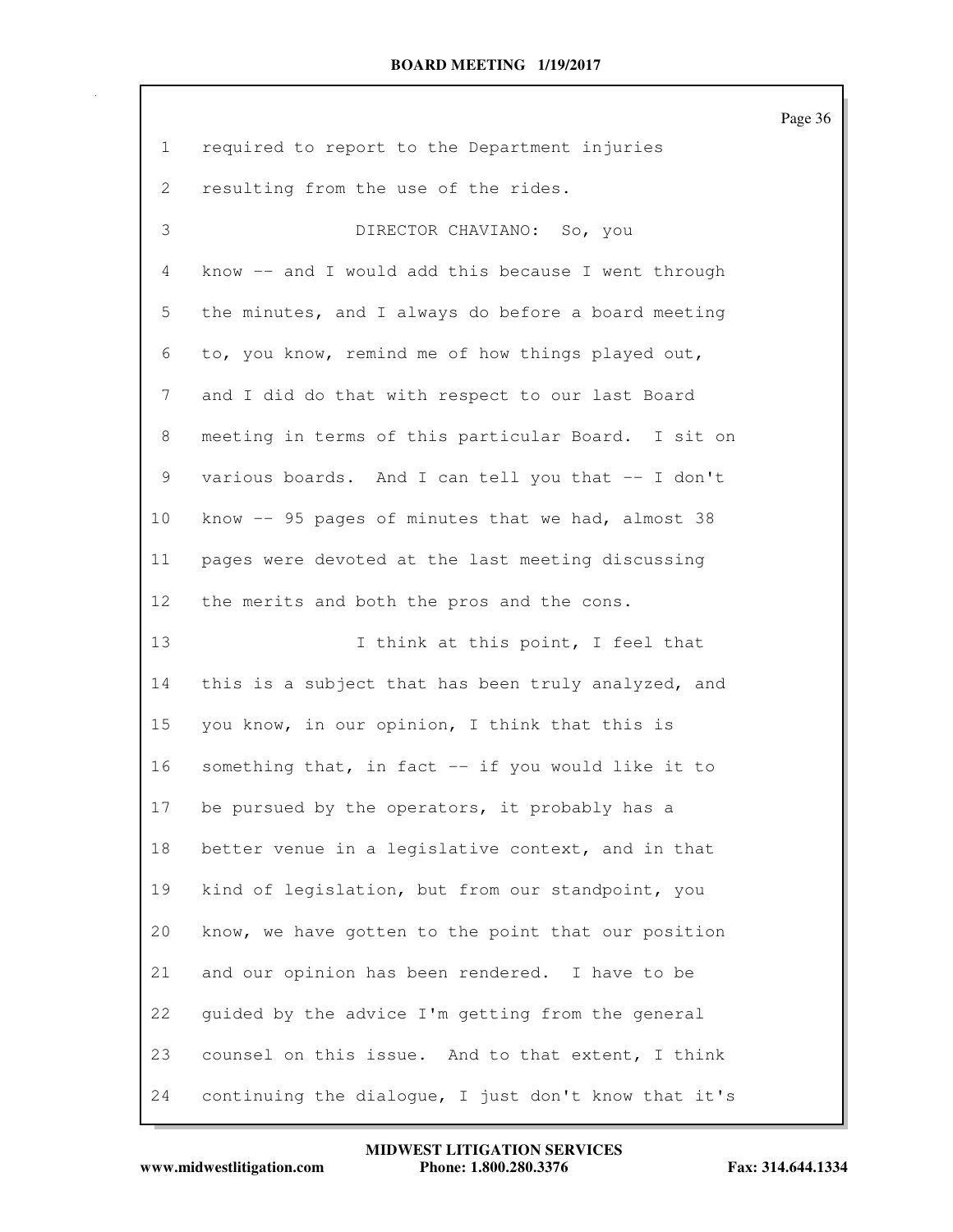|                 |                                                      | Page 36 |
|-----------------|------------------------------------------------------|---------|
| $\mathbf{1}$    | required to report to the Department injuries        |         |
| 2               | resulting from the use of the rides.                 |         |
| 3               | DIRECTOR CHAVIANO: So, you                           |         |
| 4               | know -- and I would add this because I went through  |         |
| 5               | the minutes, and I always do before a board meeting  |         |
| 6               | to, you know, remind me of how things played out,    |         |
| 7               | and I did do that with respect to our last Board     |         |
| 8               | meeting in terms of this particular Board. I sit on  |         |
| 9               | various boards. And I can tell you that -- I don't   |         |
| 10              | know -- 95 pages of minutes that we had, almost 38   |         |
| 11              | pages were devoted at the last meeting discussing    |         |
| 12 <sup>°</sup> | the merits and both the pros and the cons.           |         |
| 13              | I think at this point, I feel that                   |         |
| 14              | this is a subject that has been truly analyzed, and  |         |
| 15              | you know, in our opinion, I think that this is       |         |
| 16              | something that, in fact -- if you would like it to   |         |
| 17              | be pursued by the operators, it probably has a       |         |
| 18              | better venue in a legislative context, and in that   |         |
| 19              | kind of legislation, but from our standpoint, you    |         |
| 20              | know, we have gotten to the point that our position  |         |
| 21              | and our opinion has been rendered. I have to be      |         |
| 22              | quided by the advice I'm getting from the general    |         |
| 23              | counsel on this issue. And to that extent, I think   |         |
| 24              | continuing the dialogue, I just don't know that it's |         |

**www.midwestlitigation.com Phone: 1.800.280.3376 Fax: 314.644.1334 MIDWEST LITIGATION SERVICES**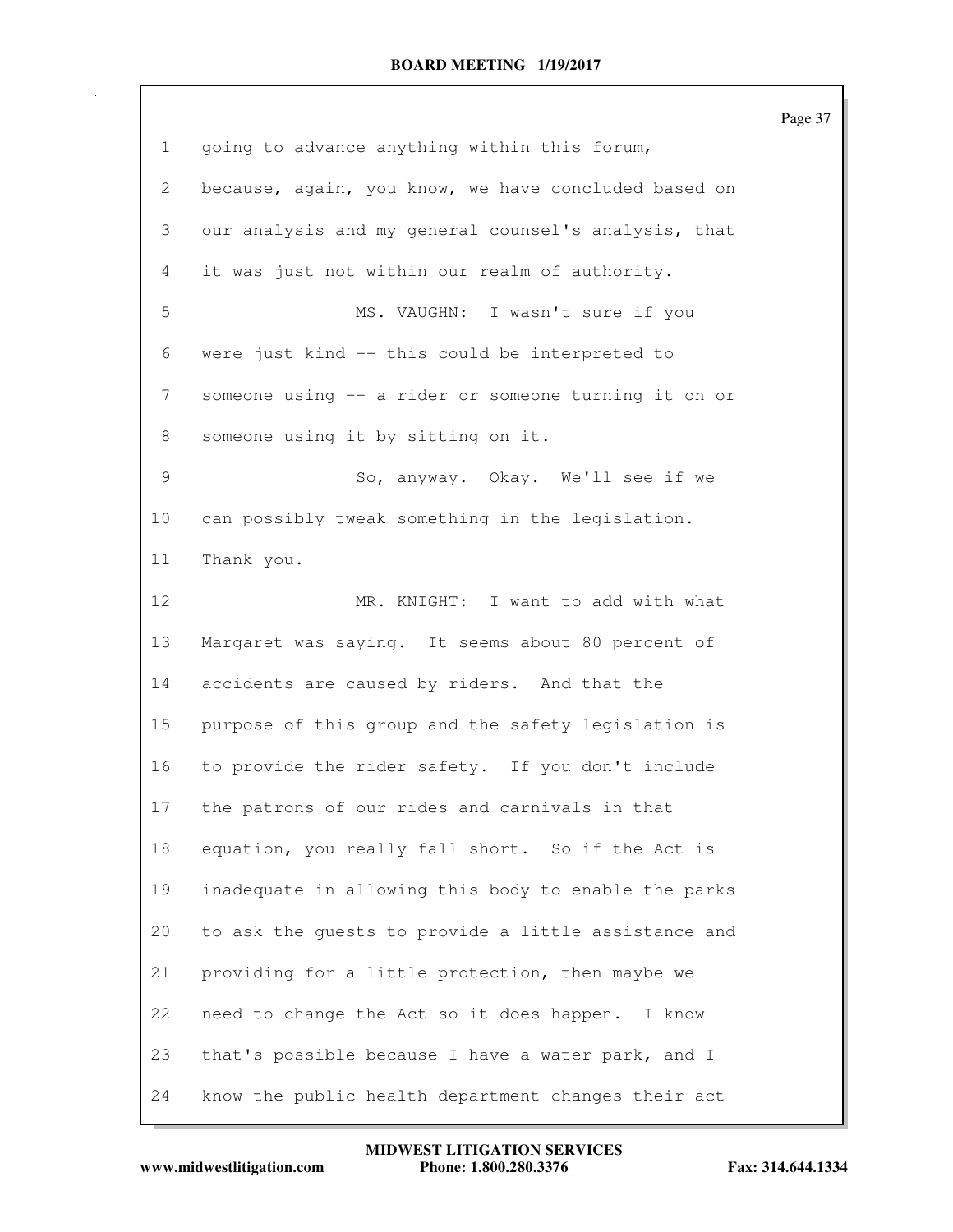|                |                                                      | Page 37 |
|----------------|------------------------------------------------------|---------|
| $\mathbf{1}$   | going to advance anything within this forum,         |         |
| 2              | because, again, you know, we have concluded based on |         |
| 3              | our analysis and my general counsel's analysis, that |         |
| $\overline{4}$ | it was just not within our realm of authority.       |         |
| 5              | MS. VAUGHN: I wasn't sure if you                     |         |
| 6              | were just kind -- this could be interpreted to       |         |
| 7              | someone using -- a rider or someone turning it on or |         |
| 8              | someone using it by sitting on it.                   |         |
| 9              | So, anyway. Okay. We'll see if we                    |         |
| 10             | can possibly tweak something in the legislation.     |         |
| 11             | Thank you.                                           |         |
| 12             | MR. KNIGHT: I want to add with what                  |         |
| 13             | Margaret was saying. It seems about 80 percent of    |         |
| 14             | accidents are caused by riders. And that the         |         |
| 15             | purpose of this group and the safety legislation is  |         |
| 16             | to provide the rider safety. If you don't include    |         |
| 17             | the patrons of our rides and carnivals in that       |         |
| 18             | equation, you really fall short. So if the Act is    |         |
| 19             | inadequate in allowing this body to enable the parks |         |
| 20             | to ask the guests to provide a little assistance and |         |
| 21             | providing for a little protection, then maybe we     |         |
| 22             | need to change the Act so it does happen. I know     |         |
| 23             | that's possible because I have a water park, and I   |         |
| 24             | know the public health department changes their act  |         |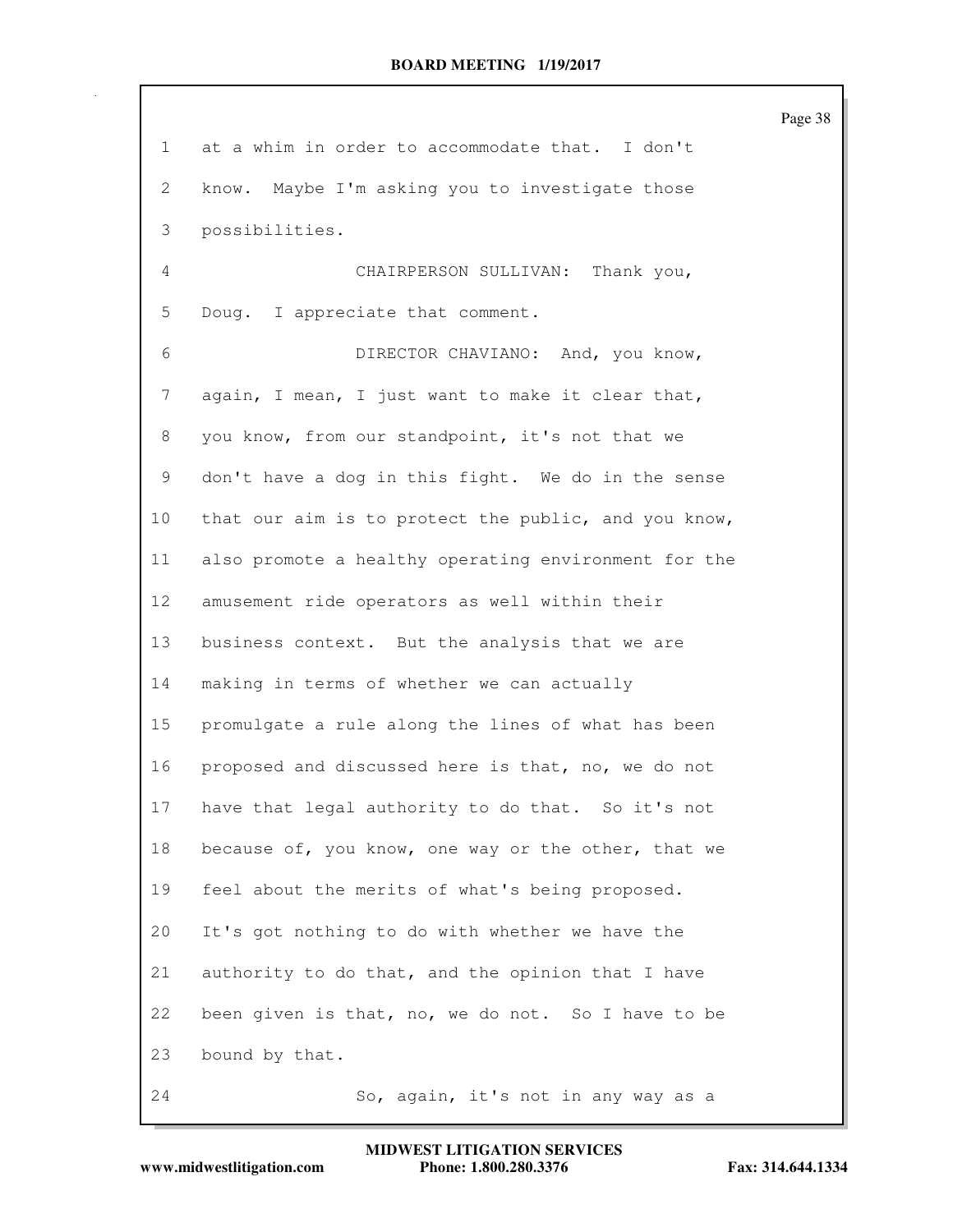|              |                                                      | Page 38 |
|--------------|------------------------------------------------------|---------|
| $\mathbf{1}$ | at a whim in order to accommodate that. I don't      |         |
| 2            | know. Maybe I'm asking you to investigate those      |         |
| 3            | possibilities.                                       |         |
| 4            | CHAIRPERSON SULLIVAN: Thank you,                     |         |
| 5            | I appreciate that comment.<br>Doug.                  |         |
| 6            | DIRECTOR CHAVIANO: And, you know,                    |         |
| 7            | again, I mean, I just want to make it clear that,    |         |
| 8            | you know, from our standpoint, it's not that we      |         |
| 9            | don't have a dog in this fight. We do in the sense   |         |
| 10           | that our aim is to protect the public, and you know, |         |
| 11           | also promote a healthy operating environment for the |         |
| 12           | amusement ride operators as well within their        |         |
| 13           | business context. But the analysis that we are       |         |
| 14           | making in terms of whether we can actually           |         |
| 15           | promulgate a rule along the lines of what has been   |         |
| 16           | proposed and discussed here is that, no, we do not   |         |
| 17           | have that legal authority to do that. So it's not    |         |
| 18           | because of, you know, one way or the other, that we  |         |
| 19           | feel about the merits of what's being proposed.      |         |
| 20           | It's got nothing to do with whether we have the      |         |
| 21           | authority to do that, and the opinion that I have    |         |
| 22           | been given is that, no, we do not. So I have to be   |         |
| 23           | bound by that.                                       |         |
| 24           | So, again, it's not in any way as a                  |         |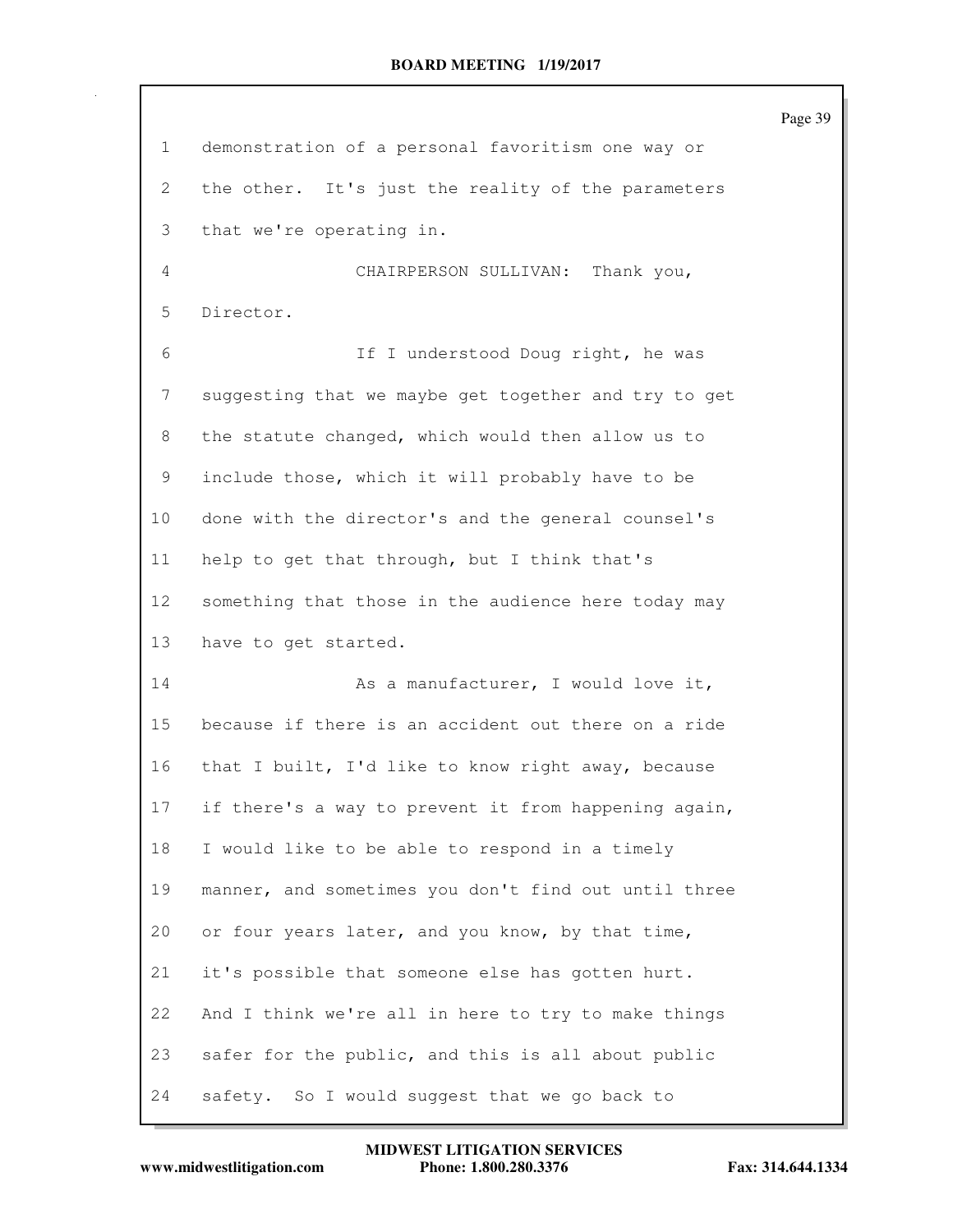|              |                                                      | Page 39 |
|--------------|------------------------------------------------------|---------|
| $\mathbf{1}$ | demonstration of a personal favoritism one way or    |         |
| 2            | the other. It's just the reality of the parameters   |         |
| 3            | that we're operating in.                             |         |
| 4            | CHAIRPERSON SULLIVAN:<br>Thank you,                  |         |
| 5            | Director.                                            |         |
| 6            | If I understood Doug right, he was                   |         |
| 7            | suggesting that we maybe get together and try to get |         |
| 8            | the statute changed, which would then allow us to    |         |
| 9            | include those, which it will probably have to be     |         |
| 10           | done with the director's and the general counsel's   |         |
| 11           | help to get that through, but I think that's         |         |
| 12           | something that those in the audience here today may  |         |
| 13           | have to get started.                                 |         |
| 14           | As a manufacturer, I would love it,                  |         |
| 15           | because if there is an accident out there on a ride  |         |
| 16           | that I built, I'd like to know right away, because   |         |
| 17           | if there's a way to prevent it from happening again, |         |
| 18           | I would like to be able to respond in a timely       |         |
| 19           | manner, and sometimes you don't find out until three |         |
| 20           | or four years later, and you know, by that time,     |         |
| 21           | it's possible that someone else has gotten hurt.     |         |
| 22           | And I think we're all in here to try to make things  |         |
| 23           | safer for the public, and this is all about public   |         |
| 24           | safety. So I would suggest that we go back to        |         |

**www.midwestlitigation.com Phone: 1.800.280.3376 Fax: 314.644.1334 MIDWEST LITIGATION SERVICES**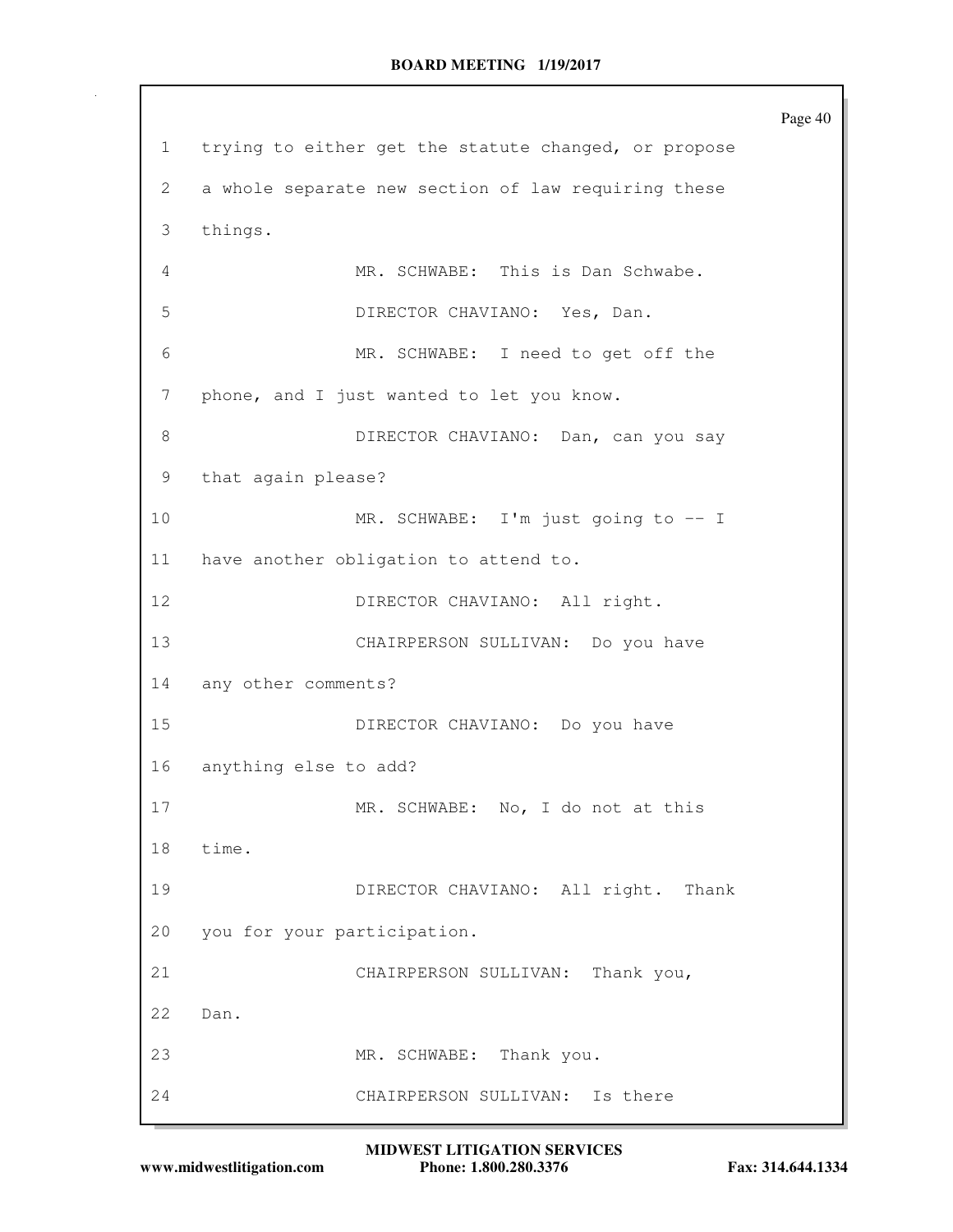|              |                                                      | Page 40 |
|--------------|------------------------------------------------------|---------|
| $\mathbf{1}$ | trying to either get the statute changed, or propose |         |
| 2            | a whole separate new section of law requiring these  |         |
| 3            | things.                                              |         |
| 4            | MR. SCHWABE: This is Dan Schwabe.                    |         |
| 5            | DIRECTOR CHAVIANO: Yes, Dan.                         |         |
| 6            | MR. SCHWABE: I need to get off the                   |         |
| 7            | phone, and I just wanted to let you know.            |         |
| 8            | DIRECTOR CHAVIANO: Dan, can you say                  |         |
| 9            | that again please?                                   |         |
| 10           | MR. SCHWABE: I'm just going to -- I                  |         |
| 11           | have another obligation to attend to.                |         |
| 12           | DIRECTOR CHAVIANO: All right.                        |         |
| 13           | CHAIRPERSON SULLIVAN: Do you have                    |         |
| 14           | any other comments?                                  |         |
| 15           | DIRECTOR CHAVIANO: Do you have                       |         |
|              | 16 anything else to add?                             |         |
| 17           | MR. SCHWABE: No, I do not at this                    |         |
| 18           | time.                                                |         |
| 19           | DIRECTOR CHAVIANO: All right. Thank                  |         |
| 20           | you for your participation.                          |         |
| 21           | CHAIRPERSON SULLIVAN: Thank you,                     |         |
| 22           | Dan.                                                 |         |
| 23           | MR. SCHWABE: Thank you.                              |         |
| 24           | CHAIRPERSON SULLIVAN: Is there                       |         |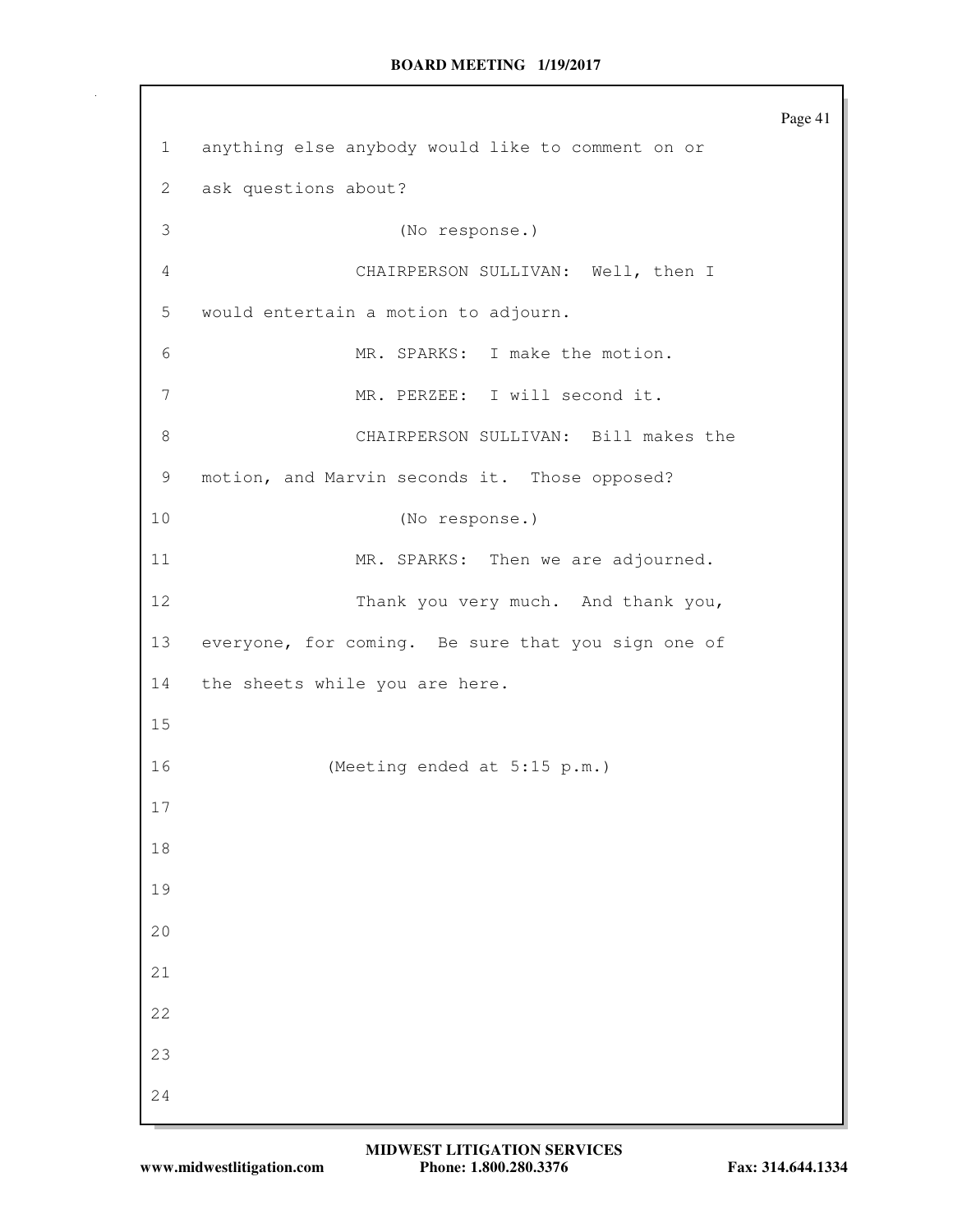Page 41 1 anything else anybody would like to comment on or 2 ask questions about? 3 (No response.) 4 CHAIRPERSON SULLIVAN: Well, then I 5 would entertain a motion to adjourn. 6 MR. SPARKS: I make the motion. 7 MR. PERZEE: I will second it. 8 CHAIRPERSON SULLIVAN: Bill makes the 9 motion, and Marvin seconds it. Those opposed? 10 (No response.) 11 MR. SPARKS: Then we are adjourned. 12 Thank you very much. And thank you, 13 everyone, for coming. Be sure that you sign one of 14 the sheets while you are here. 15 16 (Meeting ended at 5:15 p.m.) 17 18 19 20 21 22 23 24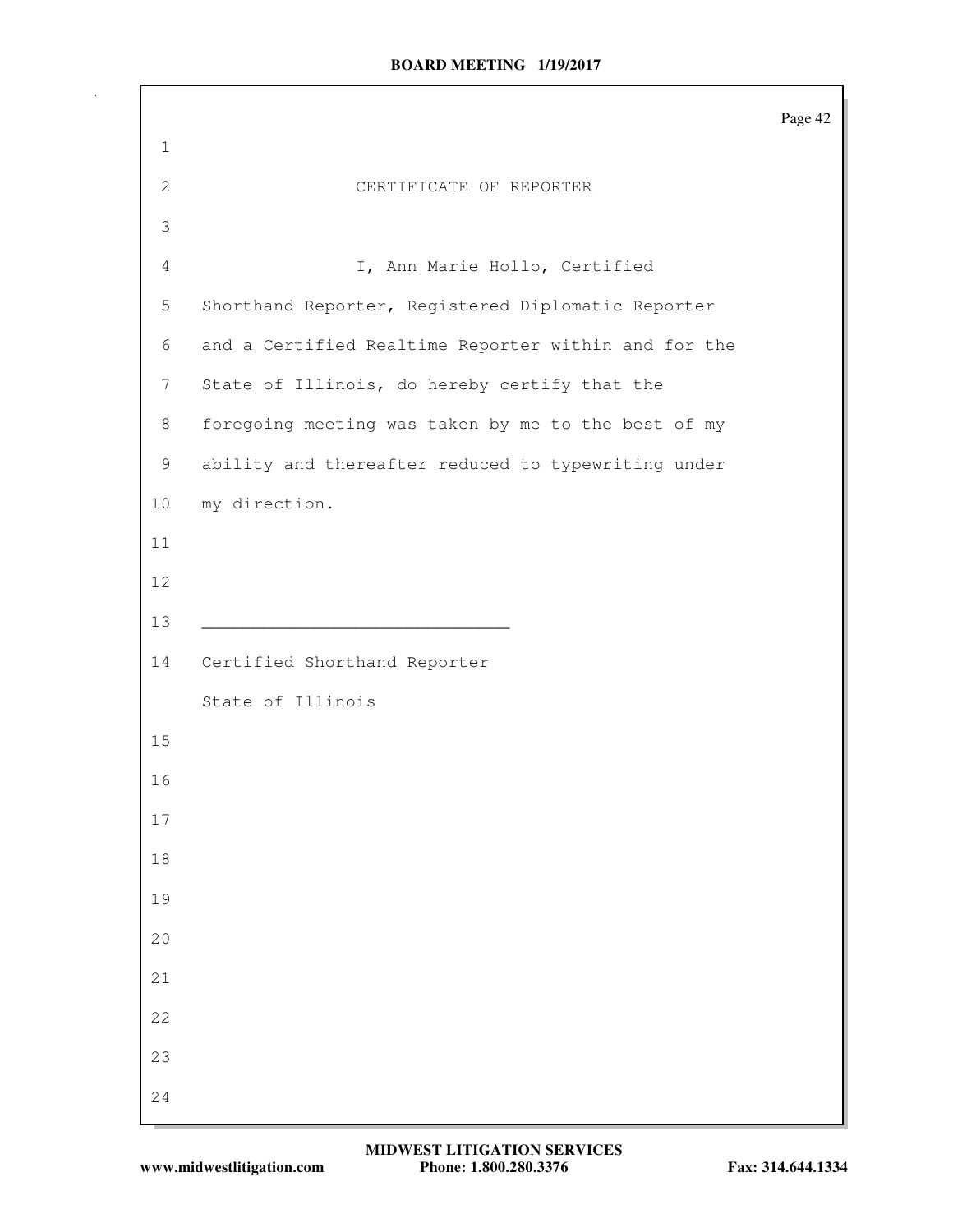|              |                                                      | Page 42 |
|--------------|------------------------------------------------------|---------|
| $\mathbf{1}$ |                                                      |         |
| 2            | CERTIFICATE OF REPORTER                              |         |
| 3            |                                                      |         |
| 4            | I, Ann Marie Hollo, Certified                        |         |
| 5            | Shorthand Reporter, Registered Diplomatic Reporter   |         |
| 6            | and a Certified Realtime Reporter within and for the |         |
| 7            | State of Illinois, do hereby certify that the        |         |
| 8            | foregoing meeting was taken by me to the best of my  |         |
| 9            | ability and thereafter reduced to typewriting under  |         |
| 10           | my direction.                                        |         |
| 11           |                                                      |         |
| 12           |                                                      |         |
| 13           |                                                      |         |
| 14           | Certified Shorthand Reporter                         |         |
|              | State of Illinois                                    |         |
| 15           |                                                      |         |
| 16           |                                                      |         |
| 17           |                                                      |         |
| 18           |                                                      |         |
| 19           |                                                      |         |
| 20           |                                                      |         |
| 21           |                                                      |         |
| 22           |                                                      |         |
| 23           |                                                      |         |
| 24           |                                                      |         |

Г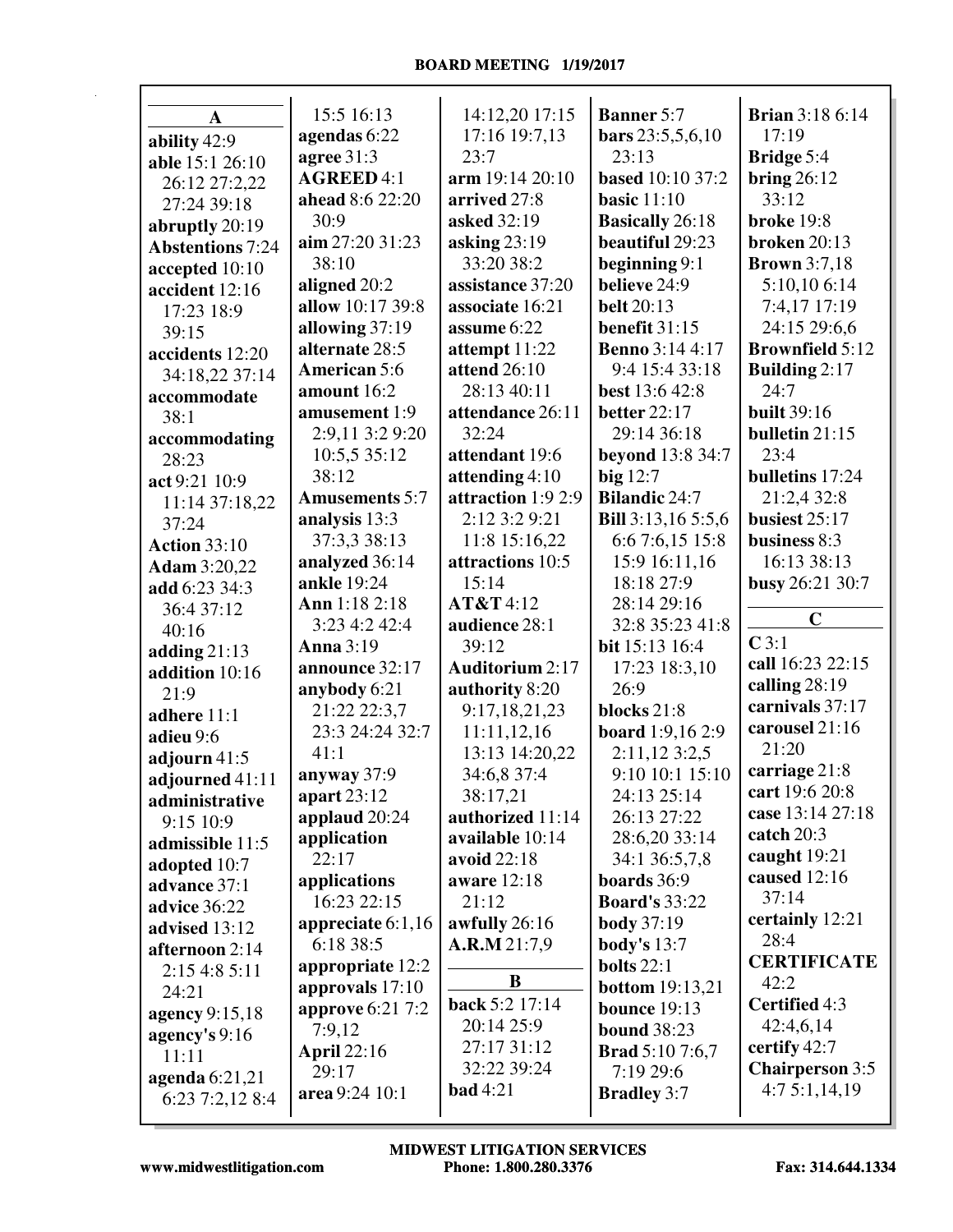| A                       | 15:5 16:13              | 14:12,20 17:15         | <b>Banner</b> 5:7         | <b>Brian 3:18 6:14</b> |
|-------------------------|-------------------------|------------------------|---------------------------|------------------------|
| ability 42:9            | agendas 6:22            | 17:16 19:7,13          | bars 23:5,5,6,10          | 17:19                  |
| able 15:1 26:10         | agree $31:3$            | 23:7                   | 23:13                     | <b>Bridge 5:4</b>      |
|                         | <b>AGREED 4:1</b>       | arm 19:14 20:10        | <b>based</b> 10:10 37:2   | bring $26:12$          |
| 26:12 27:2,22           | ahead 8:6 22:20         | arrived 27:8           | basic $11:10$             | 33:12                  |
| 27:24 39:18             | 30:9                    | asked 32:19            |                           |                        |
| abruptly 20:19          |                         |                        | <b>Basically</b> 26:18    | broke 19:8             |
| <b>Abstentions 7:24</b> | aim 27:20 31:23         | asking $23:19$         | beautiful 29:23           | <b>broken</b> 20:13    |
| accepted 10:10          | 38:10                   | 33:20 38:2             | beginning $9:1$           | <b>Brown</b> 3:7,18    |
| accident 12:16          | aligned 20:2            | assistance 37:20       | believe 24:9              | 5:10,10 6:14           |
| 17:23 18:9              | allow 10:17 39:8        | associate 16:21        | <b>belt</b> 20:13         | 7:4,17 17:19           |
| 39:15                   | allowing 37:19          | assume 6:22            | benefit 31:15             | 24:15 29:6,6           |
| accidents 12:20         | alternate 28:5          | attempt 11:22          | <b>Benno</b> 3:14 4:17    | <b>Brownfield 5:12</b> |
| 34:18,22 37:14          | <b>American 5:6</b>     | attend 26:10           | 9:4 15:4 33:18            | <b>Building 2:17</b>   |
| accommodate             | amount 16:2             | 28:13 40:11            | best 13:6 42:8            | 24:7                   |
| 38:1                    | amusement 1:9           | attendance 26:11       | <b>better</b> 22:17       | <b>built</b> 39:16     |
|                         | 2:9,11 3:2 9:20         | 32:24                  | 29:14 36:18               | bulletin 21:15         |
| accommodating           | 10:5,5 35:12            | attendant 19:6         | <b>beyond</b> 13:8 34:7   | 23:4                   |
| 28:23                   | 38:12                   |                        |                           | bulletins 17:24        |
| act 9:21 10:9           |                         | attending 4:10         | big $12:7$                |                        |
| 11:14 37:18,22          | <b>Amusements 5:7</b>   | attraction 1:9 2:9     | <b>Bilandic 24:7</b>      | 21:2,4 32:8            |
| 37:24                   | analysis 13:3           | 2:12 3:2 9:21          | <b>Bill</b> 3:13,16 5:5,6 | busiest 25:17          |
| <b>Action 33:10</b>     | 37:3.3 38:13            | 11:8 15:16,22          | 6:6 7:6,15 15:8           | business 8:3           |
| Adam 3:20,22            | analyzed 36:14          | attractions 10:5       | 15:9 16:11,16             | 16:13 38:13            |
| add 6:23 34:3           | ankle 19:24             | 15:14                  | 18:18 27:9                | busy 26:21 30:7        |
| 36:4 37:12              | Ann 1:18 2:18           | AT&T 4:12              | 28:14 29:16               |                        |
| 40:16                   | 3:23 4:2 42:4           | audience 28:1          | 32:8 35:23 41:8           | $\mathbf C$            |
| adding $21:13$          | <b>Anna</b> 3:19        | 39:12                  | bit 15:13 16:4            | $C$ 3:1                |
| addition 10:16          | announce 32:17          | <b>Auditorium 2:17</b> | 17:23 18:3,10             | call 16:23 22:15       |
|                         | anybody 6:21            | authority 8:20         | 26:9                      | calling 28:19          |
| 21:9                    | 21:22 22:3,7            | 9:17,18,21,23          | blocks 21:8               | carnivals 37:17        |
| adhere 11:1             | 23:3 24:24 32:7         | 11:11,12,16            | <b>board</b> 1:9,16 2:9   | carousel 21:16         |
| adieu 9:6               | 41:1                    | 13:13 14:20,22         | 2:11,123:2,5              | 21:20                  |
| adjourn $41:5$          |                         |                        |                           | carriage 21:8          |
| adjourned 41:11         | anyway 37:9             | 34:6,8 37:4            | 9:10 10:1 15:10           | cart 19:6 20:8         |
| administrative          | apart $23:12$           | 38:17,21               | 24:13 25:14               | case 13:14 27:18       |
| 9:15 10:9               | applaud 20:24           | authorized 11:14       | 26:13 27:22               |                        |
| admissible 11:5         | application             | available 10:14        | 28:6,20 33:14             | catch 20:3             |
| adopted 10:7            | 22:17                   | avoid 22:18            | 34:1 36:5,7,8             | caught $19:21$         |
| advance 37:1            | applications            | aware 12:18            | boards 36:9               | caused 12:16           |
| <b>advice</b> 36:22     | 16:23 22:15             | 21:12                  | <b>Board's 33:22</b>      | 37:14                  |
| advised 13:12           | appreciate 6:1,16       | awfully 26:16          | <b>body</b> 37:19         | certainly 12:21        |
| afternoon 2:14          | 6:18 38:5               | A.R.M 21:7,9           | <b>body's</b> 13:7        | 28:4                   |
| 2:15 4:8 5:11           | appropriate 12:2        |                        | bolts $22:1$              | <b>CERTIFICATE</b>     |
| 24:21                   | approvals $17:10$       | B                      | <b>bottom</b> 19:13,21    | 42:2                   |
|                         | <b>approve</b> 6:21 7:2 | back 5:2 17:14         | <b>bounce</b> 19:13       | Certified 4:3          |
| agency 9:15,18          | 7:9,12                  | 20:14 25:9             | <b>bound</b> 38:23        | 42:4,6,14              |
| agency's $9:16$         | <b>April 22:16</b>      | 27:17 31:12            | <b>Brad</b> 5:10 7:6,7    | certify 42:7           |
| 11:11                   | 29:17                   | 32:22 39:24            | 7:19 29:6                 | <b>Chairperson</b> 3:5 |
| agenda $6:21,21$        |                         |                        |                           |                        |
|                         |                         |                        |                           |                        |
| 6:23 7:2,12 8:4         | area 9:24 10:1          | <b>bad</b> 4:21        | <b>Bradley</b> 3:7        | 4:75:1,14,19           |

 $\Gamma$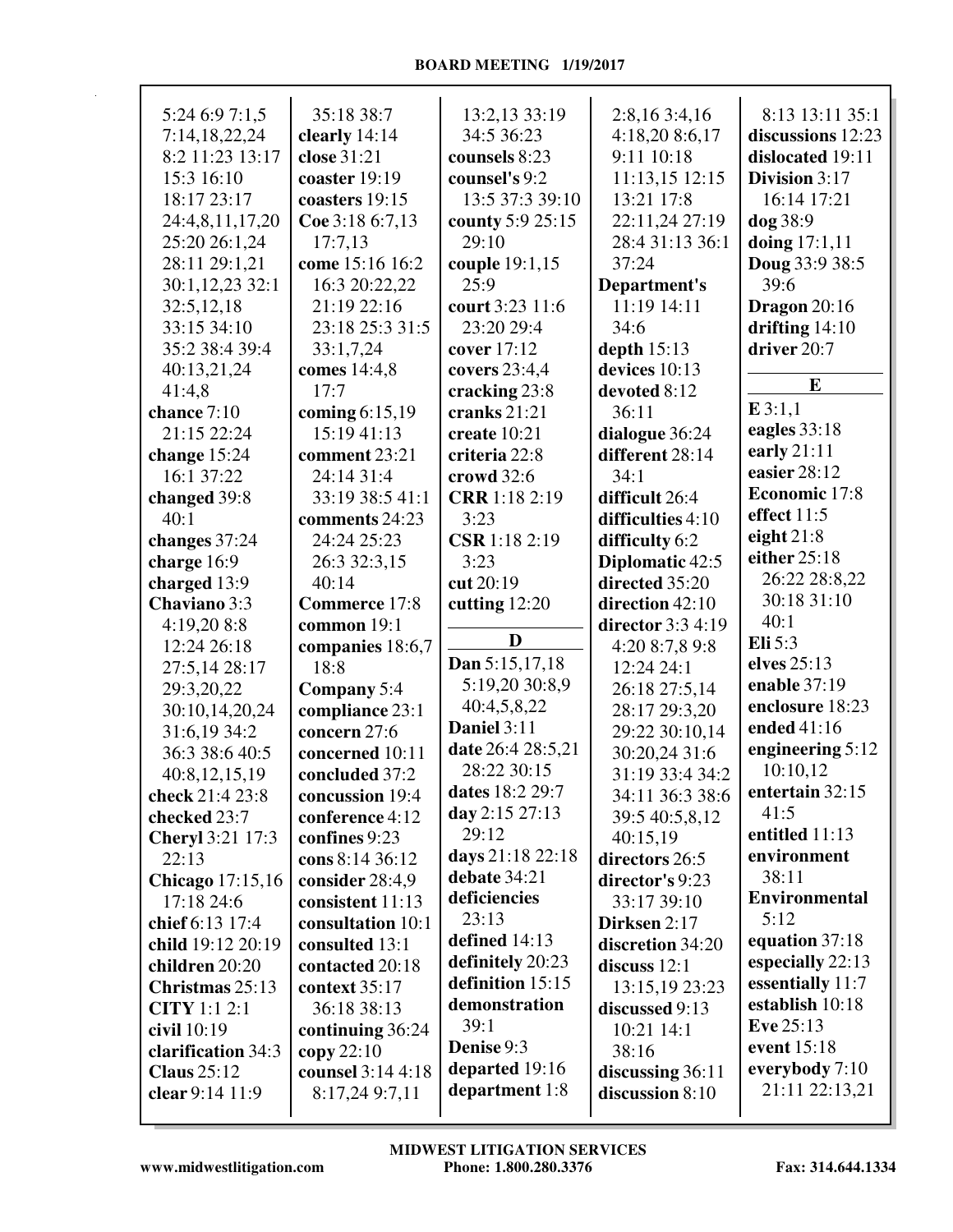| 5:24 6:9 7:1,5                        | 35:18 38:7                          | 13:2,13 33:19                     | 2:8,16 3:4,16                         | 8:13 13:11 35:1                     |
|---------------------------------------|-------------------------------------|-----------------------------------|---------------------------------------|-------------------------------------|
| 7:14,18,22,24                         | clearly 14:14                       | 34:5 36:23                        | 4:18,20 8:6,17                        | discussions 12:23                   |
| 8:2 11:23 13:17                       | close 31:21                         | counsels 8:23                     | 9:11 10:18                            | dislocated 19:11                    |
| 15:3 16:10                            | coaster 19:19                       | counsel's 9:2                     | 11:13,15 12:15                        | Division 3:17                       |
| 18:17 23:17                           | coasters 19:15                      | 13:5 37:3 39:10                   | 13:21 17:8                            | 16:14 17:21                         |
| 24:4,8,11,17,20                       | Coe 3:18 6:7,13                     | county 5:9 25:15                  | 22:11,24 27:19                        | dog 38:9                            |
| 25:20 26:1,24                         | 17:7,13                             | 29:10                             | 28:4 31:13 36:1                       | doing 17:1,11                       |
| 28:11 29:1,21                         | come 15:16 16:2                     | couple 19:1,15                    | 37:24                                 | Doug 33:9 38:5                      |
| 30:1,12,23 32:1                       | 16:3 20:22,22                       | 25:9                              | <b>Department's</b>                   | 39:6                                |
| 32:5,12,18                            | 21:19 22:16                         | court 3:23 11:6                   | 11:19 14:11                           | <b>Dragon</b> 20:16                 |
| 33:15 34:10                           | 23:18 25:3 31:5                     | 23:20 29:4                        | 34:6                                  | drifting $14:10$                    |
| 35:2 38:4 39:4                        | 33:1,7,24                           | cover 17:12                       | depth $15:13$                         | driver 20:7                         |
| 40:13,21,24                           | comes 14:4,8                        | covers 23:4,4                     | devices 10:13                         |                                     |
| 41:4,8                                | 17:7                                | cracking 23:8                     | devoted 8:12                          | ${\bf E}$                           |
| chance 7:10                           | coming 6:15,19                      | cranks $21:21$                    | 36:11                                 | E3:1,1                              |
| 21:15 22:24                           | 15:19 41:13                         | create 10:21                      | dialogue 36:24                        | eagles 33:18                        |
| change 15:24                          | comment 23:21                       | criteria 22:8                     | different 28:14                       | early $21:11$                       |
| 16:1 37:22                            | 24:14 31:4                          | crowd 32:6                        | 34:1                                  | easier 28:12                        |
| changed 39:8                          | 33:19 38:5 41:1                     | CRR 1:18 2:19                     | difficult 26:4                        | Economic 17:8                       |
| 40:1                                  | comments 24:23                      | 3:23                              | difficulties 4:10                     | effect 11:5                         |
| changes 37:24                         | 24:24 25:23                         | CSR 1:18 2:19                     | difficulty 6:2                        | eight $21:8$                        |
| charge 16:9                           | 26:3 32:3,15                        | 3:23                              | Diplomatic 42:5                       | either 25:18                        |
| charged 13:9                          | 40:14                               | cut 20:19                         | directed 35:20                        | 26:22 28:8,22                       |
| Chaviano 3:3                          | Commerce 17:8                       | cutting $12:20$                   | direction 42:10                       | 30:18 31:10                         |
|                                       |                                     |                                   |                                       |                                     |
| 4:19,20 8:8                           | common 19:1                         |                                   | director 3:3 4:19                     | 40:1                                |
| 12:24 26:18                           | companies 18:6,7                    | D                                 | 4:20 8:7,8 9:8                        | <b>Eli</b> 5:3                      |
| 27:5,14 28:17                         | 18:8                                | Dan 5:15,17,18                    | 12:24 24:1                            | elves 25:13                         |
| 29:3,20,22                            | Company 5:4                         | 5:19,20 30:8,9                    | 26:18 27:5,14                         | enable 37:19                        |
| 30:10,14,20,24                        | compliance 23:1                     | 40:4,5,8,22                       | 28:17 29:3,20                         | enclosure 18:23                     |
| 31:6,19 34:2                          | concern 27:6                        | Daniel 3:11                       | 29:22 30:10,14                        | ended 41:16                         |
| 36:3 38:6 40:5                        | concerned 10:11                     | date 26:4 28:5,21                 | 30:20,24 31:6                         | engineering 5:12                    |
| 40:8,12,15,19                         | concluded 37:2                      | 28:22 30:15                       | 31:19 33:4 34:2                       | 10:10,12                            |
| check 21:4 23:8                       | concussion 19:4                     | dates 18:2 29:7                   | 34:11 36:3 38:6                       | entertain 32:15                     |
| checked 23:7                          | conference 4:12                     | day 2:15 27:13                    | 39:5 40:5,8,12                        | 41:5                                |
| <b>Cheryl</b> 3:21 17:3               | confines 9:23                       | 29:12                             | 40:15,19                              | entitled 11:13                      |
| 22:13                                 | cons 8:14 36:12                     | days 21:18 22:18                  | directors 26:5                        | environment                         |
| <b>Chicago</b> 17:15,16               | consider 28:4,9                     | debate 34:21                      | director's 9:23                       | 38:11                               |
| 17:18 24:6                            | consistent 11:13                    | deficiencies                      | 33:17 39:10                           | <b>Environmental</b>                |
| chief 6:13 17:4                       | consultation 10:1                   | 23:13                             | Dirksen 2:17                          | 5:12                                |
| child 19:12 20:19                     | consulted 13:1                      | defined 14:13                     | discretion 34:20                      | equation 37:18                      |
| children 20:20                        | contacted 20:18                     | definitely 20:23                  | discuss $12:1$                        | especially 22:13                    |
| Christmas 25:13                       | context 35:17                       | definition 15:15<br>demonstration | 13:15,19 23:23                        | essentially 11:7<br>establish 10:18 |
| <b>CITY</b> 1:1 2:1                   | 36:18 38:13                         | 39:1                              | discussed 9:13                        |                                     |
| civil 10:19                           | continuing 36:24                    | Denise 9:3                        | 10:21 14:1                            | Eve 25:13<br>event 15:18            |
| clarification 34:3                    | copy $22:10$                        |                                   | 38:16                                 |                                     |
| <b>Claus</b> 25:12<br>clear 9:14 11:9 | counsel 3:14 4:18<br>8:17,24 9:7,11 | departed 19:16<br>department 1:8  | discussing $36:11$<br>discussion 8:10 | everybody 7:10<br>21:11 22:13,21    |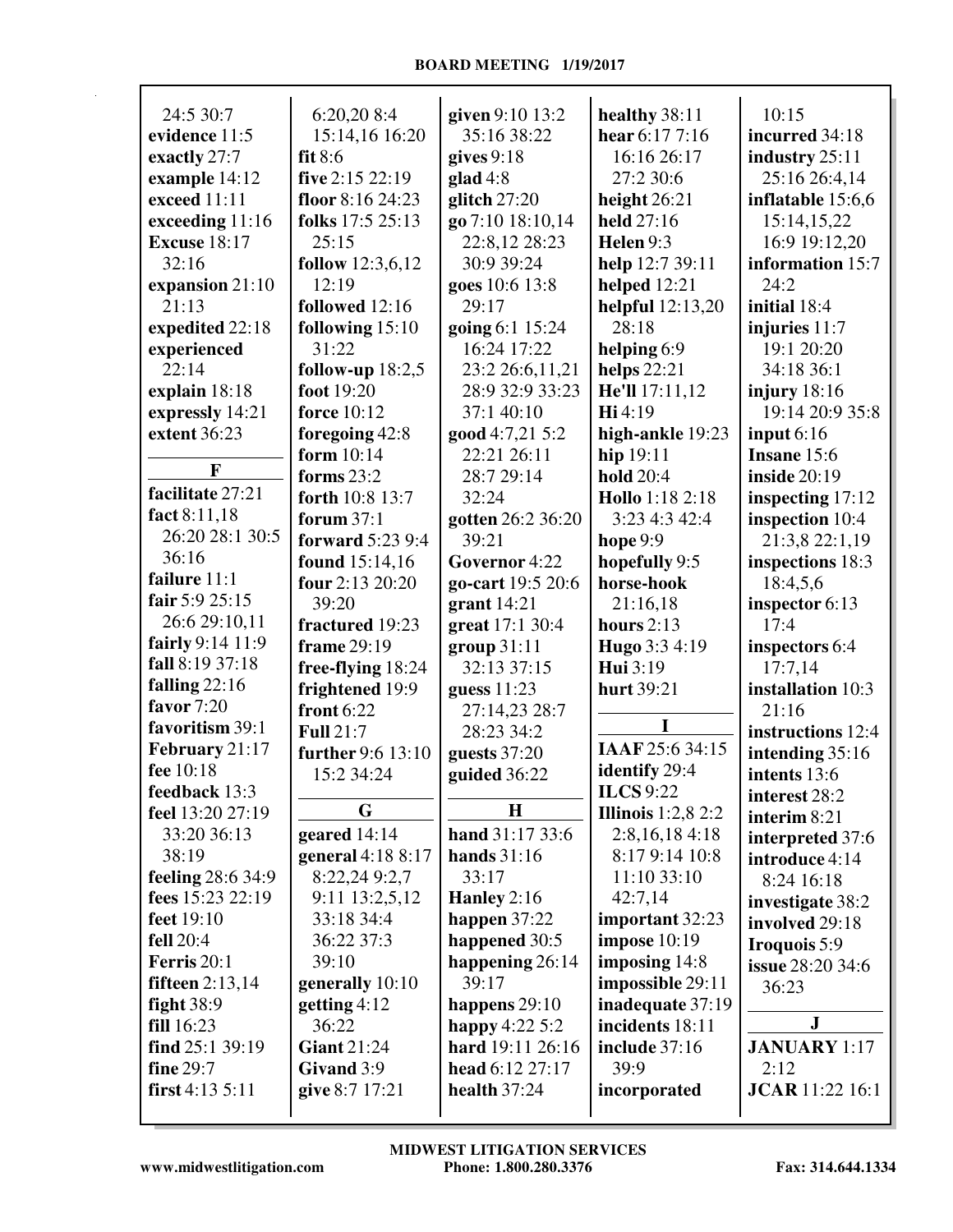| 24:5 30:7              | 6:20,20 8:4           | given 9:10 13:2   | healthy 38:11           | 10:15                   |
|------------------------|-----------------------|-------------------|-------------------------|-------------------------|
| evidence 11:5          | 15:14,16 16:20        | 35:16 38:22       | hear 6:17 7:16          | incurred 34:18          |
| exactly 27:7           | fit $8:6$             | gives $9:18$      | 16:16 26:17             | industry 25:11          |
| example 14:12          | five 2:15 22:19       | $\text{glad }4:8$ | 27:2 30:6               | 25:16 26:4,14           |
| exceed 11:11           | floor 8:16 24:23      | glitch $27:20$    | height $26:21$          | inflatable 15:6,6       |
| exceeding 11:16        | folks 17:5 25:13      | go 7:10 18:10,14  | held 27:16              | 15:14,15,22             |
| <b>Excuse 18:17</b>    | 25:15                 | 22:8,12 28:23     | Helen 9:3               | 16:9 19:12,20           |
| 32:16                  | follow 12:3,6,12      | 30:9 39:24        | help 12:7 39:11         | information 15:7        |
| expansion 21:10        | 12:19                 | goes 10:6 13:8    | helped $12:21$          | 24:2                    |
| 21:13                  | followed 12:16        | 29:17             | <b>helpful</b> 12:13,20 | initial 18:4            |
| expedited 22:18        | following $15:10$     | going 6:1 15:24   | 28:18                   | injuries $11:7$         |
| experienced            | 31:22                 | 16:24 17:22       | helping 6:9             | 19:1 20:20              |
| 22:14                  | follow-up $18:2,5$    | 23:2 26:6,11,21   | helps $22:21$           | 34:18 36:1              |
| explain 18:18          | foot 19:20            | 28:9 32:9 33:23   | He'll 17:11,12          | injury $18:16$          |
| expressly 14:21        | <b>force</b> 10:12    | 37:1 40:10        | Hi 4:19                 | 19:14 20:9 35:8         |
| extent 36:23           | foregoing 42:8        | good 4:7,21 5:2   | high-ankle 19:23        | input $6:16$            |
|                        | form 10:14            | 22:21 26:11       | hip $19:11$             | Insane 15:6             |
| $\mathbf{F}$           | forms $23:2$          | 28:7 29:14        | <b>hold</b> 20:4        | <b>inside 20:19</b>     |
| facilitate 27:21       | forth 10:8 13:7       | 32:24             | Hollo 1:18 2:18         |                         |
| fact 8:11,18           |                       |                   |                         | inspecting 17:12        |
| 26:20 28:1 30:5        | forum $37:1$          | gotten 26:2 36:20 | 3:23 4:3 42:4           | inspection 10:4         |
| 36:16                  | forward 5:23 9:4      | 39:21             | hope 9:9                | 21:3,8 22:1,19          |
| failure 11:1           | <b>found</b> 15:14,16 | Governor 4:22     | hopefully 9:5           | inspections 18:3        |
|                        | four 2:13 20:20       | go-cart 19:5 20:6 | horse-hook              | 18:4,5,6                |
| fair 5:9 25:15         | 39:20                 | grant $14:21$     | 21:16,18                | inspector 6:13          |
| 26:6 29:10,11          | fractured 19:23       | great 17:1 30:4   | hours $2:13$            | 17:4                    |
| fairly 9:14 11:9       | frame 29:19           | group 31:11       | Hugo 3:3 4:19           | inspectors 6:4          |
| fall 8:19 37:18        | free-flying $18:24$   | 32:13 37:15       | Hui 3:19                | 17:7,14                 |
| falling $22:16$        | frightened 19:9       | guess $11:23$     | hurt 39:21              | installation 10:3       |
| favor 7:20             | front $6:22$          | 27:14,23 28:7     |                         | 21:16                   |
| favoritism 39:1        | <b>Full 21:7</b>      | 28:23 34:2        | I                       | instructions 12:4       |
| February 21:17         | further 9:6 13:10     | guests $37:20$    | IAAF 25:6 34:15         | intending 35:16         |
| fee 10:18              | 15:2 34:24            | guided 36:22      | identify 29:4           | intents 13:6            |
| feedback 13:3          |                       |                   | <b>ILCS</b> 9:22        | interest 28:2           |
| feel 13:20 27:19       | G                     | $\bf H$           | Illinois $1:2,8$ 2:2    | interim 8:21            |
| 33:20 36:13            | geared 14:14          | hand 31:17 33:6   | 2:8,16,184:18           | interpreted 37:6        |
| 38:19                  | general 4:18 8:17     | hands $31:16$     | 8:17 9:14 10:8          | introduce 4:14          |
| feeling 28:6 34:9      | 8:22,24 9:2,7         | 33:17             | 11:10 33:10             | 8:24 16:18              |
| fees 15:23 22:19       | 9:11 13:2,5,12        | Hanley 2:16       | 42:7,14                 | investigate 38:2        |
| feet 19:10             | 33:18 34:4            | happen $37:22$    | important 32:23         | involved 29:18          |
| fell 20:4              | 36:22 37:3            | happened 30:5     | impose $10:19$          | Iroquois 5:9            |
| Ferris 20:1            | 39:10                 | happening 26:14   | imposing 14:8           | <b>issue</b> 28:20 34:6 |
| <b>fifteen</b> 2:13,14 | generally 10:10       | 39:17             | impossible 29:11        | 36:23                   |
| fight $38:9$           | getting $4:12$        | happens $29:10$   | inadequate 37:19        |                         |
| <b>fill</b> 16:23      | 36:22                 | happy $4:225:2$   | incidents 18:11         | ${\bf J}$               |
| find $25:1$ 39:19      | <b>Giant 21:24</b>    | hard 19:11 26:16  | <b>include</b> 37:16    | <b>JANUARY</b> 1:17     |
| fine 29:7              | Givand 3:9            | head 6:12 27:17   | 39:9                    | 2:12                    |
| first $4:13\,5:11$     | give 8:7 17:21        | health 37:24      | incorporated            | <b>JCAR</b> 11:22 16:1  |
|                        |                       |                   |                         |                         |
|                        |                       |                   |                         |                         |

Г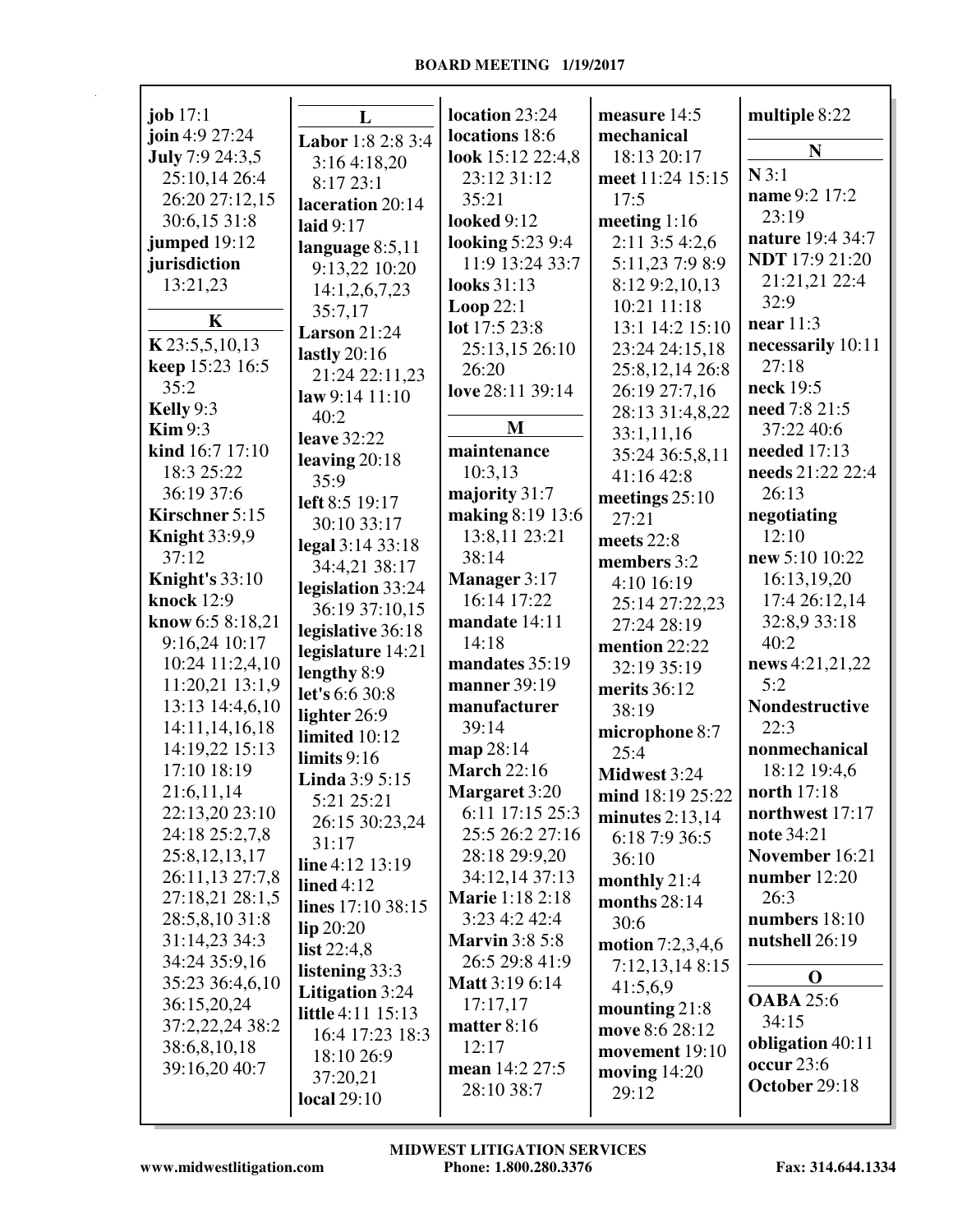| job $17:1$            | L                        | location 23:24          | measure 14:5      | multiple 8:22         |
|-----------------------|--------------------------|-------------------------|-------------------|-----------------------|
| join 4:9 27:24        | Labor 1:8 2:8 3:4        | locations 18:6          | mechanical        |                       |
| July 7:9 24:3,5       | 3:164:18,20              | look 15:12 22:4,8       | 18:13 20:17       | N                     |
| 25:10,14 26:4         | 8:17 23:1                | 23:12 31:12             | meet 11:24 15:15  | $N$ 3:1               |
| 26:20 27:12,15        | laceration 20:14         | 35:21                   | 17:5              | name 9:2 17:2         |
| 30:6,15 31:8          | laid 9:17                | <b>looked</b> 9:12      | meeting $1:16$    | 23:19                 |
| jumped 19:12          | language 8:5,11          | <b>looking 5:23 9:4</b> | $2:11$ 3:5 4:2,6  | nature 19:4 34:7      |
| jurisdiction          | 9:13,22 10:20            | 11:9 13:24 33:7         | 5:11,23 7:9 8:9   | <b>NDT</b> 17:9 21:20 |
| 13:21,23              | 14:1,2,6,7,23            | looks 31:13             | 8:12 9:2,10,13    | 21:21,21 22:4         |
|                       | 35:7,17                  | Loop $22:1$             | 10:21 11:18       | 32:9                  |
| $\mathbf K$           | <b>Larson 21:24</b>      | lot 17:5 23:8           | 13:1 14:2 15:10   | near $11:3$           |
| K 23:5,5,10,13        | lastly $20:16$           | 25:13,15 26:10          | 23:24 24:15,18    | necessarily 10:11     |
| keep 15:23 16:5       | 21:24 22:11,23           | 26:20                   | 25:8,12,14 26:8   | 27:18                 |
| 35:2                  | law 9:14 11:10           | love 28:11 39:14        | 26:19 27:7,16     | neck 19:5             |
| Kelly 9:3             | 40:2                     |                         | 28:13 31:4,8,22   | need 7:8 21:5         |
| Kim 9:3               | <b>leave</b> 32:22       | M                       | 33:1,11,16        | 37:22 40:6            |
| kind 16:7 17:10       | leaving $20:18$          | maintenance             | 35:24 36:5,8,11   | needed 17:13          |
| 18:3 25:22            | 35:9                     | 10:3,13                 | 41:16 42:8        | needs 21:22 22:4      |
| 36:19 37:6            | left 8:5 19:17           | majority 31:7           | meetings $25:10$  | 26:13                 |
| Kirschner 5:15        | 30:10 33:17              | making 8:19 13:6        | 27:21             | negotiating           |
| <b>Knight 33:9,9</b>  | legal 3:14 33:18         | 13:8,11 23:21           | meets 22:8        | 12:10                 |
| 37:12                 | 34:4,21 38:17            | 38:14                   | members 3:2       | new 5:10 10:22        |
| <b>Knight's 33:10</b> | legislation 33:24        | Manager 3:17            | 4:10 16:19        | 16:13,19,20           |
| knock 12:9            | 36:19 37:10,15           | 16:14 17:22             | 25:14 27:22,23    | 17:4 26:12,14         |
| know 6:5 8:18,21      | legislative 36:18        | mandate 14:11           | 27:24 28:19       | 32:8,9 33:18          |
| 9:16,24 10:17         | legislature 14:21        | 14:18                   | mention 22:22     | 40:2                  |
| 10:24 11:2,4,10       | lengthy 8:9              | mandates 35:19          | 32:19 35:19       | news 4:21,21,22       |
| 11:20,21 13:1,9       | let's 6:6 30:8           | <b>manner</b> 39:19     | merits 36:12      | 5:2                   |
| 13:13 14:4,6,10       | lighter 26:9             | manufacturer            | 38:19             | Nondestructive        |
| 14:11,14,16,18        | limited 10:12            | 39:14                   | microphone 8:7    | 22:3                  |
| 14:19,22 15:13        | limits $9:16$            | map 28:14               | 25:4              | nonmechanical         |
| 17:10 18:19           | Linda 3:9 5:15           | <b>March 22:16</b>      | Midwest 3:24      | 18:12 19:4,6          |
| 21:6,11,14            | 5:21 25:21               | Margaret 3:20           | mind 18:19 25:22  | north 17:18           |
| 22:13,20 23:10        | 26:15 30:23,24           | 6:11 17:15 25:3         | minutes $2:13,14$ | northwest 17:17       |
| 24:18 25:2,7,8        | 31:17                    | 25:5 26:2 27:16         | 6:18 7:9 36:5     | note 34:21            |
| 25:8, 12, 13, 17      | line 4:12 13:19          | 28:18 29:9,20           | 36:10             | November 16:21        |
| 26:11,13 27:7,8       | lined $4:12$             | 34:12,14 37:13          | monthly 21:4      | number 12:20          |
| 27:18,21 28:1,5       | lines 17:10 38:15        | <b>Marie</b> 1:18 2:18  | months $28:14$    | 26:3                  |
| 28:5,8,10 31:8        | lip 20:20                | 3:23 4:2 42:4           | 30:6              | numbers 18:10         |
| 31:14,23 34:3         | list $22:4,8$            | <b>Marvin</b> 3:8 5:8   | motion 7:2,3,4,6  | nutshell 26:19        |
| 34:24 35:9,16         | listening 33:3           | 26:5 29:8 41:9          | 7:12,13,148:15    | $\mathbf 0$           |
| 35:23 36:4,6,10       | Litigation 3:24          | <b>Matt</b> 3:19 6:14   | 41:5,6,9          |                       |
| 36:15,20,24           | <b>little</b> 4:11 15:13 | 17:17,17                | mounting $21:8$   | <b>OABA 25:6</b>      |
| 37:2,22,24 38:2       | 16:4 17:23 18:3          | matter 8:16             | move 8:6 28:12    | 34:15                 |
| 38:6,8,10,18          | 18:10 26:9               | 12:17                   | movement 19:10    | obligation 40:11      |
| 39:16,20 40:7         | 37:20,21                 | mean 14:2 27:5          | moving $14:20$    | <b>occur</b> 23:6     |
|                       | <b>local</b> 29:10       | 28:10 38:7              | 29:12             | October 29:18         |
|                       |                          |                         |                   |                       |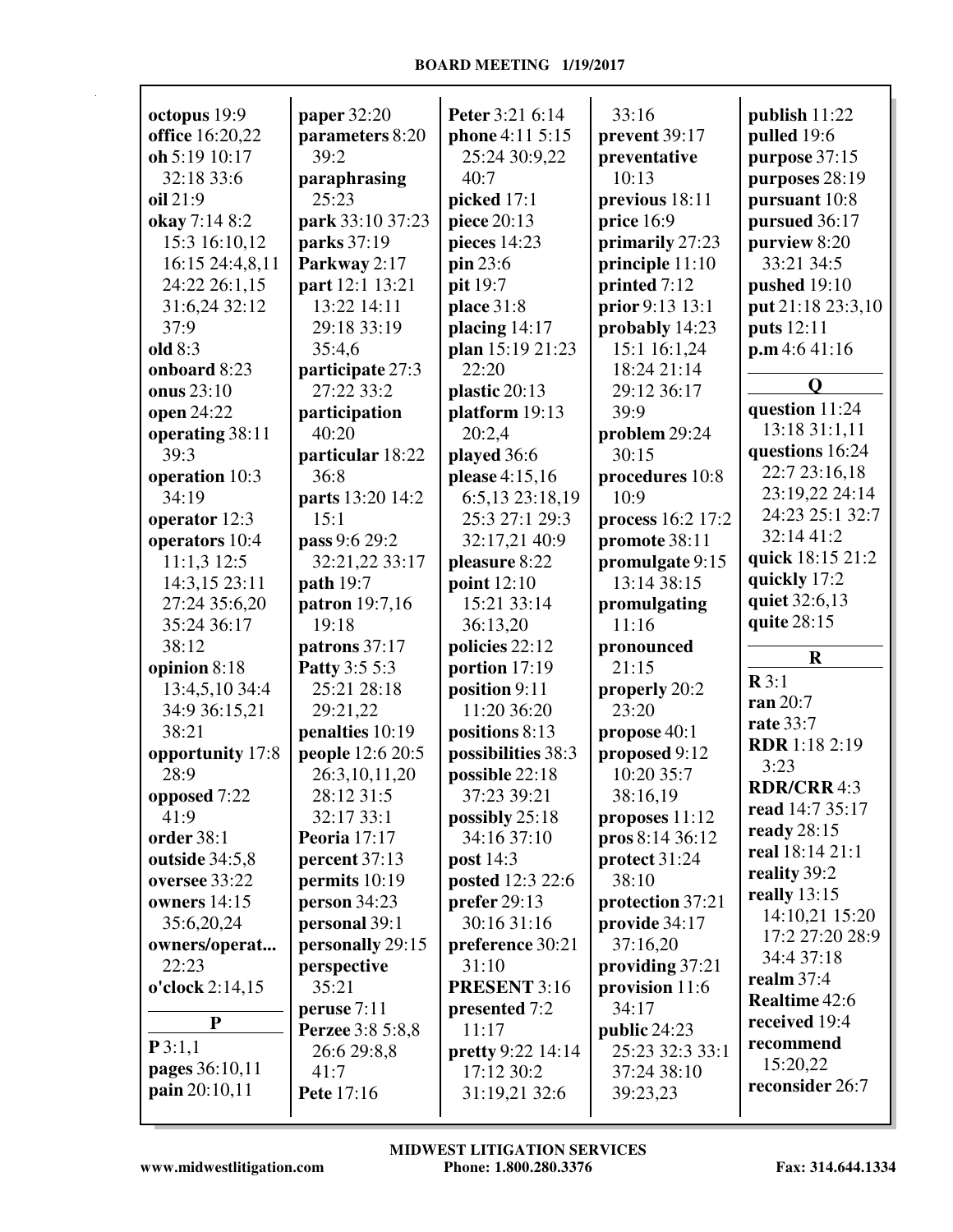| octopus 19:9        | paper 32:20             | Peter 3:21 6:14    | 33:16             | publish 11:22        |
|---------------------|-------------------------|--------------------|-------------------|----------------------|
| office 16:20,22     | parameters 8:20         | phone 4:11 5:15    | prevent 39:17     | pulled 19:6          |
| oh 5:19 10:17       | 39:2                    | 25:24 30:9,22      | preventative      | purpose 37:15        |
| 32:18 33:6          | paraphrasing            | 40:7               | 10:13             | purposes 28:19       |
| oil 21:9            | 25:23                   | picked 17:1        | previous 18:11    | pursuant 10:8        |
| okay 7:14 8:2       | park 33:10 37:23        | piece 20:13        | price 16:9        | pursued 36:17        |
| 15:3 16:10,12       | parks 37:19             | pieces 14:23       | primarily 27:23   | purview 8:20         |
| 16:15 24:4,8,11     | Parkway 2:17            | $pin\,23:6$        | principle 11:10   | 33:21 34:5           |
| 24:22 26:1,15       | part 12:1 13:21         | pit 19:7           | printed 7:12      | <b>pushed</b> 19:10  |
| 31:6,24 32:12       | 13:22 14:11             | place 31:8         | prior 9:13 13:1   | put 21:18 23:3,10    |
| 37:9                | 29:18 33:19             | placing 14:17      | probably 14:23    | <b>puts</b> 12:11    |
| old 8:3             | 35:4,6                  | plan 15:19 21:23   | 15:1 16:1,24      | $p.m$ 4:6 41:16      |
| onboard 8:23        | participate 27:3        | 22:20              | 18:24 21:14       |                      |
| onus 23:10          | 27:22 33:2              | plastic 20:13      | 29:12 36:17       | $\mathbf Q$          |
| open 24:22          | participation           | platform 19:13     | 39:9              | question 11:24       |
| operating 38:11     | 40:20                   | 20:2,4             | problem 29:24     | 13:18 31:1,11        |
| 39:3                | particular 18:22        | played 36:6        | 30:15             | questions 16:24      |
| operation 10:3      | 36:8                    | please 4:15,16     | procedures 10:8   | 22:7 23:16,18        |
| 34:19               | parts 13:20 14:2        | 6:5,13 23:18,19    | 10:9              | 23:19,22 24:14       |
| operator 12:3       | 15:1                    | 25:3 27:1 29:3     | process 16:2 17:2 | 24:23 25:1 32:7      |
| operators 10:4      | pass 9:6 29:2           | 32:17,21 40:9      | promote 38:11     | 32:14 41:2           |
| $11:1,3$ 12:5       | 32:21,22 33:17          | pleasure 8:22      | promulgate 9:15   | quick 18:15 21:2     |
| 14:3,15 23:11       | path 19:7               | point 12:10        | 13:14 38:15       | quickly 17:2         |
| 27:24 35:6,20       | patron 19:7,16          | 15:21 33:14        | promulgating      | quiet 32:6,13        |
| 35:24 36:17         | 19:18                   | 36:13,20           | 11:16             | quite 28:15          |
| 38:12               | patrons 37:17           | policies 22:12     | pronounced        | $\bf{R}$             |
| opinion 8:18        | Patty 3:5 5:3           | portion 17:19      | 21:15             | $\mathbb{R} 3:1$     |
| 13:4,5,10 34:4      | 25:21 28:18             | position 9:11      | properly 20:2     | ran 20:7             |
| 34:9 36:15,21       | 29:21,22                | 11:20 36:20        | 23:20             | rate 33:7            |
| 38:21               | penalties 10:19         | positions 8:13     | propose 40:1      | <b>RDR</b> 1:18 2:19 |
| opportunity 17:8    | people 12:6 20:5        | possibilities 38:3 | proposed 9:12     | 3:23                 |
| 28:9                | 26:3,10,11,20           | possible 22:18     | 10:20 35:7        | <b>RDR/CRR 4:3</b>   |
| opposed 7:22        | 28:12 31:5              | 37:23 39:21        | 38:16,19          | read 14:7 35:17      |
| 41:9                | 32:17 33:1              | possibly 25:18     | proposes $11:12$  | ready 28:15          |
| order 38:1          | <b>Peoria</b> 17:17     | 34:16 37:10        | pros 8:14 36:12   | real 18:14 21:1      |
| outside 34:5,8      | percent 37:13           | post 14:3          | protect 31:24     | reality 39:2         |
| oversee 33:22       | permits $10:19$         | posted 12:3 22:6   | 38:10             | really 13:15         |
| <b>owners</b> 14:15 | person 34:23            | prefer $29:13$     | protection 37:21  | 14:10,21 15:20       |
| 35:6,20,24          | personal 39:1           | 30:16 31:16        | provide 34:17     | 17:2 27:20 28:9      |
| owners/operat       | personally 29:15        | preference 30:21   | 37:16,20          | 34:4 37:18           |
| 22:23               | perspective             | 31:10              | providing 37:21   | realm 37:4           |
| o'clock 2:14,15     | 35:21                   | PRESENT 3:16       | provision 11:6    | Realtime 42:6        |
| ${\bf P}$           | peruse 7:11             | presented 7:2      | 34:17             | received 19:4        |
| P3:1,1              | <b>Perzee</b> 3:8 5:8,8 | 11:17              | public 24:23      | recommend            |
| pages 36:10,11      | 26:6 29:8,8             | pretty 9:22 14:14  | 25:23 32:3 33:1   | 15:20,22             |
| pain 20:10,11       | 41:7                    | 17:12 30:2         | 37:24 38:10       | reconsider 26:7      |
|                     | <b>Pete</b> 17:16       | 31:19,21 32:6      | 39:23,23          |                      |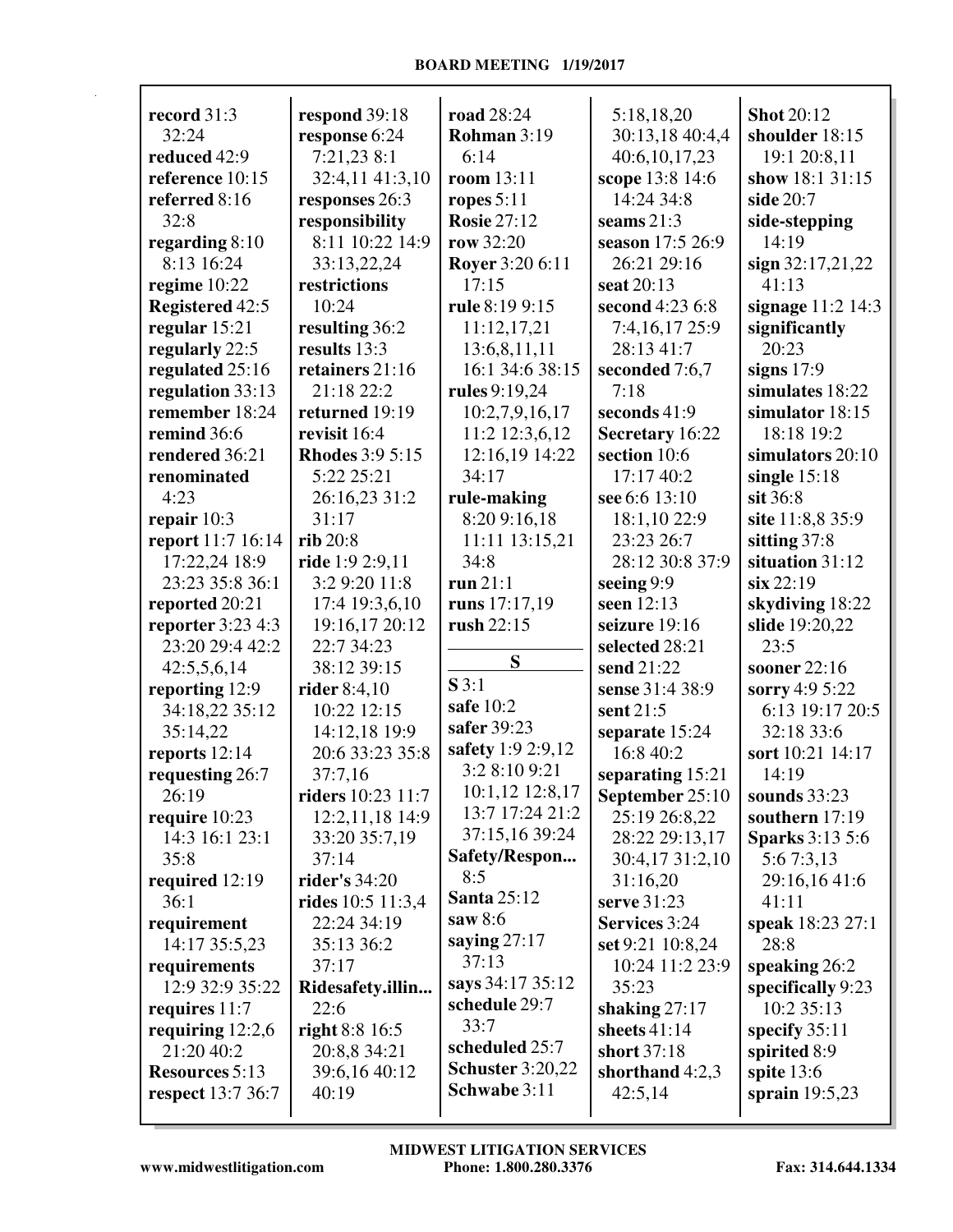| record 31:3                     | respond 39:18                    | road 28:24              | 5:18,18,20                       | <b>Shot 20:12</b>                |
|---------------------------------|----------------------------------|-------------------------|----------------------------------|----------------------------------|
| 32:24                           | response 6:24                    | Rohman 3:19             | 30:13,18 40:4,4                  | shoulder 18:15                   |
| reduced 42:9                    | 7:21,23 8:1                      | 6:14                    | 40:6,10,17,23                    | 19:1 20:8,11                     |
| reference 10:15                 | 32:4,11 41:3,10                  | room 13:11              | scope 13:8 14:6                  | show 18:1 31:15                  |
| referred 8:16                   | responses 26:3                   | ropes $5:11$            | 14:24 34:8                       | side 20:7                        |
| 32:8                            | responsibility                   | <b>Rosie 27:12</b>      | seams 21:3                       | side-stepping                    |
| regarding $8:10$                | 8:11 10:22 14:9                  | row 32:20               | season 17:5 26:9                 | 14:19                            |
| 8:13 16:24                      | 33:13,22,24                      | Royer 3:20 6:11         | 26:21 29:16                      | sign 32:17,21,22                 |
| regime 10:22                    | restrictions                     | 17:15                   | seat 20:13                       | 41:13                            |
| Registered 42:5                 | 10:24                            | rule 8:19 9:15          | second 4:23 6:8                  | signage $11:2$ 14:3              |
| regular 15:21                   | resulting 36:2                   | 11:12,17,21             | 7:4,16,17 25:9                   | significantly                    |
| regularly 22:5                  | results 13:3                     | 13:6,8,11,11            | 28:13 41:7                       | 20:23                            |
| regulated 25:16                 | retainers 21:16                  | 16:1 34:6 38:15         | seconded 7:6,7                   | signs $17:9$                     |
| regulation 33:13                | 21:18 22:2                       | rules 9:19,24           | 7:18                             | simulates 18:22                  |
| remember 18:24                  | returned 19:19                   | 10:2,7,9,16,17          | seconds 41:9                     | simulator 18:15                  |
| remind 36:6                     | revisit 16:4                     | 11:2 12:3,6,12          | Secretary 16:22                  | 18:18 19:2                       |
| rendered 36:21                  | <b>Rhodes</b> 3:9 5:15           | 12:16,19 14:22          | section 10:6                     | simulators 20:10                 |
| renominated                     | 5:22 25:21                       | 34:17                   | 17:17 40:2                       | single $15:18$                   |
| 4:23                            | 26:16,23 31:2                    | rule-making             | see 6:6 13:10                    | sit 36:8                         |
| repair $10:3$                   | 31:17                            | 8:20 9:16,18            | 18:1,10 22:9                     | site 11:8,8 35:9                 |
| <b>report</b> 11:7 16:14        | $rib$ 20:8                       | 11:11 13:15,21          | 23:23 26:7                       | sitting $37:8$                   |
| 17:22,24 18:9                   | ride 1:9 2:9,11                  | 34:8                    | 28:12 30:8 37:9                  | situation 31:12                  |
| 23:23 35:8 36:1                 | 3:2 9:20 11:8                    | run 21:1                | seeing 9:9                       | six 22:19                        |
| reported 20:21                  | 17:4 19:3,6,10                   | runs 17:17,19           | seen 12:13                       | skydiving 18:22                  |
| reporter 3:23 4:3               | 19:16,17 20:12                   | rush 22:15              | seizure 19:16                    | slide 19:20,22                   |
| 23:20 29:4 42:2                 | 22:7 34:23                       | S                       | selected 28:21                   | 23:5                             |
| 42:5,5,6,14                     | 38:12 39:15                      | S3:1                    | send 21:22                       | sooner 22:16                     |
| reporting 12:9                  | rider 8:4,10                     | safe 10:2               | sense 31:4 38:9                  | sorry 4:9 5:22                   |
| 34:18,22 35:12                  | 10:22 12:15                      | safer 39:23             | sent 21:5                        | 6:13 19:17 20:5                  |
| 35:14,22                        | 14:12,18 19:9<br>20:6 33:23 35:8 | safety 1:9 2:9,12       | separate 15:24                   | 32:18 33:6                       |
| reports 12:14                   |                                  | 3:2 8:10 9:21           | 16:8 40:2                        | sort 10:21 14:17                 |
| requesting 26:7                 | 37:7,16                          | 10:1,12 12:8,17         | separating 15:21                 | 14:19                            |
| 26:19                           | riders 10:23 11:7                | 13:7 17:24 21:2         | September 25:10<br>25:19 26:8,22 | sounds $33:23$<br>southern 17:19 |
| require 10:23<br>14:3 16:1 23:1 | 12:2,11,18 14:9<br>33:20 35:7,19 | 37:15,16 39:24          | 28:22 29:13,17                   | <b>Sparks</b> 3:13 5:6           |
| 35:8                            | 37:14                            | Safety/Respon           | 30:4,17 31:2,10                  | 5:67:3,13                        |
| required 12:19                  | rider's 34:20                    | 8:5                     | 31:16,20                         | 29:16,16 41:6                    |
| 36:1                            | rides 10:5 11:3,4                | <b>Santa 25:12</b>      | serve 31:23                      | 41:11                            |
| requirement                     | 22:24 34:19                      | saw 8:6                 | Services 3:24                    | speak 18:23 27:1                 |
| 14:17 35:5,23                   | 35:13 36:2                       | saying $27:17$          | set 9:21 10:8,24                 | 28:8                             |
| requirements                    | 37:17                            | 37:13                   | 10:24 11:2 23:9                  | speaking 26:2                    |
| 12:9 32:9 35:22                 | Ridesafety.illin                 | says 34:17 35:12        | 35:23                            | specifically 9:23                |
| requires $11:7$                 | 22:6                             | schedule 29:7           | shaking $27:17$                  | 10:2 35:13                       |
| requiring $12:2,6$              | <b>right</b> 8:8 16:5            | 33:7                    | sheets $41:14$                   | specify $35:11$                  |
| 21:20 40:2                      | 20:8,8 34:21                     | scheduled 25:7          | short 37:18                      | spirited 8:9                     |
| <b>Resources 5:13</b>           | 39:6,16 40:12                    | <b>Schuster</b> 3:20,22 | shorthand $4:2,3$                | spite 13:6                       |
| <b>respect</b> 13:7 36:7        | 40:19                            | Schwabe 3:11            | 42:5,14                          | sprain $19:5,23$                 |
|                                 |                                  |                         |                                  |                                  |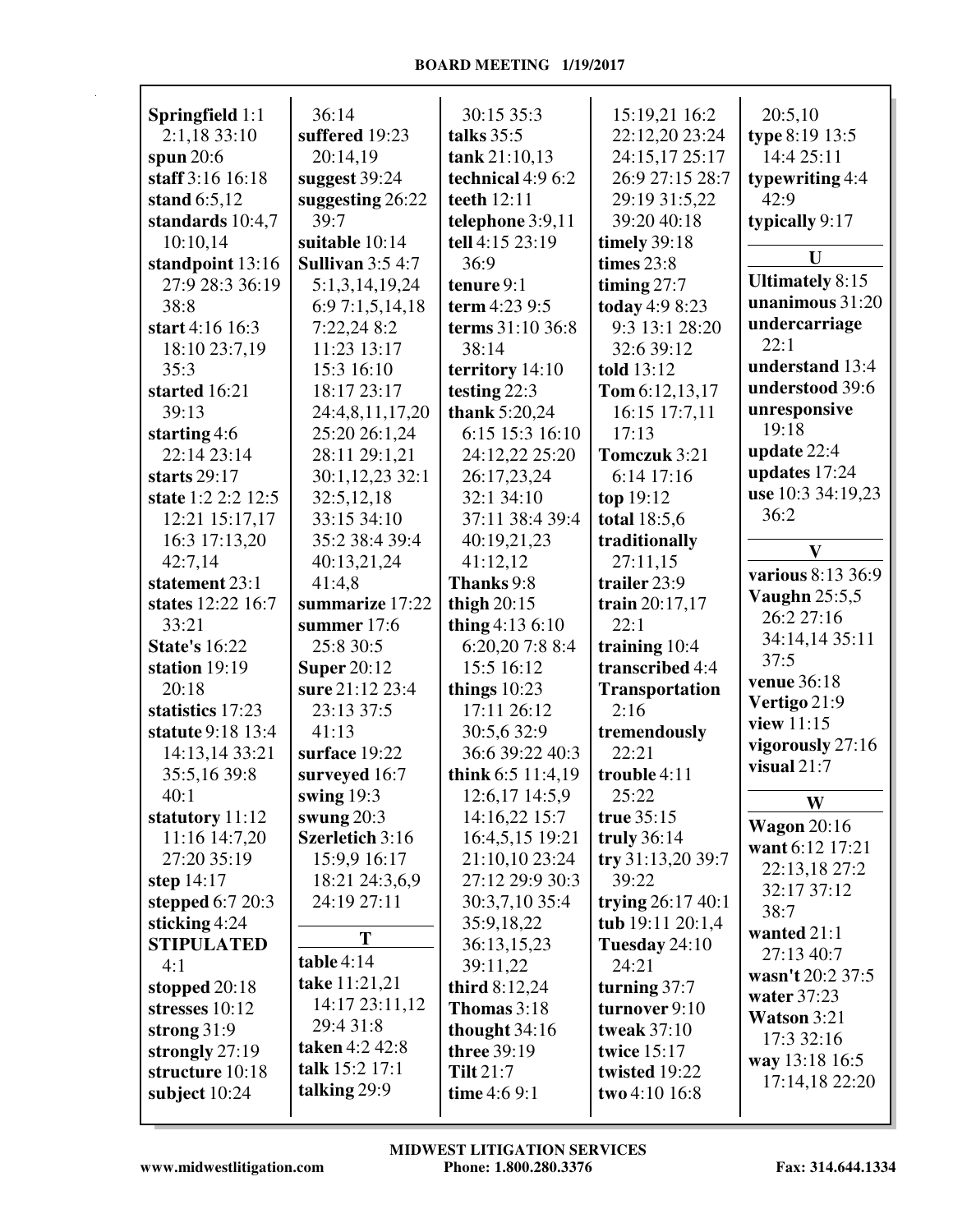| Springfield 1:1      | 36:14              | 30:15 35:3        | 15:19,21 16:2         | 20:5,10                |
|----------------------|--------------------|-------------------|-----------------------|------------------------|
| 2:1,1833:10          | suffered 19:23     | talks $35:5$      | 22:12,20 23:24        | type 8:19 13:5         |
| spun $20:6$          | 20:14,19           | tank 21:10,13     | 24:15,17 25:17        | 14:4 25:11             |
| staff 3:16 16:18     | suggest 39:24      | technical 4:9 6:2 | 26:9 27:15 28:7       | typewriting 4:4        |
| stand $6:5,12$       | suggesting 26:22   | teeth 12:11       | 29:19 31:5,22         | 42:9                   |
| standards 10:4,7     | 39:7               | telephone 3:9,11  | 39:20 40:18           | typically 9:17         |
| 10:10,14             | suitable 10:14     | tell 4:15 23:19   | timely $39:18$        |                        |
| standpoint 13:16     | Sullivan $3:54:7$  | 36:9              | times $23:8$          | U                      |
|                      |                    |                   |                       | <b>Ultimately 8:15</b> |
| 27:9 28:3 36:19      | 5:1,3,14,19,24     | tenure 9:1        | timing $27:7$         | unanimous 31:20        |
| 38:8                 | 6:9 7:1,5,14,18    | term 4:23 9:5     | today 4:9 8:23        | undercarriage          |
| start 4:16 16:3      | 7:22,24 8:2        | terms 31:10 36:8  | 9:3 13:1 28:20        | 22:1                   |
| 18:10 23:7,19        | 11:23 13:17        | 38:14             | 32:6 39:12            |                        |
| 35:3                 | 15:3 16:10         | territory 14:10   | told 13:12            | understand 13:4        |
| started 16:21        | 18:17 23:17        | testing 22:3      | Tom 6:12,13,17        | understood 39:6        |
| 39:13                | 24:4,8,11,17,20    | thank 5:20,24     | 16:15 17:7,11         | unresponsive           |
| starting $4:6$       | 25:20 26:1,24      | 6:15 15:3 16:10   | 17:13                 | 19:18                  |
| 22:14 23:14          | 28:11 29:1,21      | 24:12,22 25:20    | Tomczuk 3:21          | update 22:4            |
| starts $29:17$       | 30:1,12,23 32:1    | 26:17,23,24       | $6:14$ 17:16          | updates 17:24          |
| state 1:2 2:2 12:5   | 32:5,12,18         | 32:1 34:10        | top 19:12             | use 10:3 34:19,23      |
| 12:21 15:17,17       | 33:15 34:10        | 37:11 38:4 39:4   | total $18:5,6$        | 36:2                   |
| 16:3 17:13,20        | 35:2 38:4 39:4     | 40:19,21,23       | traditionally         |                        |
| 42:7,14              | 40:13,21,24        | 41:12,12          | 27:11,15              | $\mathbf{V}$           |
| statement 23:1       | 41:4,8             | Thanks 9:8        | trailer 23:9          | various 8:13 36:9      |
| states 12:22 16:7    | summarize 17:22    | thigh $20:15$     | train $20:17,17$      | Vaughn 25:5,5          |
| 33:21                | summer 17:6        | thing $4:136:10$  | 22:1                  | 26:2 27:16             |
| <b>State's 16:22</b> | 25:8 30:5          | 6:20,20 7:8 8:4   | training 10:4         | 34:14,14 35:11         |
| station 19:19        | <b>Super 20:12</b> | 15:5 16:12        | transcribed 4:4       | 37:5                   |
| 20:18                | sure 21:12 23:4    | things $10:23$    | <b>Transportation</b> | venue 36:18            |
| statistics 17:23     | 23:13 37:5         | 17:11 26:12       | 2:16                  | Vertigo 21:9           |
|                      |                    |                   |                       | view $11:15$           |
| statute 9:18 13:4    | 41:13              | 30:5,6 32:9       | tremendously          | vigorously 27:16       |
| 14:13,14 33:21       | surface 19:22      | 36:6 39:22 40:3   | 22:21                 | visual $21:7$          |
| 35:5,16 39:8         | surveyed 16:7      | think 6:5 11:4,19 | trouble 4:11          |                        |
| 40:1                 | swing 19:3         | 12:6,17 14:5,9    | 25:22                 | W                      |
| statutory 11:12      | swung $20:3$       | 14:16,22 15:7     | true 35:15            | <b>Wagon 20:16</b>     |
| 11:16 14:7,20        | Szerletich 3:16    | 16:4,5,15 19:21   | truly $36:14$         | want 6:12 17:21        |
| 27:20 35:19          | 15:9,9 16:17       | 21:10,10 23:24    | try 31:13,20 39:7     | 22:13,18 27:2          |
| step 14:17           | 18:21 24:3,6,9     | 27:12 29:9 30:3   | 39:22                 | 32:17 37:12            |
| stepped $6:720:3$    | 24:19 27:11        | 30:3,7,10 35:4    | trying 26:17 40:1     | 38:7                   |
| sticking 4:24        |                    | 35:9,18,22        | tub 19:11 20:1,4      | wanted 21:1            |
| <b>STIPULATED</b>    | T                  | 36:13,15,23       | Tuesday 24:10         | 27:13 40:7             |
| 4:1                  | table $4:14$       | 39:11,22          | 24:21                 | wasn't 20:2 37:5       |
| stopped $20:18$      | take 11:21,21      | third 8:12,24     | turning $37:7$        | water 37:23            |
| stresses $10:12$     | 14:17 23:11,12     | Thomas 3:18       | turnover 9:10         |                        |
| strong 31:9          | 29:4 31:8          | thought 34:16     | <b>tweak 37:10</b>    | <b>Watson 3:21</b>     |
| strongly $27:19$     | taken 4:2 42:8     | three 39:19       | twice $15:17$         | 17:3 32:16             |
| structure 10:18      | talk 15:2 17:1     | <b>Tilt 21:7</b>  | twisted 19:22         | way 13:18 16:5         |
| subject 10:24        | talking 29:9       | time 4:6 9:1      | two 4:10 16:8         | 17:14,18 22:20         |
|                      |                    |                   |                       |                        |

Г